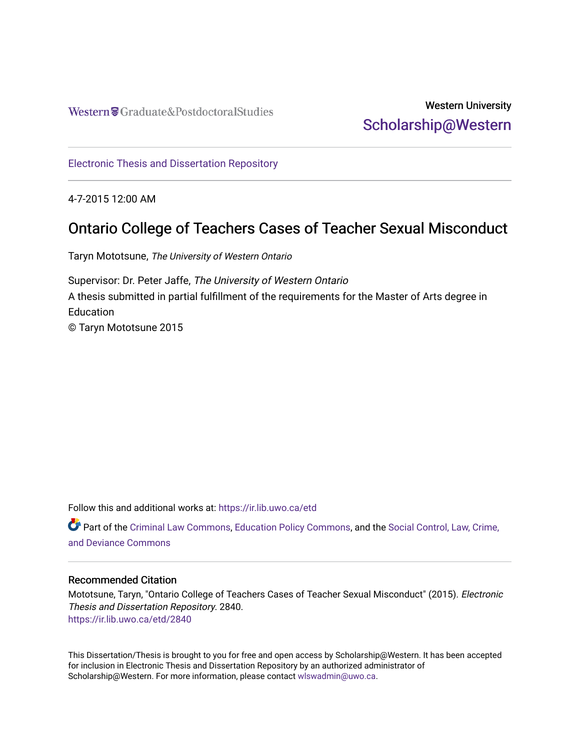Western Craduate&PostdoctoralStudies

## Western University [Scholarship@Western](https://ir.lib.uwo.ca/)

[Electronic Thesis and Dissertation Repository](https://ir.lib.uwo.ca/etd)

4-7-2015 12:00 AM

## Ontario College of Teachers Cases of Teacher Sexual Misconduct

Taryn Mototsune, The University of Western Ontario

Supervisor: Dr. Peter Jaffe, The University of Western Ontario A thesis submitted in partial fulfillment of the requirements for the Master of Arts degree in **Education** © Taryn Mototsune 2015

Follow this and additional works at: [https://ir.lib.uwo.ca/etd](https://ir.lib.uwo.ca/etd?utm_source=ir.lib.uwo.ca%2Fetd%2F2840&utm_medium=PDF&utm_campaign=PDFCoverPages) 

Part of the [Criminal Law Commons,](http://network.bepress.com/hgg/discipline/912?utm_source=ir.lib.uwo.ca%2Fetd%2F2840&utm_medium=PDF&utm_campaign=PDFCoverPages) [Education Policy Commons](http://network.bepress.com/hgg/discipline/1026?utm_source=ir.lib.uwo.ca%2Fetd%2F2840&utm_medium=PDF&utm_campaign=PDFCoverPages), and the [Social Control, Law, Crime,](http://network.bepress.com/hgg/discipline/429?utm_source=ir.lib.uwo.ca%2Fetd%2F2840&utm_medium=PDF&utm_campaign=PDFCoverPages) [and Deviance Commons](http://network.bepress.com/hgg/discipline/429?utm_source=ir.lib.uwo.ca%2Fetd%2F2840&utm_medium=PDF&utm_campaign=PDFCoverPages)

#### Recommended Citation

Mototsune, Taryn, "Ontario College of Teachers Cases of Teacher Sexual Misconduct" (2015). Electronic Thesis and Dissertation Repository. 2840. [https://ir.lib.uwo.ca/etd/2840](https://ir.lib.uwo.ca/etd/2840?utm_source=ir.lib.uwo.ca%2Fetd%2F2840&utm_medium=PDF&utm_campaign=PDFCoverPages)

This Dissertation/Thesis is brought to you for free and open access by Scholarship@Western. It has been accepted for inclusion in Electronic Thesis and Dissertation Repository by an authorized administrator of Scholarship@Western. For more information, please contact [wlswadmin@uwo.ca.](mailto:wlswadmin@uwo.ca)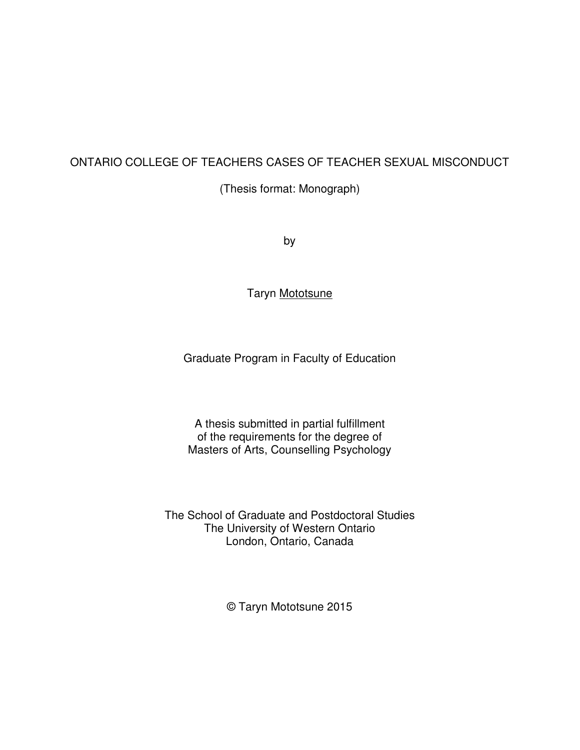#### ONTARIO COLLEGE OF TEACHERS CASES OF TEACHER SEXUAL MISCONDUCT

(Thesis format: Monograph)

by

Taryn Mototsune

Graduate Program in Faculty of Education

A thesis submitted in partial fulfillment of the requirements for the degree of Masters of Arts, Counselling Psychology

The School of Graduate and Postdoctoral Studies The University of Western Ontario London, Ontario, Canada

© Taryn Mototsune 2015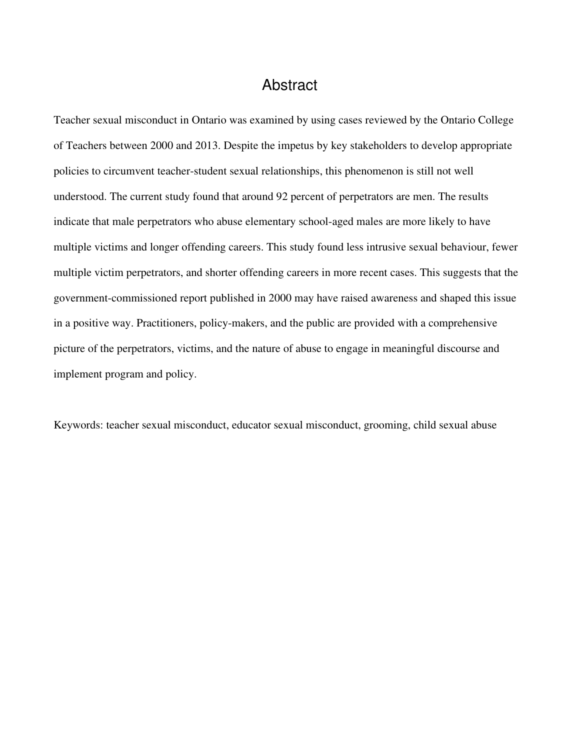### Abstract

Teacher sexual misconduct in Ontario was examined by using cases reviewed by the Ontario College of Teachers between 2000 and 2013. Despite the impetus by key stakeholders to develop appropriate policies to circumvent teacher-student sexual relationships, this phenomenon is still not well understood. The current study found that around 92 percent of perpetrators are men. The results indicate that male perpetrators who abuse elementary school-aged males are more likely to have multiple victims and longer offending careers. This study found less intrusive sexual behaviour, fewer multiple victim perpetrators, and shorter offending careers in more recent cases. This suggests that the government-commissioned report published in 2000 may have raised awareness and shaped this issue in a positive way. Practitioners, policy-makers, and the public are provided with a comprehensive picture of the perpetrators, victims, and the nature of abuse to engage in meaningful discourse and implement program and policy.

Keywords: teacher sexual misconduct, educator sexual misconduct, grooming, child sexual abuse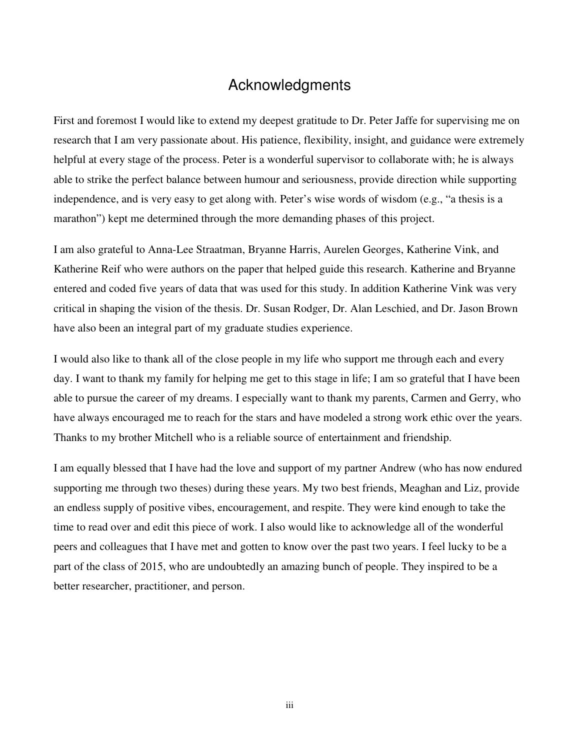### Acknowledgments

First and foremost I would like to extend my deepest gratitude to Dr. Peter Jaffe for supervising me on research that I am very passionate about. His patience, flexibility, insight, and guidance were extremely helpful at every stage of the process. Peter is a wonderful supervisor to collaborate with; he is always able to strike the perfect balance between humour and seriousness, provide direction while supporting independence, and is very easy to get along with. Peter's wise words of wisdom (e.g., "a thesis is a marathon") kept me determined through the more demanding phases of this project.

I am also grateful to Anna-Lee Straatman, Bryanne Harris, Aurelen Georges, Katherine Vink, and Katherine Reif who were authors on the paper that helped guide this research. Katherine and Bryanne entered and coded five years of data that was used for this study. In addition Katherine Vink was very critical in shaping the vision of the thesis. Dr. Susan Rodger, Dr. Alan Leschied, and Dr. Jason Brown have also been an integral part of my graduate studies experience.

I would also like to thank all of the close people in my life who support me through each and every day. I want to thank my family for helping me get to this stage in life; I am so grateful that I have been able to pursue the career of my dreams. I especially want to thank my parents, Carmen and Gerry, who have always encouraged me to reach for the stars and have modeled a strong work ethic over the years. Thanks to my brother Mitchell who is a reliable source of entertainment and friendship.

I am equally blessed that I have had the love and support of my partner Andrew (who has now endured supporting me through two theses) during these years. My two best friends, Meaghan and Liz, provide an endless supply of positive vibes, encouragement, and respite. They were kind enough to take the time to read over and edit this piece of work. I also would like to acknowledge all of the wonderful peers and colleagues that I have met and gotten to know over the past two years. I feel lucky to be a part of the class of 2015, who are undoubtedly an amazing bunch of people. They inspired to be a better researcher, practitioner, and person.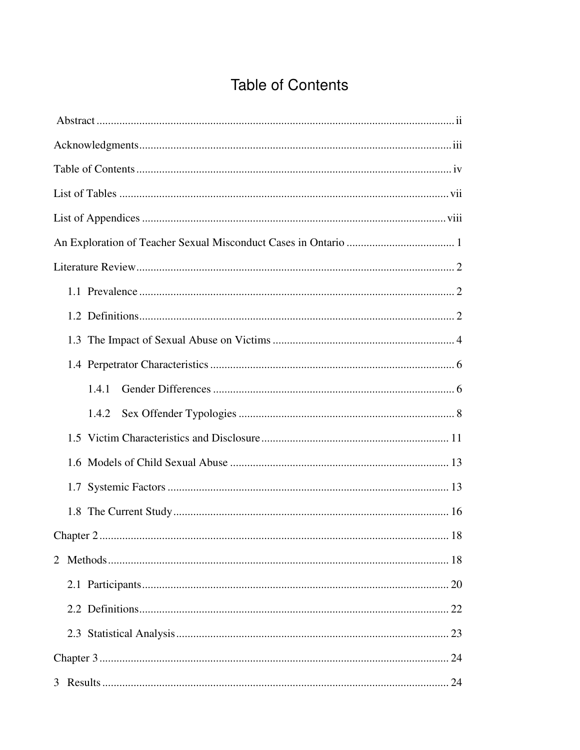## **Table of Contents**

| 1.4.1 |
|-------|
| 1.4.2 |
|       |
|       |
|       |
|       |
| . 18  |
|       |
|       |
|       |
|       |
|       |
|       |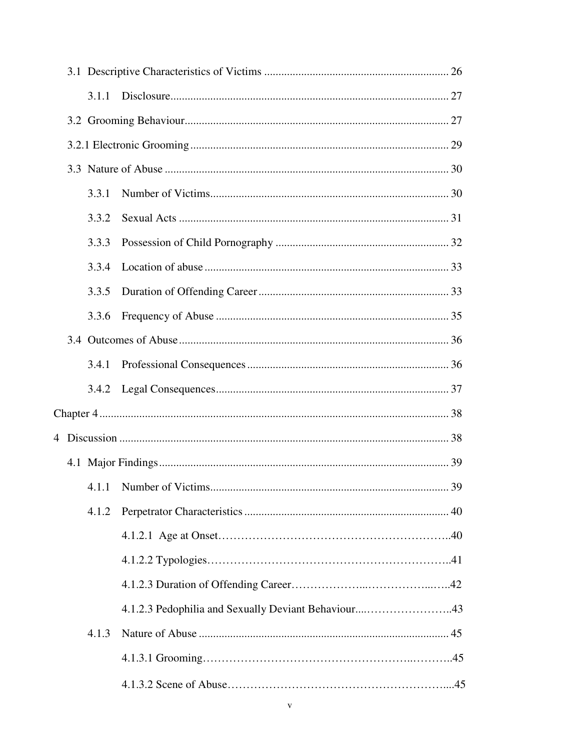|   | 3.1.1 |                                                     |    |
|---|-------|-----------------------------------------------------|----|
|   |       |                                                     |    |
|   |       |                                                     |    |
|   |       |                                                     |    |
|   | 3.3.1 |                                                     |    |
|   | 3.3.2 |                                                     |    |
|   | 3.3.3 |                                                     |    |
|   | 3.3.4 |                                                     |    |
|   | 3.3.5 |                                                     |    |
|   | 3.3.6 |                                                     |    |
|   |       |                                                     |    |
|   | 3.4.1 |                                                     |    |
|   | 3.4.2 |                                                     |    |
|   |       |                                                     |    |
| 4 |       |                                                     |    |
|   |       |                                                     |    |
|   |       | 4.1.1 Number of Victims.                            | 39 |
|   | 4.1.2 |                                                     |    |
|   |       |                                                     |    |
|   |       |                                                     |    |
|   |       |                                                     |    |
|   |       | 4.1.2.3 Pedophilia and Sexually Deviant Behaviour43 |    |
|   | 4.1.3 |                                                     |    |
|   |       |                                                     |    |
|   |       |                                                     |    |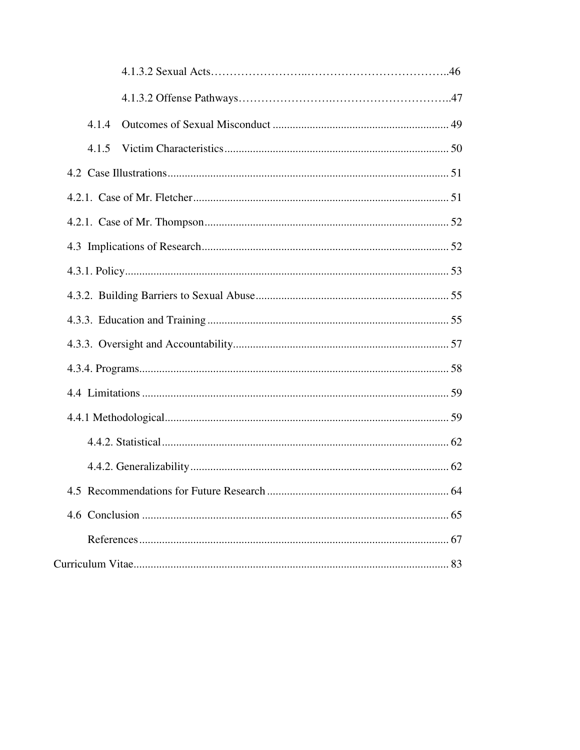| 4.1.4 |
|-------|
| 4.1.5 |
|       |
|       |
|       |
|       |
|       |
|       |
|       |
|       |
|       |
|       |
|       |
|       |
|       |
|       |
|       |
|       |
|       |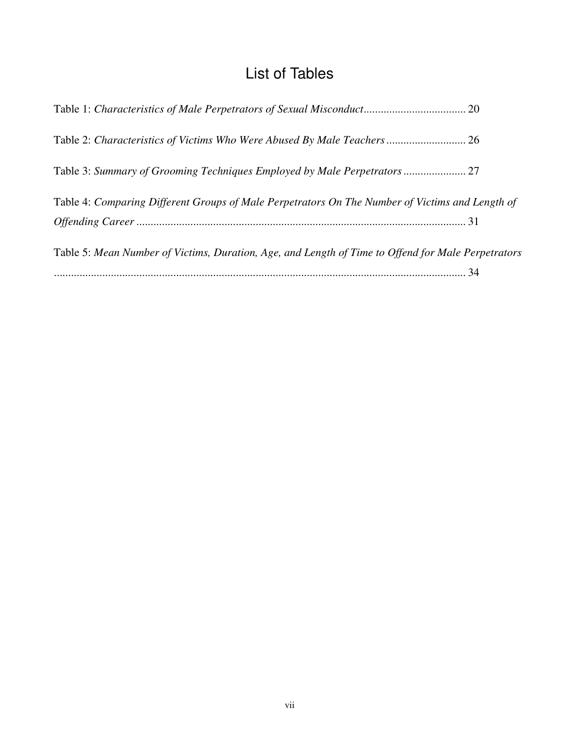## List of Tables

| Table 4: Comparing Different Groups of Male Perpetrators On The Number of Victims and Length of    |  |
|----------------------------------------------------------------------------------------------------|--|
|                                                                                                    |  |
| Table 5: Mean Number of Victims, Duration, Age, and Length of Time to Offend for Male Perpetrators |  |
|                                                                                                    |  |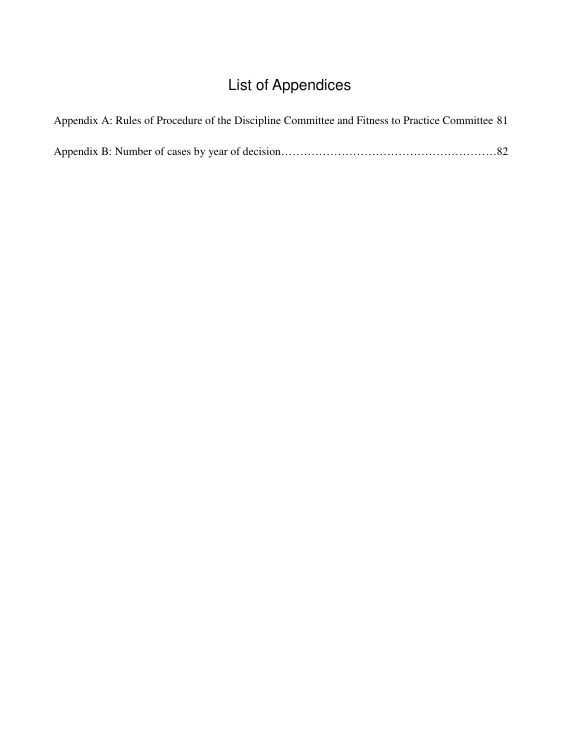# List of Appendices

| Appendix A: Rules of Procedure of the Discipline Committee and Fitness to Practice Committee 81 |  |
|-------------------------------------------------------------------------------------------------|--|
|                                                                                                 |  |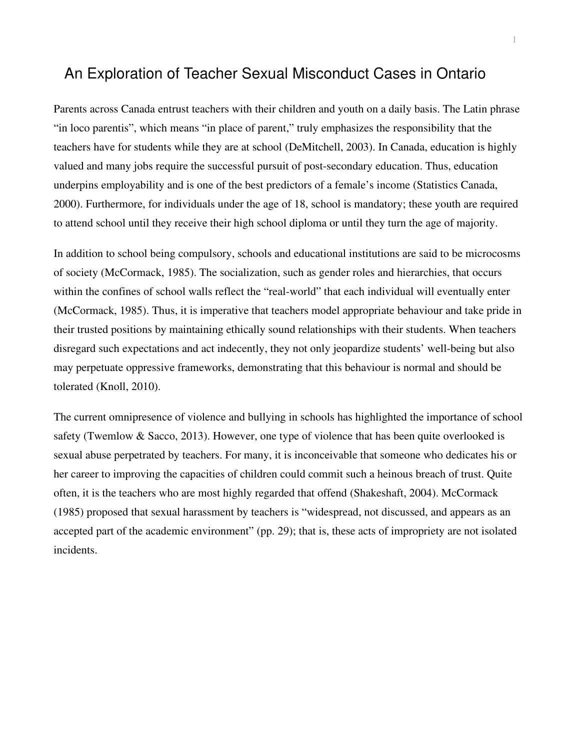#### An Exploration of Teacher Sexual Misconduct Cases in Ontario

Parents across Canada entrust teachers with their children and youth on a daily basis. The Latin phrase "in loco parentis", which means "in place of parent," truly emphasizes the responsibility that the teachers have for students while they are at school (DeMitchell, 2003). In Canada, education is highly valued and many jobs require the successful pursuit of post-secondary education. Thus, education underpins employability and is one of the best predictors of a female's income (Statistics Canada, 2000). Furthermore, for individuals under the age of 18, school is mandatory; these youth are required to attend school until they receive their high school diploma or until they turn the age of majority.

In addition to school being compulsory, schools and educational institutions are said to be microcosms of society (McCormack, 1985). The socialization, such as gender roles and hierarchies, that occurs within the confines of school walls reflect the "real-world" that each individual will eventually enter (McCormack, 1985). Thus, it is imperative that teachers model appropriate behaviour and take pride in their trusted positions by maintaining ethically sound relationships with their students. When teachers disregard such expectations and act indecently, they not only jeopardize students' well-being but also may perpetuate oppressive frameworks, demonstrating that this behaviour is normal and should be tolerated (Knoll, 2010).

The current omnipresence of violence and bullying in schools has highlighted the importance of school safety (Twemlow & Sacco, 2013). However, one type of violence that has been quite overlooked is sexual abuse perpetrated by teachers. For many, it is inconceivable that someone who dedicates his or her career to improving the capacities of children could commit such a heinous breach of trust. Quite often, it is the teachers who are most highly regarded that offend (Shakeshaft, 2004). McCormack (1985) proposed that sexual harassment by teachers is "widespread, not discussed, and appears as an accepted part of the academic environment" (pp. 29); that is, these acts of impropriety are not isolated incidents.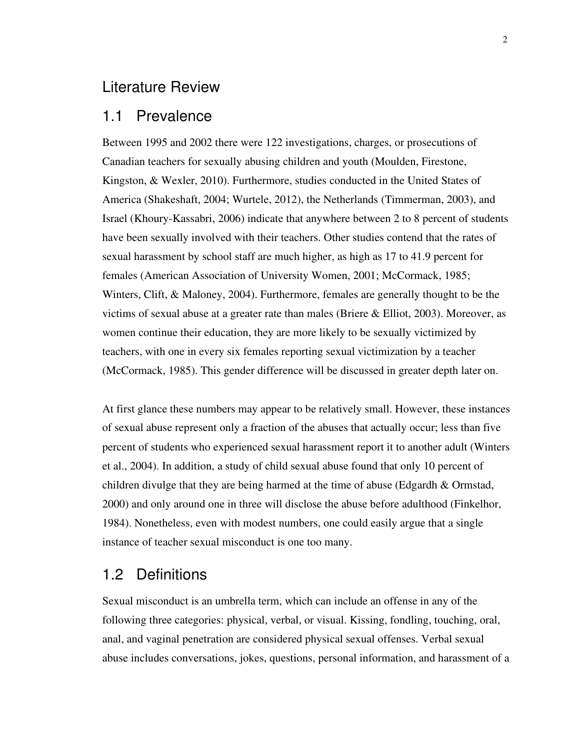#### Literature Review

#### 1.1 Prevalence

Between 1995 and 2002 there were 122 investigations, charges, or prosecutions of Canadian teachers for sexually abusing children and youth (Moulden, Firestone, Kingston, & Wexler, 2010). Furthermore, studies conducted in the United States of America (Shakeshaft, 2004; Wurtele, 2012), the Netherlands (Timmerman, 2003), and Israel (Khoury-Kassabri, 2006) indicate that anywhere between 2 to 8 percent of students have been sexually involved with their teachers. Other studies contend that the rates of sexual harassment by school staff are much higher, as high as 17 to 41.9 percent for females (American Association of University Women, 2001; McCormack, 1985; Winters, Clift, & Maloney, 2004). Furthermore, females are generally thought to be the victims of sexual abuse at a greater rate than males (Briere & Elliot, 2003). Moreover, as women continue their education, they are more likely to be sexually victimized by teachers, with one in every six females reporting sexual victimization by a teacher (McCormack, 1985). This gender difference will be discussed in greater depth later on.

At first glance these numbers may appear to be relatively small. However, these instances of sexual abuse represent only a fraction of the abuses that actually occur; less than five percent of students who experienced sexual harassment report it to another adult (Winters et al., 2004). In addition, a study of child sexual abuse found that only 10 percent of children divulge that they are being harmed at the time of abuse (Edgardh & Ormstad, 2000) and only around one in three will disclose the abuse before adulthood (Finkelhor, 1984). Nonetheless, even with modest numbers, one could easily argue that a single instance of teacher sexual misconduct is one too many.

#### 1.2 Definitions

Sexual misconduct is an umbrella term, which can include an offense in any of the following three categories: physical, verbal, or visual. Kissing, fondling, touching, oral, anal, and vaginal penetration are considered physical sexual offenses. Verbal sexual abuse includes conversations, jokes, questions, personal information, and harassment of a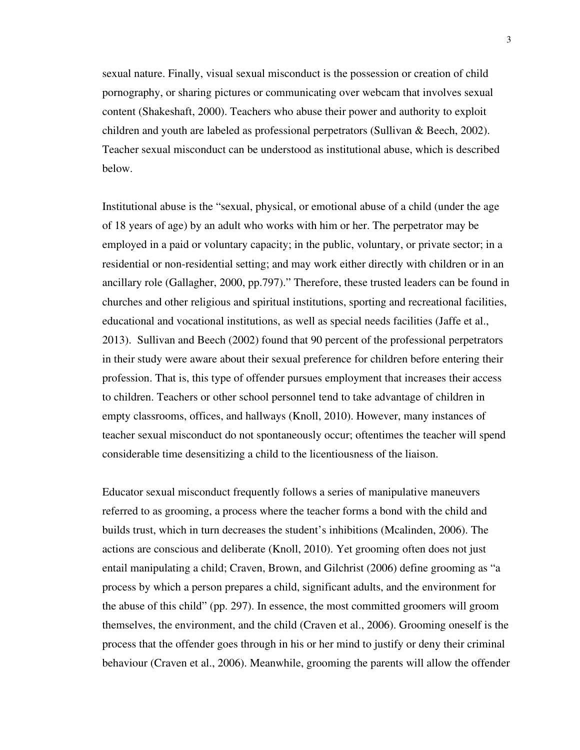sexual nature. Finally, visual sexual misconduct is the possession or creation of child pornography, or sharing pictures or communicating over webcam that involves sexual content (Shakeshaft, 2000). Teachers who abuse their power and authority to exploit children and youth are labeled as professional perpetrators (Sullivan & Beech, 2002). Teacher sexual misconduct can be understood as institutional abuse, which is described below.

Institutional abuse is the "sexual, physical, or emotional abuse of a child (under the age of 18 years of age) by an adult who works with him or her. The perpetrator may be employed in a paid or voluntary capacity; in the public, voluntary, or private sector; in a residential or non-residential setting; and may work either directly with children or in an ancillary role (Gallagher, 2000, pp.797)." Therefore, these trusted leaders can be found in churches and other religious and spiritual institutions, sporting and recreational facilities, educational and vocational institutions, as well as special needs facilities (Jaffe et al., 2013). Sullivan and Beech (2002) found that 90 percent of the professional perpetrators in their study were aware about their sexual preference for children before entering their profession. That is, this type of offender pursues employment that increases their access to children. Teachers or other school personnel tend to take advantage of children in empty classrooms, offices, and hallways (Knoll, 2010). However, many instances of teacher sexual misconduct do not spontaneously occur; oftentimes the teacher will spend considerable time desensitizing a child to the licentiousness of the liaison.

Educator sexual misconduct frequently follows a series of manipulative maneuvers referred to as grooming, a process where the teacher forms a bond with the child and builds trust, which in turn decreases the student's inhibitions (Mcalinden, 2006). The actions are conscious and deliberate (Knoll, 2010). Yet grooming often does not just entail manipulating a child; Craven, Brown, and Gilchrist (2006) define grooming as "a process by which a person prepares a child, significant adults, and the environment for the abuse of this child" (pp. 297). In essence, the most committed groomers will groom themselves, the environment, and the child (Craven et al., 2006). Grooming oneself is the process that the offender goes through in his or her mind to justify or deny their criminal behaviour (Craven et al., 2006). Meanwhile, grooming the parents will allow the offender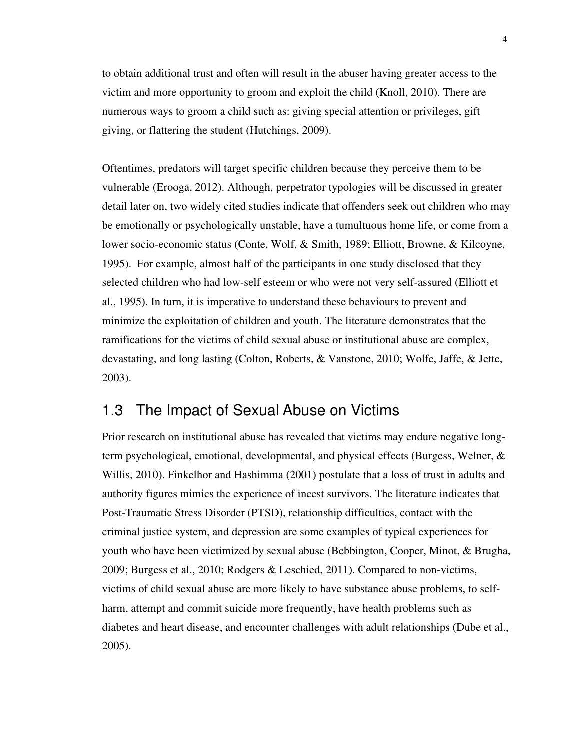to obtain additional trust and often will result in the abuser having greater access to the victim and more opportunity to groom and exploit the child (Knoll, 2010). There are numerous ways to groom a child such as: giving special attention or privileges, gift giving, or flattering the student (Hutchings, 2009).

Oftentimes, predators will target specific children because they perceive them to be vulnerable (Erooga, 2012). Although, perpetrator typologies will be discussed in greater detail later on, two widely cited studies indicate that offenders seek out children who may be emotionally or psychologically unstable, have a tumultuous home life, or come from a lower socio-economic status (Conte, Wolf, & Smith, 1989; Elliott, Browne, & Kilcoyne, 1995). For example, almost half of the participants in one study disclosed that they selected children who had low-self esteem or who were not very self-assured (Elliott et al., 1995). In turn, it is imperative to understand these behaviours to prevent and minimize the exploitation of children and youth. The literature demonstrates that the ramifications for the victims of child sexual abuse or institutional abuse are complex, devastating, and long lasting (Colton, Roberts, & Vanstone, 2010; Wolfe, Jaffe, & Jette, 2003).

### 1.3 The Impact of Sexual Abuse on Victims

Prior research on institutional abuse has revealed that victims may endure negative longterm psychological, emotional, developmental, and physical effects (Burgess, Welner, & Willis, 2010). Finkelhor and Hashimma (2001) postulate that a loss of trust in adults and authority figures mimics the experience of incest survivors. The literature indicates that Post-Traumatic Stress Disorder (PTSD), relationship difficulties, contact with the criminal justice system, and depression are some examples of typical experiences for youth who have been victimized by sexual abuse (Bebbington, Cooper, Minot, & Brugha, 2009; Burgess et al., 2010; Rodgers & Leschied, 2011). Compared to non-victims, victims of child sexual abuse are more likely to have substance abuse problems, to selfharm, attempt and commit suicide more frequently, have health problems such as diabetes and heart disease, and encounter challenges with adult relationships (Dube et al., 2005).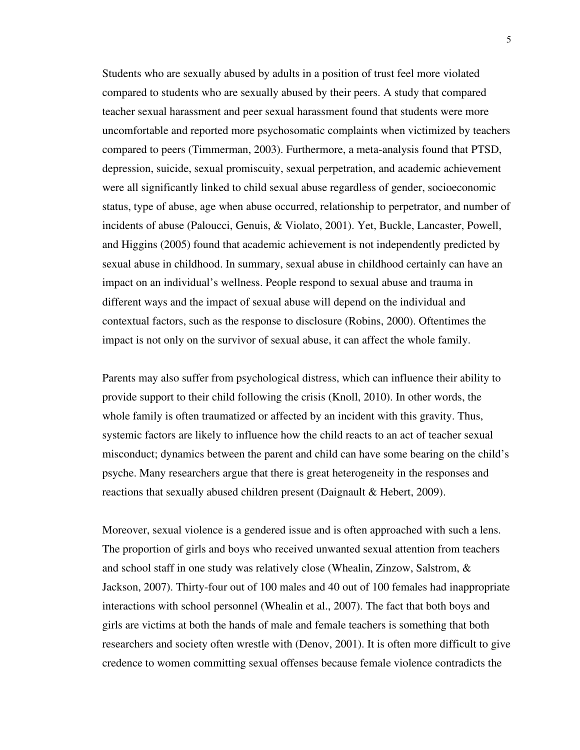Students who are sexually abused by adults in a position of trust feel more violated compared to students who are sexually abused by their peers. A study that compared teacher sexual harassment and peer sexual harassment found that students were more uncomfortable and reported more psychosomatic complaints when victimized by teachers compared to peers (Timmerman, 2003). Furthermore, a meta-analysis found that PTSD, depression, suicide, sexual promiscuity, sexual perpetration, and academic achievement were all significantly linked to child sexual abuse regardless of gender, socioeconomic status, type of abuse, age when abuse occurred, relationship to perpetrator, and number of incidents of abuse (Paloucci, Genuis, & Violato, 2001). Yet, Buckle, Lancaster, Powell, and Higgins (2005) found that academic achievement is not independently predicted by sexual abuse in childhood. In summary, sexual abuse in childhood certainly can have an impact on an individual's wellness. People respond to sexual abuse and trauma in different ways and the impact of sexual abuse will depend on the individual and contextual factors, such as the response to disclosure (Robins, 2000). Oftentimes the impact is not only on the survivor of sexual abuse, it can affect the whole family.

Parents may also suffer from psychological distress, which can influence their ability to provide support to their child following the crisis (Knoll, 2010). In other words, the whole family is often traumatized or affected by an incident with this gravity. Thus, systemic factors are likely to influence how the child reacts to an act of teacher sexual misconduct; dynamics between the parent and child can have some bearing on the child's psyche. Many researchers argue that there is great heterogeneity in the responses and reactions that sexually abused children present (Daignault & Hebert, 2009).

Moreover, sexual violence is a gendered issue and is often approached with such a lens. The proportion of girls and boys who received unwanted sexual attention from teachers and school staff in one study was relatively close (Whealin, Zinzow, Salstrom, & Jackson, 2007). Thirty-four out of 100 males and 40 out of 100 females had inappropriate interactions with school personnel (Whealin et al., 2007). The fact that both boys and girls are victims at both the hands of male and female teachers is something that both researchers and society often wrestle with (Denov, 2001). It is often more difficult to give credence to women committing sexual offenses because female violence contradicts the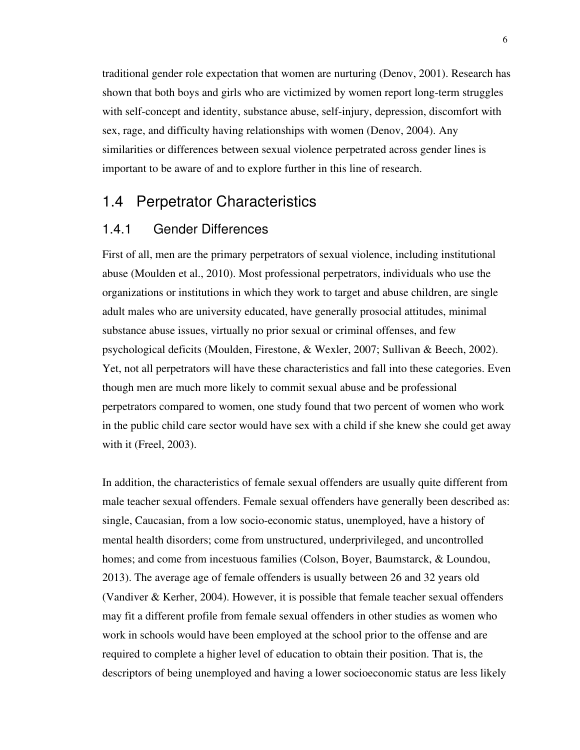traditional gender role expectation that women are nurturing (Denov, 2001). Research has shown that both boys and girls who are victimized by women report long-term struggles with self-concept and identity, substance abuse, self-injury, depression, discomfort with sex, rage, and difficulty having relationships with women (Denov, 2004). Any similarities or differences between sexual violence perpetrated across gender lines is important to be aware of and to explore further in this line of research.

#### 1.4 Perpetrator Characteristics

#### 1.4.1 Gender Differences

First of all, men are the primary perpetrators of sexual violence, including institutional abuse (Moulden et al., 2010). Most professional perpetrators, individuals who use the organizations or institutions in which they work to target and abuse children, are single adult males who are university educated, have generally prosocial attitudes, minimal substance abuse issues, virtually no prior sexual or criminal offenses, and few psychological deficits (Moulden, Firestone, & Wexler, 2007; Sullivan & Beech, 2002). Yet, not all perpetrators will have these characteristics and fall into these categories. Even though men are much more likely to commit sexual abuse and be professional perpetrators compared to women, one study found that two percent of women who work in the public child care sector would have sex with a child if she knew she could get away with it (Freel, 2003).

In addition, the characteristics of female sexual offenders are usually quite different from male teacher sexual offenders. Female sexual offenders have generally been described as: single, Caucasian, from a low socio-economic status, unemployed, have a history of mental health disorders; come from unstructured, underprivileged, and uncontrolled homes; and come from incestuous families (Colson, Boyer, Baumstarck, & Loundou, 2013). The average age of female offenders is usually between 26 and 32 years old (Vandiver & Kerher, 2004). However, it is possible that female teacher sexual offenders may fit a different profile from female sexual offenders in other studies as women who work in schools would have been employed at the school prior to the offense and are required to complete a higher level of education to obtain their position. That is, the descriptors of being unemployed and having a lower socioeconomic status are less likely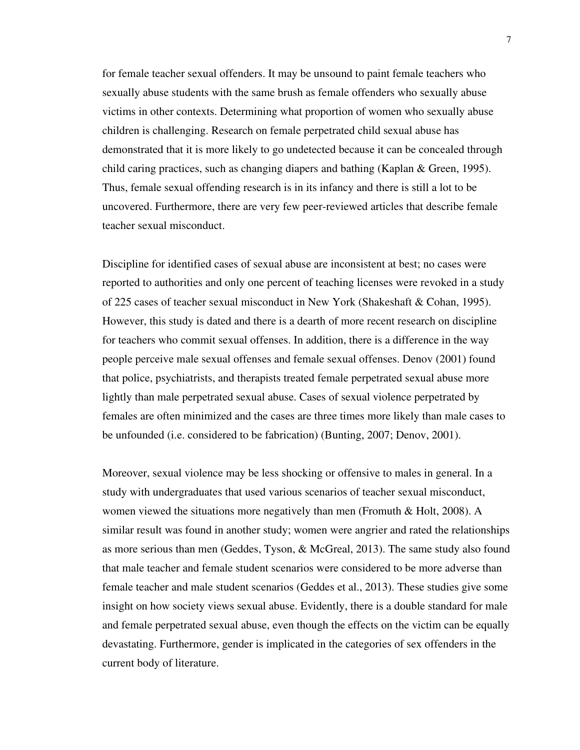for female teacher sexual offenders. It may be unsound to paint female teachers who sexually abuse students with the same brush as female offenders who sexually abuse victims in other contexts. Determining what proportion of women who sexually abuse children is challenging. Research on female perpetrated child sexual abuse has demonstrated that it is more likely to go undetected because it can be concealed through child caring practices, such as changing diapers and bathing (Kaplan & Green, 1995). Thus, female sexual offending research is in its infancy and there is still a lot to be uncovered. Furthermore, there are very few peer-reviewed articles that describe female teacher sexual misconduct.

Discipline for identified cases of sexual abuse are inconsistent at best; no cases were reported to authorities and only one percent of teaching licenses were revoked in a study of 225 cases of teacher sexual misconduct in New York (Shakeshaft & Cohan, 1995). However, this study is dated and there is a dearth of more recent research on discipline for teachers who commit sexual offenses. In addition, there is a difference in the way people perceive male sexual offenses and female sexual offenses. Denov (2001) found that police, psychiatrists, and therapists treated female perpetrated sexual abuse more lightly than male perpetrated sexual abuse. Cases of sexual violence perpetrated by females are often minimized and the cases are three times more likely than male cases to be unfounded (i.e. considered to be fabrication) (Bunting, 2007; Denov, 2001).

Moreover, sexual violence may be less shocking or offensive to males in general. In a study with undergraduates that used various scenarios of teacher sexual misconduct, women viewed the situations more negatively than men (Fromuth  $& Holt, 2008$ ). A similar result was found in another study; women were angrier and rated the relationships as more serious than men (Geddes, Tyson, & McGreal, 2013). The same study also found that male teacher and female student scenarios were considered to be more adverse than female teacher and male student scenarios (Geddes et al., 2013). These studies give some insight on how society views sexual abuse. Evidently, there is a double standard for male and female perpetrated sexual abuse, even though the effects on the victim can be equally devastating. Furthermore, gender is implicated in the categories of sex offenders in the current body of literature.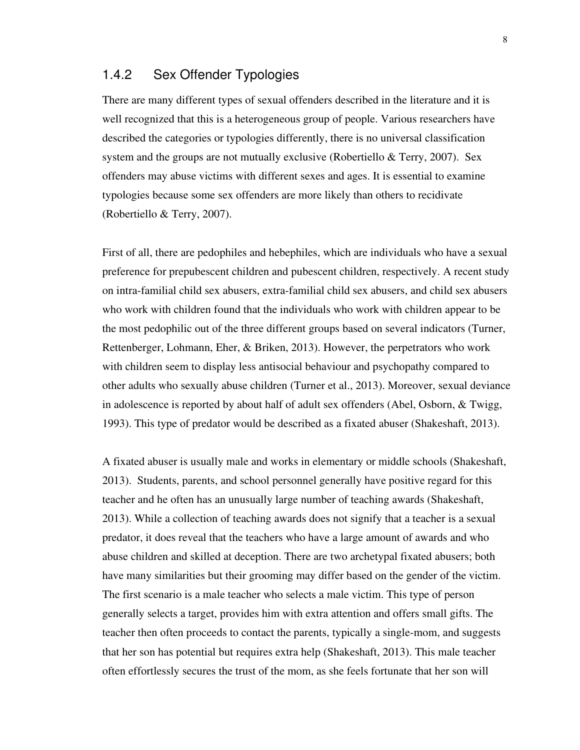#### 1.4.2 Sex Offender Typologies

There are many different types of sexual offenders described in the literature and it is well recognized that this is a heterogeneous group of people. Various researchers have described the categories or typologies differently, there is no universal classification system and the groups are not mutually exclusive (Robertiello & Terry, 2007). Sex offenders may abuse victims with different sexes and ages. It is essential to examine typologies because some sex offenders are more likely than others to recidivate (Robertiello & Terry, 2007).

First of all, there are pedophiles and hebephiles, which are individuals who have a sexual preference for prepubescent children and pubescent children, respectively. A recent study on intra-familial child sex abusers, extra-familial child sex abusers, and child sex abusers who work with children found that the individuals who work with children appear to be the most pedophilic out of the three different groups based on several indicators (Turner, Rettenberger, Lohmann, Eher, & Briken, 2013). However, the perpetrators who work with children seem to display less antisocial behaviour and psychopathy compared to other adults who sexually abuse children (Turner et al., 2013). Moreover, sexual deviance in adolescence is reported by about half of adult sex offenders (Abel, Osborn, & Twigg, 1993). This type of predator would be described as a fixated abuser (Shakeshaft, 2013).

A fixated abuser is usually male and works in elementary or middle schools (Shakeshaft, 2013). Students, parents, and school personnel generally have positive regard for this teacher and he often has an unusually large number of teaching awards (Shakeshaft, 2013). While a collection of teaching awards does not signify that a teacher is a sexual predator, it does reveal that the teachers who have a large amount of awards and who abuse children and skilled at deception. There are two archetypal fixated abusers; both have many similarities but their grooming may differ based on the gender of the victim. The first scenario is a male teacher who selects a male victim. This type of person generally selects a target, provides him with extra attention and offers small gifts. The teacher then often proceeds to contact the parents, typically a single-mom, and suggests that her son has potential but requires extra help (Shakeshaft, 2013). This male teacher often effortlessly secures the trust of the mom, as she feels fortunate that her son will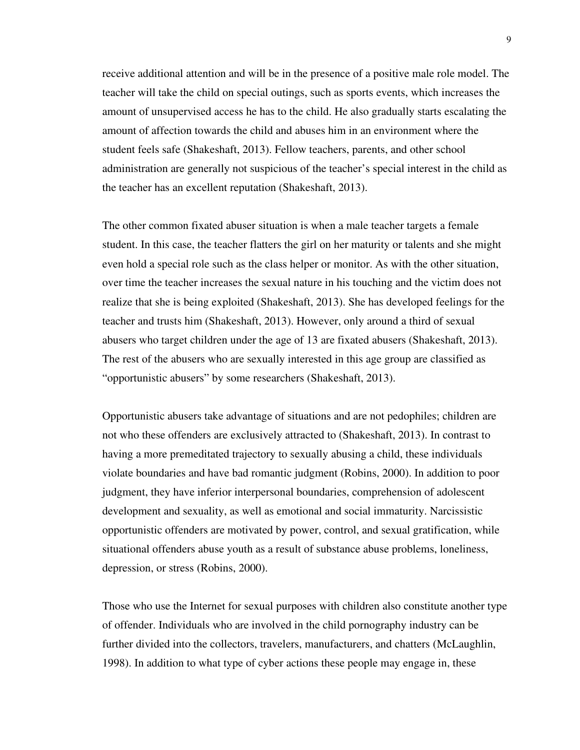receive additional attention and will be in the presence of a positive male role model. The teacher will take the child on special outings, such as sports events, which increases the amount of unsupervised access he has to the child. He also gradually starts escalating the amount of affection towards the child and abuses him in an environment where the student feels safe (Shakeshaft, 2013). Fellow teachers, parents, and other school administration are generally not suspicious of the teacher's special interest in the child as the teacher has an excellent reputation (Shakeshaft, 2013).

The other common fixated abuser situation is when a male teacher targets a female student. In this case, the teacher flatters the girl on her maturity or talents and she might even hold a special role such as the class helper or monitor. As with the other situation, over time the teacher increases the sexual nature in his touching and the victim does not realize that she is being exploited (Shakeshaft, 2013). She has developed feelings for the teacher and trusts him (Shakeshaft, 2013). However, only around a third of sexual abusers who target children under the age of 13 are fixated abusers (Shakeshaft, 2013). The rest of the abusers who are sexually interested in this age group are classified as "opportunistic abusers" by some researchers (Shakeshaft, 2013).

Opportunistic abusers take advantage of situations and are not pedophiles; children are not who these offenders are exclusively attracted to (Shakeshaft, 2013). In contrast to having a more premeditated trajectory to sexually abusing a child, these individuals violate boundaries and have bad romantic judgment (Robins, 2000). In addition to poor judgment, they have inferior interpersonal boundaries, comprehension of adolescent development and sexuality, as well as emotional and social immaturity. Narcissistic opportunistic offenders are motivated by power, control, and sexual gratification, while situational offenders abuse youth as a result of substance abuse problems, loneliness, depression, or stress (Robins, 2000).

Those who use the Internet for sexual purposes with children also constitute another type of offender. Individuals who are involved in the child pornography industry can be further divided into the collectors, travelers, manufacturers, and chatters (McLaughlin, 1998). In addition to what type of cyber actions these people may engage in, these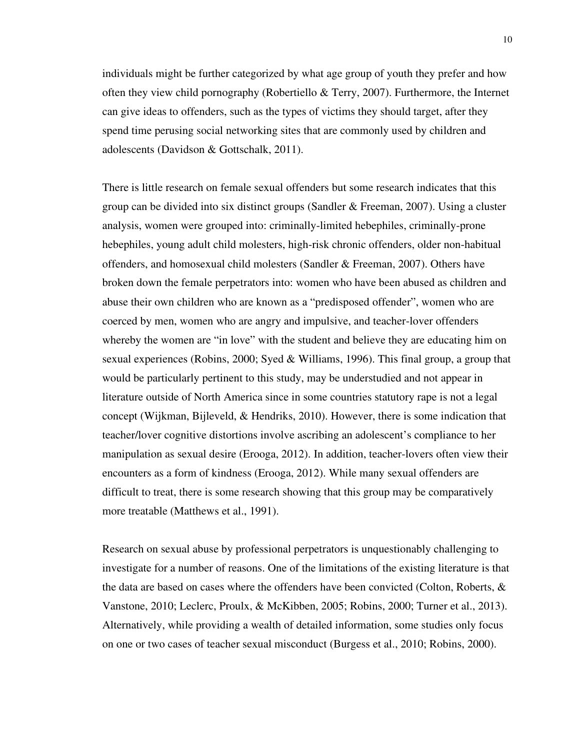individuals might be further categorized by what age group of youth they prefer and how often they view child pornography (Robertiello  $\&$  Terry, 2007). Furthermore, the Internet can give ideas to offenders, such as the types of victims they should target, after they spend time perusing social networking sites that are commonly used by children and adolescents (Davidson & Gottschalk, 2011).

There is little research on female sexual offenders but some research indicates that this group can be divided into six distinct groups (Sandler  $&$  Freeman, 2007). Using a cluster analysis, women were grouped into: criminally-limited hebephiles, criminally-prone hebephiles, young adult child molesters, high-risk chronic offenders, older non-habitual offenders, and homosexual child molesters (Sandler & Freeman, 2007). Others have broken down the female perpetrators into: women who have been abused as children and abuse their own children who are known as a "predisposed offender", women who are coerced by men, women who are angry and impulsive, and teacher-lover offenders whereby the women are "in love" with the student and believe they are educating him on sexual experiences (Robins, 2000; Syed & Williams, 1996). This final group, a group that would be particularly pertinent to this study, may be understudied and not appear in literature outside of North America since in some countries statutory rape is not a legal concept (Wijkman, Bijleveld, & Hendriks, 2010). However, there is some indication that teacher/lover cognitive distortions involve ascribing an adolescent's compliance to her manipulation as sexual desire (Erooga, 2012). In addition, teacher-lovers often view their encounters as a form of kindness (Erooga, 2012). While many sexual offenders are difficult to treat, there is some research showing that this group may be comparatively more treatable (Matthews et al., 1991).

Research on sexual abuse by professional perpetrators is unquestionably challenging to investigate for a number of reasons. One of the limitations of the existing literature is that the data are based on cases where the offenders have been convicted (Colton, Roberts, & Vanstone, 2010; Leclerc, Proulx, & McKibben, 2005; Robins, 2000; Turner et al., 2013). Alternatively, while providing a wealth of detailed information, some studies only focus on one or two cases of teacher sexual misconduct (Burgess et al., 2010; Robins, 2000).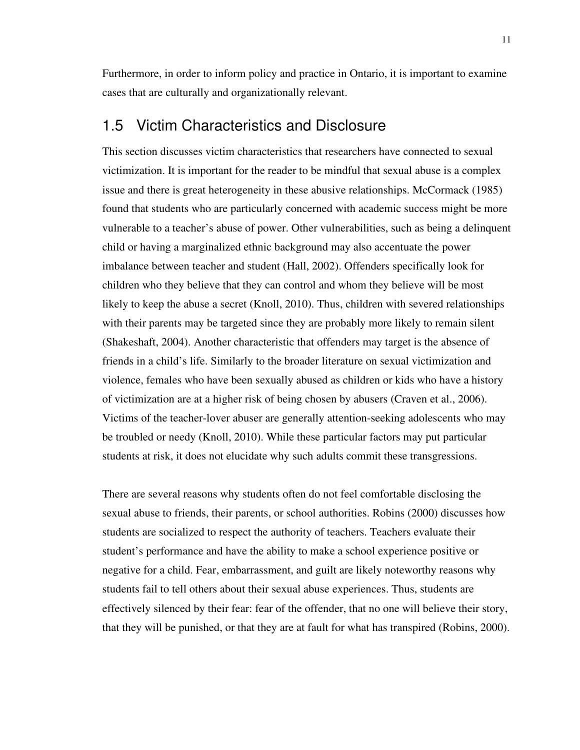Furthermore, in order to inform policy and practice in Ontario, it is important to examine cases that are culturally and organizationally relevant.

#### 1.5 Victim Characteristics and Disclosure

This section discusses victim characteristics that researchers have connected to sexual victimization. It is important for the reader to be mindful that sexual abuse is a complex issue and there is great heterogeneity in these abusive relationships. McCormack (1985) found that students who are particularly concerned with academic success might be more vulnerable to a teacher's abuse of power. Other vulnerabilities, such as being a delinquent child or having a marginalized ethnic background may also accentuate the power imbalance between teacher and student (Hall, 2002). Offenders specifically look for children who they believe that they can control and whom they believe will be most likely to keep the abuse a secret (Knoll, 2010). Thus, children with severed relationships with their parents may be targeted since they are probably more likely to remain silent (Shakeshaft, 2004). Another characteristic that offenders may target is the absence of friends in a child's life. Similarly to the broader literature on sexual victimization and violence, females who have been sexually abused as children or kids who have a history of victimization are at a higher risk of being chosen by abusers (Craven et al., 2006). Victims of the teacher-lover abuser are generally attention-seeking adolescents who may be troubled or needy (Knoll, 2010). While these particular factors may put particular students at risk, it does not elucidate why such adults commit these transgressions.

There are several reasons why students often do not feel comfortable disclosing the sexual abuse to friends, their parents, or school authorities. Robins (2000) discusses how students are socialized to respect the authority of teachers. Teachers evaluate their student's performance and have the ability to make a school experience positive or negative for a child. Fear, embarrassment, and guilt are likely noteworthy reasons why students fail to tell others about their sexual abuse experiences. Thus, students are effectively silenced by their fear: fear of the offender, that no one will believe their story, that they will be punished, or that they are at fault for what has transpired (Robins, 2000).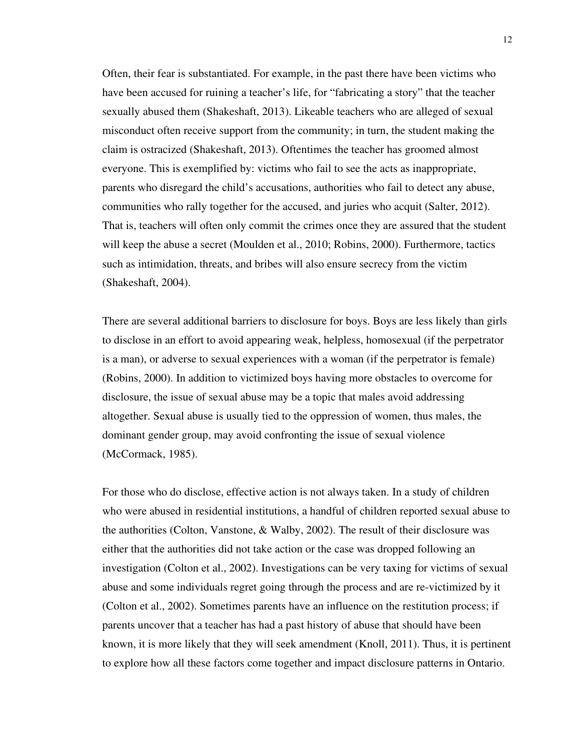Often, their fear is substantiated. For example, in the past there have been victims who have been accused for ruining a teacher's life, for "fabricating a story" that the teacher sexually abused them (Shakeshaft, 2013). Likeable teachers who are alleged of sexual misconduct often receive support from the community; in turn, the student making the claim is ostracized (Shakeshaft, 2013). Oftentimes the teacher has groomed almost everyone. This is exemplified by: victims who fail to see the acts as inappropriate, parents who disregard the child's accusations, authorities who fail to detect any abuse, communities who rally together for the accused, and juries who acquit (Salter, 2012). That is, teachers will often only commit the crimes once they are assured that the student will keep the abuse a secret (Moulden et al., 2010; Robins, 2000). Furthermore, tactics such as intimidation, threats, and bribes will also ensure secrecy from the victim (Shakeshaft, 2004).

There are several additional barriers to disclosure for boys. Boys are less likely than girls to disclose in an effort to avoid appearing weak, helpless, homosexual (if the perpetrator is a man), or adverse to sexual experiences with a woman (if the perpetrator is female) (Robins, 2000). In addition to victimized boys having more obstacles to overcome for disclosure, the issue of sexual abuse may be a topic that males avoid addressing altogether. Sexual abuse is usually tied to the oppression of women, thus males, the dominant gender group, may avoid confronting the issue of sexual violence (McCormack, 1985).

For those who do disclose, effective action is not always taken. In a study of children who were abused in residential institutions, a handful of children reported sexual abuse to the authorities (Colton, Vanstone, & Walby, 2002). The result of their disclosure was either that the authorities did not take action or the case was dropped following an investigation (Colton et al., 2002). Investigations can be very taxing for victims of sexual abuse and some individuals regret going through the process and are re-victimized by it (Colton et al., 2002). Sometimes parents have an influence on the restitution process; if parents uncover that a teacher has had a past history of abuse that should have been known, it is more likely that they will seek amendment (Knoll, 2011). Thus, it is pertinent to explore how all these factors come together and impact disclosure patterns in Ontario.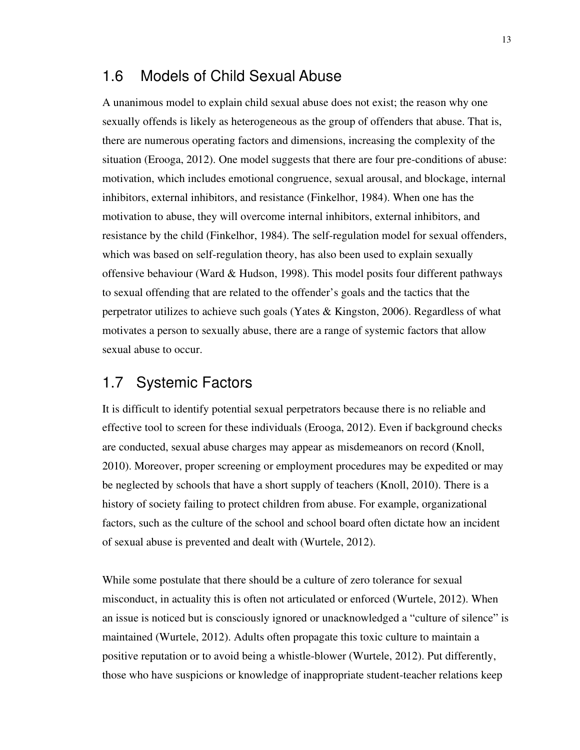#### 1.6 Models of Child Sexual Abuse

A unanimous model to explain child sexual abuse does not exist; the reason why one sexually offends is likely as heterogeneous as the group of offenders that abuse. That is, there are numerous operating factors and dimensions, increasing the complexity of the situation (Erooga, 2012). One model suggests that there are four pre-conditions of abuse: motivation, which includes emotional congruence, sexual arousal, and blockage, internal inhibitors, external inhibitors, and resistance (Finkelhor, 1984). When one has the motivation to abuse, they will overcome internal inhibitors, external inhibitors, and resistance by the child (Finkelhor, 1984). The self-regulation model for sexual offenders, which was based on self-regulation theory, has also been used to explain sexually offensive behaviour (Ward & Hudson, 1998). This model posits four different pathways to sexual offending that are related to the offender's goals and the tactics that the perpetrator utilizes to achieve such goals (Yates & Kingston, 2006). Regardless of what motivates a person to sexually abuse, there are a range of systemic factors that allow sexual abuse to occur.

#### 1.7 Systemic Factors

It is difficult to identify potential sexual perpetrators because there is no reliable and effective tool to screen for these individuals (Erooga, 2012). Even if background checks are conducted, sexual abuse charges may appear as misdemeanors on record (Knoll, 2010). Moreover, proper screening or employment procedures may be expedited or may be neglected by schools that have a short supply of teachers (Knoll, 2010). There is a history of society failing to protect children from abuse. For example, organizational factors, such as the culture of the school and school board often dictate how an incident of sexual abuse is prevented and dealt with (Wurtele, 2012).

While some postulate that there should be a culture of zero tolerance for sexual misconduct, in actuality this is often not articulated or enforced (Wurtele, 2012). When an issue is noticed but is consciously ignored or unacknowledged a "culture of silence" is maintained (Wurtele, 2012). Adults often propagate this toxic culture to maintain a positive reputation or to avoid being a whistle-blower (Wurtele, 2012). Put differently, those who have suspicions or knowledge of inappropriate student-teacher relations keep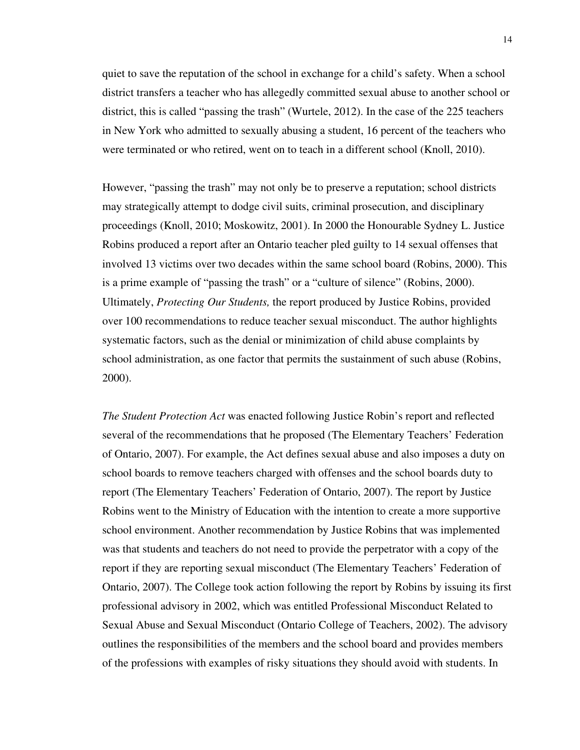quiet to save the reputation of the school in exchange for a child's safety. When a school district transfers a teacher who has allegedly committed sexual abuse to another school or district, this is called "passing the trash" (Wurtele, 2012). In the case of the 225 teachers in New York who admitted to sexually abusing a student, 16 percent of the teachers who were terminated or who retired, went on to teach in a different school (Knoll, 2010).

However, "passing the trash" may not only be to preserve a reputation; school districts may strategically attempt to dodge civil suits, criminal prosecution, and disciplinary proceedings (Knoll, 2010; Moskowitz, 2001). In 2000 the Honourable Sydney L. Justice Robins produced a report after an Ontario teacher pled guilty to 14 sexual offenses that involved 13 victims over two decades within the same school board (Robins, 2000). This is a prime example of "passing the trash" or a "culture of silence" (Robins, 2000). Ultimately, *Protecting Our Students,* the report produced by Justice Robins, provided over 100 recommendations to reduce teacher sexual misconduct. The author highlights systematic factors, such as the denial or minimization of child abuse complaints by school administration, as one factor that permits the sustainment of such abuse (Robins, 2000).

*The Student Protection Act* was enacted following Justice Robin's report and reflected several of the recommendations that he proposed (The Elementary Teachers' Federation of Ontario, 2007). For example, the Act defines sexual abuse and also imposes a duty on school boards to remove teachers charged with offenses and the school boards duty to report (The Elementary Teachers' Federation of Ontario, 2007). The report by Justice Robins went to the Ministry of Education with the intention to create a more supportive school environment. Another recommendation by Justice Robins that was implemented was that students and teachers do not need to provide the perpetrator with a copy of the report if they are reporting sexual misconduct (The Elementary Teachers' Federation of Ontario, 2007). The College took action following the report by Robins by issuing its first professional advisory in 2002, which was entitled Professional Misconduct Related to Sexual Abuse and Sexual Misconduct (Ontario College of Teachers, 2002). The advisory outlines the responsibilities of the members and the school board and provides members of the professions with examples of risky situations they should avoid with students. In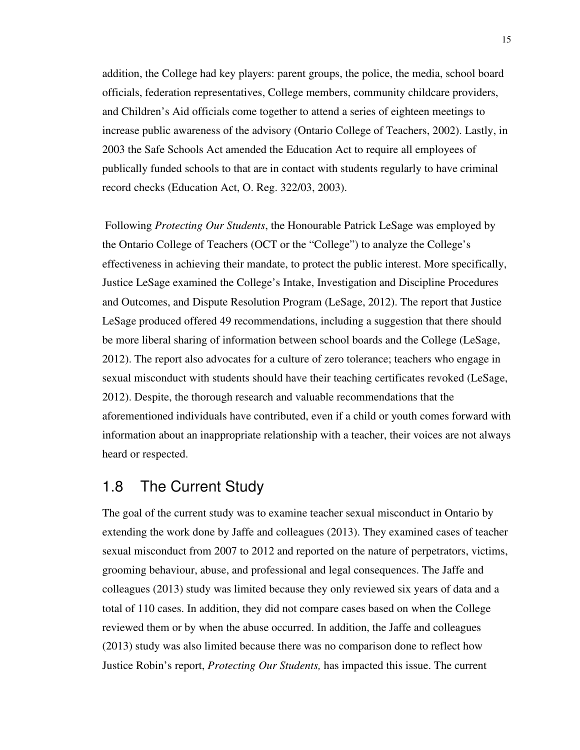addition, the College had key players: parent groups, the police, the media, school board officials, federation representatives, College members, community childcare providers, and Children's Aid officials come together to attend a series of eighteen meetings to increase public awareness of the advisory (Ontario College of Teachers, 2002). Lastly, in 2003 the Safe Schools Act amended the Education Act to require all employees of publically funded schools to that are in contact with students regularly to have criminal record checks (Education Act, O. Reg. 322/03, 2003).

 Following *Protecting Our Students*, the Honourable Patrick LeSage was employed by the Ontario College of Teachers (OCT or the "College") to analyze the College's effectiveness in achieving their mandate, to protect the public interest. More specifically, Justice LeSage examined the College's Intake, Investigation and Discipline Procedures and Outcomes, and Dispute Resolution Program (LeSage, 2012). The report that Justice LeSage produced offered 49 recommendations, including a suggestion that there should be more liberal sharing of information between school boards and the College (LeSage, 2012). The report also advocates for a culture of zero tolerance; teachers who engage in sexual misconduct with students should have their teaching certificates revoked (LeSage, 2012). Despite, the thorough research and valuable recommendations that the aforementioned individuals have contributed, even if a child or youth comes forward with information about an inappropriate relationship with a teacher, their voices are not always heard or respected.

## 1.8 The Current Study

The goal of the current study was to examine teacher sexual misconduct in Ontario by extending the work done by Jaffe and colleagues (2013). They examined cases of teacher sexual misconduct from 2007 to 2012 and reported on the nature of perpetrators, victims, grooming behaviour, abuse, and professional and legal consequences. The Jaffe and colleagues (2013) study was limited because they only reviewed six years of data and a total of 110 cases. In addition, they did not compare cases based on when the College reviewed them or by when the abuse occurred. In addition, the Jaffe and colleagues (2013) study was also limited because there was no comparison done to reflect how Justice Robin's report, *Protecting Our Students,* has impacted this issue. The current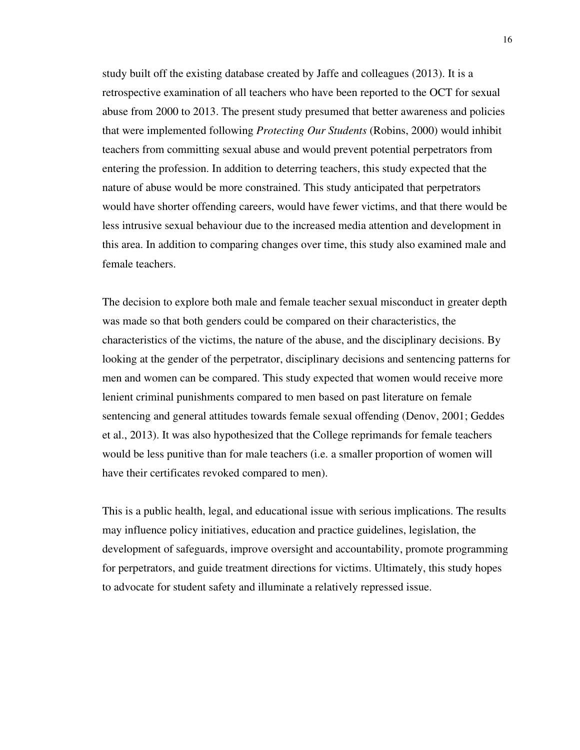study built off the existing database created by Jaffe and colleagues (2013). It is a retrospective examination of all teachers who have been reported to the OCT for sexual abuse from 2000 to 2013. The present study presumed that better awareness and policies that were implemented following *Protecting Our Students* (Robins, 2000) would inhibit teachers from committing sexual abuse and would prevent potential perpetrators from entering the profession. In addition to deterring teachers, this study expected that the nature of abuse would be more constrained. This study anticipated that perpetrators would have shorter offending careers, would have fewer victims, and that there would be less intrusive sexual behaviour due to the increased media attention and development in this area. In addition to comparing changes over time, this study also examined male and female teachers.

The decision to explore both male and female teacher sexual misconduct in greater depth was made so that both genders could be compared on their characteristics, the characteristics of the victims, the nature of the abuse, and the disciplinary decisions. By looking at the gender of the perpetrator, disciplinary decisions and sentencing patterns for men and women can be compared. This study expected that women would receive more lenient criminal punishments compared to men based on past literature on female sentencing and general attitudes towards female sexual offending (Denov, 2001; Geddes et al., 2013). It was also hypothesized that the College reprimands for female teachers would be less punitive than for male teachers (i.e. a smaller proportion of women will have their certificates revoked compared to men).

This is a public health, legal, and educational issue with serious implications. The results may influence policy initiatives, education and practice guidelines, legislation, the development of safeguards, improve oversight and accountability, promote programming for perpetrators, and guide treatment directions for victims. Ultimately, this study hopes to advocate for student safety and illuminate a relatively repressed issue.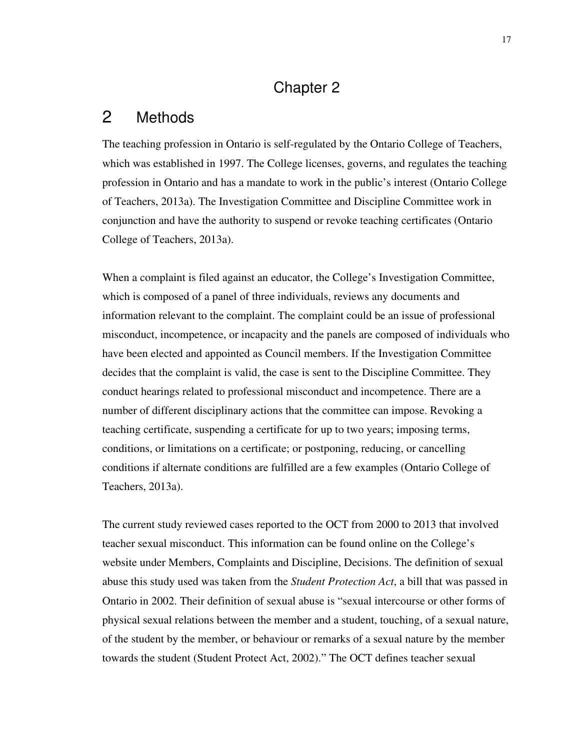## Chapter 2

#### 2 Methods

The teaching profession in Ontario is self-regulated by the Ontario College of Teachers, which was established in 1997. The College licenses, governs, and regulates the teaching profession in Ontario and has a mandate to work in the public's interest (Ontario College of Teachers, 2013a). The Investigation Committee and Discipline Committee work in conjunction and have the authority to suspend or revoke teaching certificates (Ontario College of Teachers, 2013a).

When a complaint is filed against an educator, the College's Investigation Committee, which is composed of a panel of three individuals, reviews any documents and information relevant to the complaint. The complaint could be an issue of professional misconduct, incompetence, or incapacity and the panels are composed of individuals who have been elected and appointed as Council members. If the Investigation Committee decides that the complaint is valid, the case is sent to the Discipline Committee. They conduct hearings related to professional misconduct and incompetence. There are a number of different disciplinary actions that the committee can impose. Revoking a teaching certificate, suspending a certificate for up to two years; imposing terms, conditions, or limitations on a certificate; or postponing, reducing, or cancelling conditions if alternate conditions are fulfilled are a few examples (Ontario College of Teachers, 2013a).

The current study reviewed cases reported to the OCT from 2000 to 2013 that involved teacher sexual misconduct. This information can be found online on the College's website under Members, Complaints and Discipline, Decisions. The definition of sexual abuse this study used was taken from the *Student Protection Act*, a bill that was passed in Ontario in 2002. Their definition of sexual abuse is "sexual intercourse or other forms of physical sexual relations between the member and a student, touching, of a sexual nature, of the student by the member, or behaviour or remarks of a sexual nature by the member towards the student (Student Protect Act, 2002)." The OCT defines teacher sexual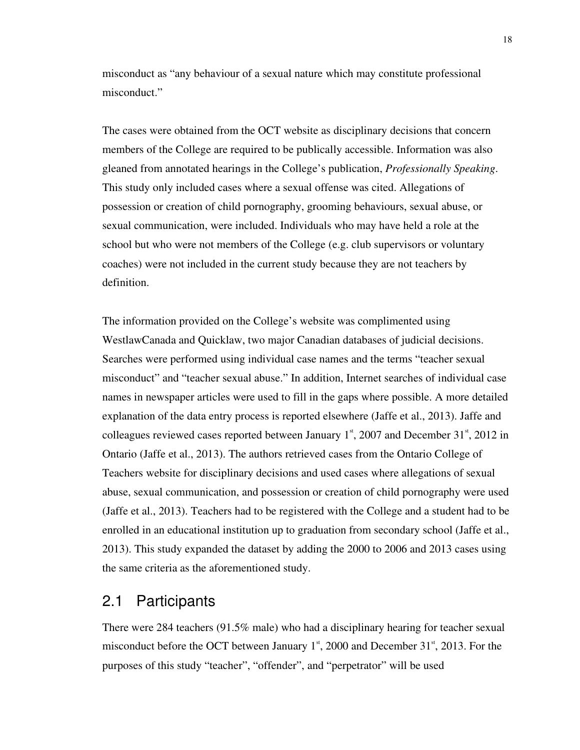misconduct as "any behaviour of a sexual nature which may constitute professional misconduct."

The cases were obtained from the OCT website as disciplinary decisions that concern members of the College are required to be publically accessible. Information was also gleaned from annotated hearings in the College's publication, *Professionally Speaking*. This study only included cases where a sexual offense was cited. Allegations of possession or creation of child pornography, grooming behaviours, sexual abuse, or sexual communication, were included. Individuals who may have held a role at the school but who were not members of the College (e.g. club supervisors or voluntary coaches) were not included in the current study because they are not teachers by definition.

The information provided on the College's website was complimented using WestlawCanada and Quicklaw, two major Canadian databases of judicial decisions. Searches were performed using individual case names and the terms "teacher sexual misconduct" and "teacher sexual abuse." In addition, Internet searches of individual case names in newspaper articles were used to fill in the gaps where possible. A more detailed explanation of the data entry process is reported elsewhere (Jaffe et al., 2013). Jaffe and colleagues reviewed cases reported between January  $1<sup>st</sup>$ , 2007 and December 31 $<sup>st</sup>$ , 2012 in</sup> Ontario (Jaffe et al., 2013). The authors retrieved cases from the Ontario College of Teachers website for disciplinary decisions and used cases where allegations of sexual abuse, sexual communication, and possession or creation of child pornography were used (Jaffe et al., 2013). Teachers had to be registered with the College and a student had to be enrolled in an educational institution up to graduation from secondary school (Jaffe et al., 2013). This study expanded the dataset by adding the 2000 to 2006 and 2013 cases using the same criteria as the aforementioned study.

#### 2.1 Participants

There were 284 teachers (91.5% male) who had a disciplinary hearing for teacher sexual misconduct before the OCT between January  $1<sup>st</sup>$ , 2000 and December 31 $<sup>st</sup>$ , 2013. For the</sup> purposes of this study "teacher", "offender", and "perpetrator" will be used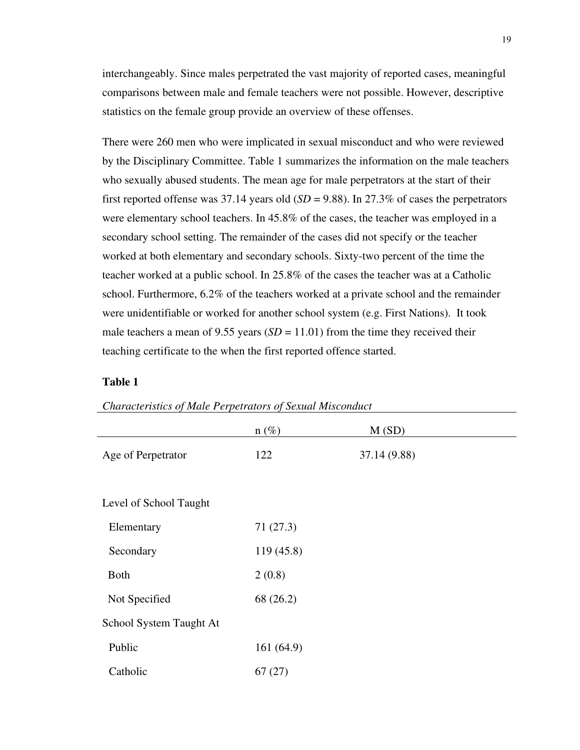interchangeably. Since males perpetrated the vast majority of reported cases, meaningful comparisons between male and female teachers were not possible. However, descriptive statistics on the female group provide an overview of these offenses.

There were 260 men who were implicated in sexual misconduct and who were reviewed by the Disciplinary Committee. Table 1 summarizes the information on the male teachers who sexually abused students. The mean age for male perpetrators at the start of their first reported offense was 37.14 years old  $(SD = 9.88)$ . In 27.3% of cases the perpetrators were elementary school teachers. In 45.8% of the cases, the teacher was employed in a secondary school setting. The remainder of the cases did not specify or the teacher worked at both elementary and secondary schools. Sixty-two percent of the time the teacher worked at a public school. In 25.8% of the cases the teacher was at a Catholic school. Furthermore, 6.2% of the teachers worked at a private school and the remainder were unidentifiable or worked for another school system (e.g. First Nations). It took male teachers a mean of 9.55 years  $(SD = 11.01)$  from the time they received their teaching certificate to the when the first reported offence started.

#### **Table 1**

|                         | $n(\%)$   | M(SD)        |  |
|-------------------------|-----------|--------------|--|
| Age of Perpetrator      | 122       | 37.14 (9.88) |  |
|                         |           |              |  |
| Level of School Taught  |           |              |  |
| Elementary              | 71(27.3)  |              |  |
| Secondary               | 119(45.8) |              |  |
| <b>Both</b>             | 2(0.8)    |              |  |
| Not Specified           | 68 (26.2) |              |  |
| School System Taught At |           |              |  |
| Public                  | 161(64.9) |              |  |
| Catholic                | 67(27)    |              |  |

*Characteristics of Male Perpetrators of Sexual Misconduct*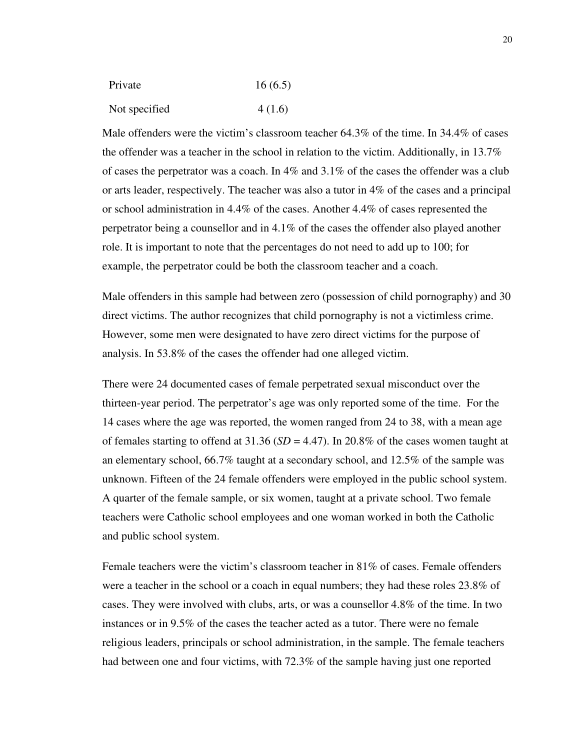| Private       | 16(6.5) |
|---------------|---------|
| Not specified | 4(1.6)  |

Male offenders were the victim's classroom teacher  $64.3\%$  of the time. In 34.4% of cases the offender was a teacher in the school in relation to the victim. Additionally, in 13.7% of cases the perpetrator was a coach. In 4% and 3.1% of the cases the offender was a club or arts leader, respectively. The teacher was also a tutor in 4% of the cases and a principal or school administration in 4.4% of the cases. Another 4.4% of cases represented the perpetrator being a counsellor and in 4.1% of the cases the offender also played another role. It is important to note that the percentages do not need to add up to 100; for example, the perpetrator could be both the classroom teacher and a coach.

Male offenders in this sample had between zero (possession of child pornography) and 30 direct victims. The author recognizes that child pornography is not a victimless crime. However, some men were designated to have zero direct victims for the purpose of analysis. In 53.8% of the cases the offender had one alleged victim.

There were 24 documented cases of female perpetrated sexual misconduct over the thirteen-year period. The perpetrator's age was only reported some of the time. For the 14 cases where the age was reported, the women ranged from 24 to 38, with a mean age of females starting to offend at  $31.36$  (*SD* = 4.47). In 20.8% of the cases women taught at an elementary school, 66.7% taught at a secondary school, and 12.5% of the sample was unknown. Fifteen of the 24 female offenders were employed in the public school system. A quarter of the female sample, or six women, taught at a private school. Two female teachers were Catholic school employees and one woman worked in both the Catholic and public school system.

Female teachers were the victim's classroom teacher in 81% of cases. Female offenders were a teacher in the school or a coach in equal numbers; they had these roles 23.8% of cases. They were involved with clubs, arts, or was a counsellor 4.8% of the time. In two instances or in 9.5% of the cases the teacher acted as a tutor. There were no female religious leaders, principals or school administration, in the sample. The female teachers had between one and four victims, with 72.3% of the sample having just one reported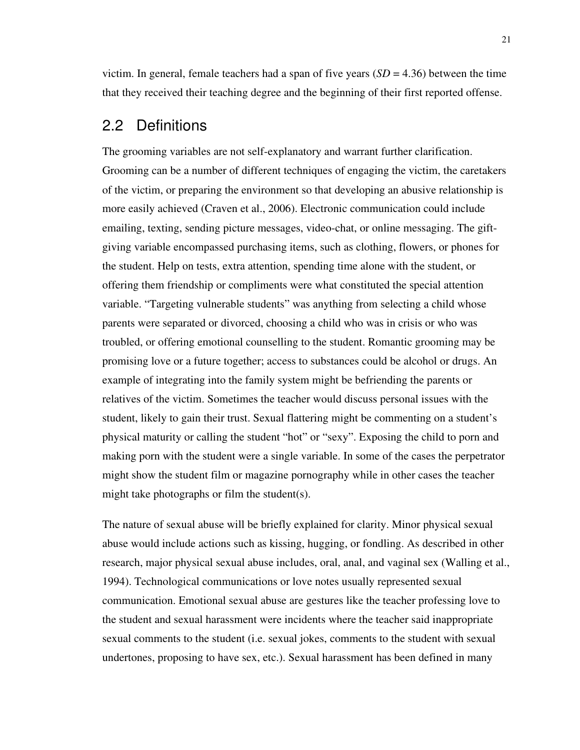victim. In general, female teachers had a span of five years  $(SD = 4.36)$  between the time that they received their teaching degree and the beginning of their first reported offense.

#### 2.2 Definitions

The grooming variables are not self-explanatory and warrant further clarification. Grooming can be a number of different techniques of engaging the victim, the caretakers of the victim, or preparing the environment so that developing an abusive relationship is more easily achieved (Craven et al., 2006). Electronic communication could include emailing, texting, sending picture messages, video-chat, or online messaging. The giftgiving variable encompassed purchasing items, such as clothing, flowers, or phones for the student. Help on tests, extra attention, spending time alone with the student, or offering them friendship or compliments were what constituted the special attention variable. "Targeting vulnerable students" was anything from selecting a child whose parents were separated or divorced, choosing a child who was in crisis or who was troubled, or offering emotional counselling to the student. Romantic grooming may be promising love or a future together; access to substances could be alcohol or drugs. An example of integrating into the family system might be befriending the parents or relatives of the victim. Sometimes the teacher would discuss personal issues with the student, likely to gain their trust. Sexual flattering might be commenting on a student's physical maturity or calling the student "hot" or "sexy". Exposing the child to porn and making porn with the student were a single variable. In some of the cases the perpetrator might show the student film or magazine pornography while in other cases the teacher might take photographs or film the student(s).

The nature of sexual abuse will be briefly explained for clarity. Minor physical sexual abuse would include actions such as kissing, hugging, or fondling. As described in other research, major physical sexual abuse includes, oral, anal, and vaginal sex (Walling et al., 1994). Technological communications or love notes usually represented sexual communication. Emotional sexual abuse are gestures like the teacher professing love to the student and sexual harassment were incidents where the teacher said inappropriate sexual comments to the student (i.e. sexual jokes, comments to the student with sexual undertones, proposing to have sex, etc.). Sexual harassment has been defined in many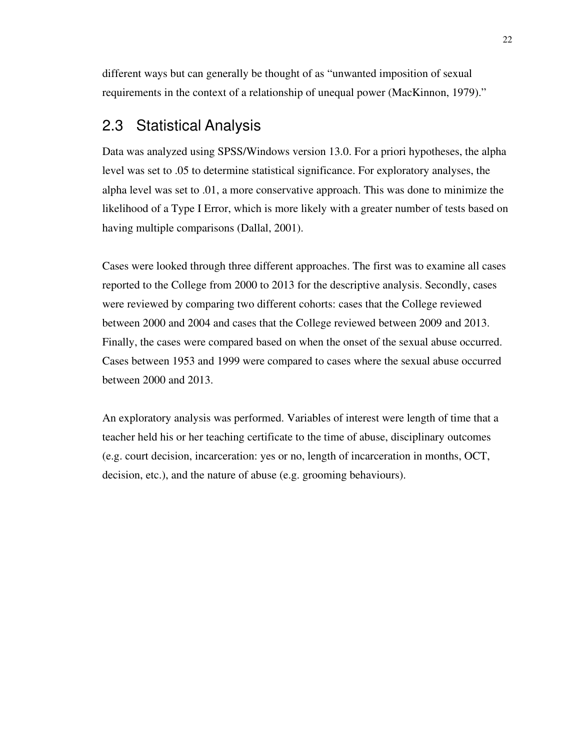different ways but can generally be thought of as "unwanted imposition of sexual requirements in the context of a relationship of unequal power (MacKinnon, 1979)."

## 2.3 Statistical Analysis

Data was analyzed using SPSS/Windows version 13.0. For a priori hypotheses, the alpha level was set to .05 to determine statistical significance. For exploratory analyses, the alpha level was set to .01, a more conservative approach. This was done to minimize the likelihood of a Type I Error, which is more likely with a greater number of tests based on having multiple comparisons (Dallal, 2001).

Cases were looked through three different approaches. The first was to examine all cases reported to the College from 2000 to 2013 for the descriptive analysis. Secondly, cases were reviewed by comparing two different cohorts: cases that the College reviewed between 2000 and 2004 and cases that the College reviewed between 2009 and 2013. Finally, the cases were compared based on when the onset of the sexual abuse occurred. Cases between 1953 and 1999 were compared to cases where the sexual abuse occurred between 2000 and 2013.

An exploratory analysis was performed. Variables of interest were length of time that a teacher held his or her teaching certificate to the time of abuse, disciplinary outcomes (e.g. court decision, incarceration: yes or no, length of incarceration in months, OCT, decision, etc.), and the nature of abuse (e.g. grooming behaviours).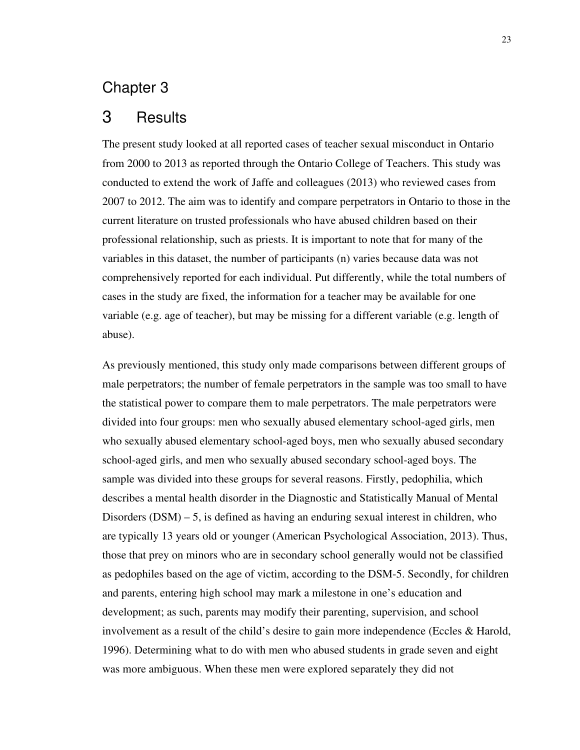#### Chapter 3

#### 3 Results

The present study looked at all reported cases of teacher sexual misconduct in Ontario from 2000 to 2013 as reported through the Ontario College of Teachers. This study was conducted to extend the work of Jaffe and colleagues (2013) who reviewed cases from 2007 to 2012. The aim was to identify and compare perpetrators in Ontario to those in the current literature on trusted professionals who have abused children based on their professional relationship, such as priests. It is important to note that for many of the variables in this dataset, the number of participants (n) varies because data was not comprehensively reported for each individual. Put differently, while the total numbers of cases in the study are fixed, the information for a teacher may be available for one variable (e.g. age of teacher), but may be missing for a different variable (e.g. length of abuse).

As previously mentioned, this study only made comparisons between different groups of male perpetrators; the number of female perpetrators in the sample was too small to have the statistical power to compare them to male perpetrators. The male perpetrators were divided into four groups: men who sexually abused elementary school-aged girls, men who sexually abused elementary school-aged boys, men who sexually abused secondary school-aged girls, and men who sexually abused secondary school-aged boys. The sample was divided into these groups for several reasons. Firstly, pedophilia, which describes a mental health disorder in the Diagnostic and Statistically Manual of Mental Disorders (DSM) – 5, is defined as having an enduring sexual interest in children, who are typically 13 years old or younger (American Psychological Association, 2013). Thus, those that prey on minors who are in secondary school generally would not be classified as pedophiles based on the age of victim, according to the DSM-5. Secondly, for children and parents, entering high school may mark a milestone in one's education and development; as such, parents may modify their parenting, supervision, and school involvement as a result of the child's desire to gain more independence (Eccles & Harold, 1996). Determining what to do with men who abused students in grade seven and eight was more ambiguous. When these men were explored separately they did not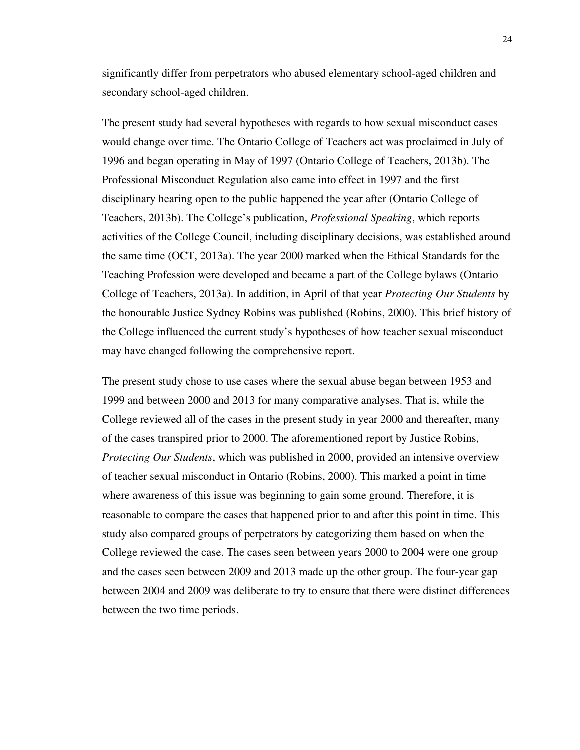significantly differ from perpetrators who abused elementary school-aged children and secondary school-aged children.

The present study had several hypotheses with regards to how sexual misconduct cases would change over time. The Ontario College of Teachers act was proclaimed in July of 1996 and began operating in May of 1997 (Ontario College of Teachers, 2013b). The Professional Misconduct Regulation also came into effect in 1997 and the first disciplinary hearing open to the public happened the year after (Ontario College of Teachers, 2013b). The College's publication, *Professional Speaking*, which reports activities of the College Council, including disciplinary decisions, was established around the same time (OCT, 2013a). The year 2000 marked when the Ethical Standards for the Teaching Profession were developed and became a part of the College bylaws (Ontario College of Teachers, 2013a). In addition, in April of that year *Protecting Our Students* by the honourable Justice Sydney Robins was published (Robins, 2000). This brief history of the College influenced the current study's hypotheses of how teacher sexual misconduct may have changed following the comprehensive report.

The present study chose to use cases where the sexual abuse began between 1953 and 1999 and between 2000 and 2013 for many comparative analyses. That is, while the College reviewed all of the cases in the present study in year 2000 and thereafter, many of the cases transpired prior to 2000. The aforementioned report by Justice Robins, *Protecting Our Students*, which was published in 2000, provided an intensive overview of teacher sexual misconduct in Ontario (Robins, 2000). This marked a point in time where awareness of this issue was beginning to gain some ground. Therefore, it is reasonable to compare the cases that happened prior to and after this point in time. This study also compared groups of perpetrators by categorizing them based on when the College reviewed the case. The cases seen between years 2000 to 2004 were one group and the cases seen between 2009 and 2013 made up the other group. The four-year gap between 2004 and 2009 was deliberate to try to ensure that there were distinct differences between the two time periods.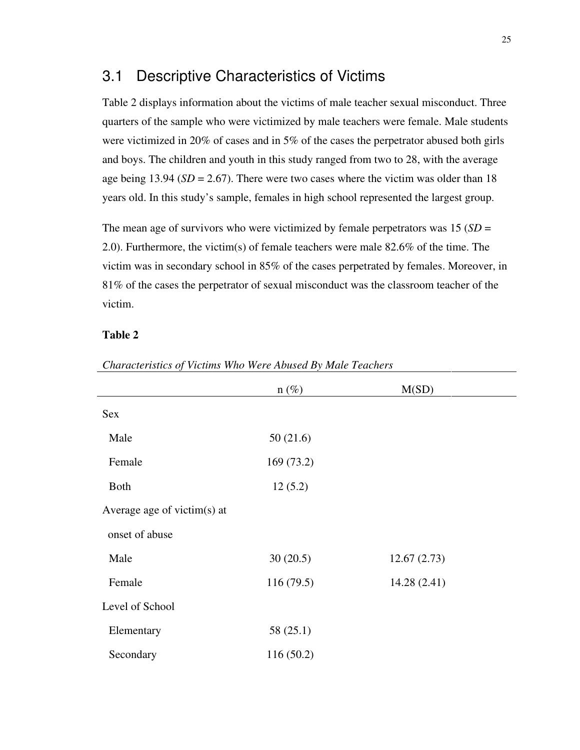#### 3.1 Descriptive Characteristics of Victims

Table 2 displays information about the victims of male teacher sexual misconduct. Three quarters of the sample who were victimized by male teachers were female. Male students were victimized in 20% of cases and in 5% of the cases the perpetrator abused both girls and boys. The children and youth in this study ranged from two to 28, with the average age being 13.94 (*SD* = 2.67). There were two cases where the victim was older than 18 years old. In this study's sample, females in high school represented the largest group.

The mean age of survivors who were victimized by female perpetrators was 15 (*SD* = 2.0). Furthermore, the victim(s) of female teachers were male 82.6% of the time. The victim was in secondary school in 85% of the cases perpetrated by females. Moreover, in 81% of the cases the perpetrator of sexual misconduct was the classroom teacher of the victim.

#### **Table 2**

|                             | $n(\%)$   | M(SD)       |  |
|-----------------------------|-----------|-------------|--|
| Sex                         |           |             |  |
| Male                        | 50(21.6)  |             |  |
| Female                      | 169(73.2) |             |  |
| Both                        | 12(5.2)   |             |  |
| Average age of victim(s) at |           |             |  |
| onset of abuse              |           |             |  |
| Male                        | 30(20.5)  | 12.67(2.73) |  |
| Female                      | 116(79.5) | 14.28(2.41) |  |
| Level of School             |           |             |  |
| Elementary                  | 58 (25.1) |             |  |
| Secondary                   | 116(50.2) |             |  |

#### *Characteristics of Victims Who Were Abused By Male Teachers*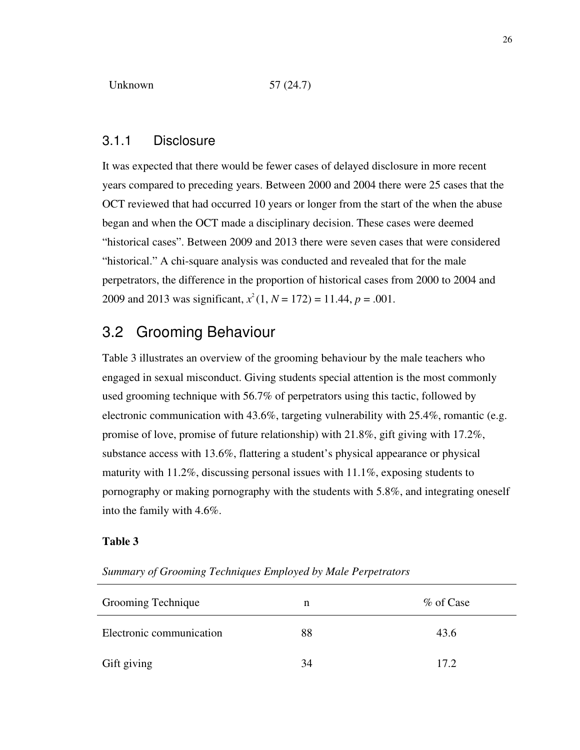#### 3.1.1 Disclosure

It was expected that there would be fewer cases of delayed disclosure in more recent years compared to preceding years. Between 2000 and 2004 there were 25 cases that the OCT reviewed that had occurred 10 years or longer from the start of the when the abuse began and when the OCT made a disciplinary decision. These cases were deemed "historical cases". Between 2009 and 2013 there were seven cases that were considered "historical." A chi-square analysis was conducted and revealed that for the male perpetrators, the difference in the proportion of historical cases from 2000 to 2004 and 2009 and 2013 was significant,  $x^2(1, N = 172) = 11.44, p = .001$ .

### 3.2 Grooming Behaviour

Table 3 illustrates an overview of the grooming behaviour by the male teachers who engaged in sexual misconduct. Giving students special attention is the most commonly used grooming technique with 56.7% of perpetrators using this tactic, followed by electronic communication with 43.6%, targeting vulnerability with 25.4%, romantic (e.g. promise of love, promise of future relationship) with  $21.8\%$ , gift giving with  $17.2\%$ , substance access with 13.6%, flattering a student's physical appearance or physical maturity with  $11.2\%$ , discussing personal issues with  $11.1\%$ , exposing students to pornography or making pornography with the students with 5.8%, and integrating oneself into the family with 4.6%.

#### **Table 3**

| Grooming Technique       | n  | % of Case |
|--------------------------|----|-----------|
| Electronic communication | 88 | 43.6      |
| Gift giving              | 34 | 17.2.     |

*Summary of Grooming Techniques Employed by Male Perpetrators*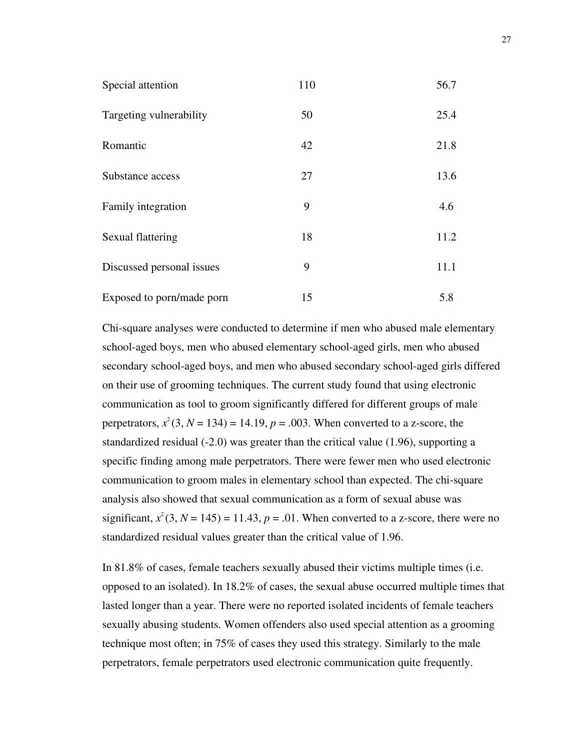| Special attention         | 110 | 56.7 |
|---------------------------|-----|------|
| Targeting vulnerability   | 50  | 25.4 |
| Romantic                  | 42  | 21.8 |
| Substance access          | 27  | 13.6 |
| Family integration        | 9   | 4.6  |
| Sexual flattering         | 18  | 11.2 |
| Discussed personal issues | 9   | 11.1 |
| Exposed to porn/made porn | 15  | 5.8  |

Chi-square analyses were conducted to determine if men who abused male elementary school-aged boys, men who abused elementary school-aged girls, men who abused secondary school-aged boys, and men who abused secondary school-aged girls differed on their use of grooming techniques. The current study found that using electronic communication as tool to groom significantly differed for different groups of male perpetrators,  $x^2$ (3, *N* = 134) = 14.19, *p* = .003. When converted to a z-score, the standardized residual (-2.0) was greater than the critical value (1.96), supporting a specific finding among male perpetrators. There were fewer men who used electronic communication to groom males in elementary school than expected. The chi-square analysis also showed that sexual communication as a form of sexual abuse was significant,  $x^2$ (3, *N* = 145) = 11.43, *p* = .01. When converted to a z-score, there were no standardized residual values greater than the critical value of 1.96.

In 81.8% of cases, female teachers sexually abused their victims multiple times (i.e. opposed to an isolated). In 18.2% of cases, the sexual abuse occurred multiple times that lasted longer than a year. There were no reported isolated incidents of female teachers sexually abusing students. Women offenders also used special attention as a grooming technique most often; in 75% of cases they used this strategy. Similarly to the male perpetrators, female perpetrators used electronic communication quite frequently.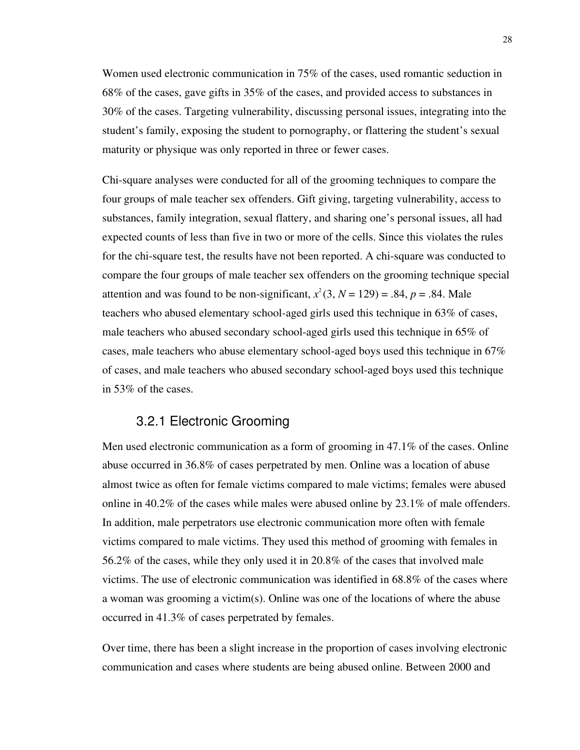Women used electronic communication in 75% of the cases, used romantic seduction in 68% of the cases, gave gifts in 35% of the cases, and provided access to substances in 30% of the cases. Targeting vulnerability, discussing personal issues, integrating into the student's family, exposing the student to pornography, or flattering the student's sexual maturity or physique was only reported in three or fewer cases.

Chi-square analyses were conducted for all of the grooming techniques to compare the four groups of male teacher sex offenders. Gift giving, targeting vulnerability, access to substances, family integration, sexual flattery, and sharing one's personal issues, all had expected counts of less than five in two or more of the cells. Since this violates the rules for the chi-square test, the results have not been reported. A chi-square was conducted to compare the four groups of male teacher sex offenders on the grooming technique special attention and was found to be non-significant,  $x^2$  (3,  $N = 129$ ) = .84,  $p = .84$ . Male teachers who abused elementary school-aged girls used this technique in 63% of cases, male teachers who abused secondary school-aged girls used this technique in 65% of cases, male teachers who abuse elementary school-aged boys used this technique in 67% of cases, and male teachers who abused secondary school-aged boys used this technique in 53% of the cases.

### 3.2.1 Electronic Grooming

Men used electronic communication as a form of grooming in 47.1% of the cases. Online abuse occurred in 36.8% of cases perpetrated by men. Online was a location of abuse almost twice as often for female victims compared to male victims; females were abused online in 40.2% of the cases while males were abused online by 23.1% of male offenders. In addition, male perpetrators use electronic communication more often with female victims compared to male victims. They used this method of grooming with females in 56.2% of the cases, while they only used it in 20.8% of the cases that involved male victims. The use of electronic communication was identified in 68.8% of the cases where a woman was grooming a victim(s). Online was one of the locations of where the abuse occurred in 41.3% of cases perpetrated by females.

Over time, there has been a slight increase in the proportion of cases involving electronic communication and cases where students are being abused online. Between 2000 and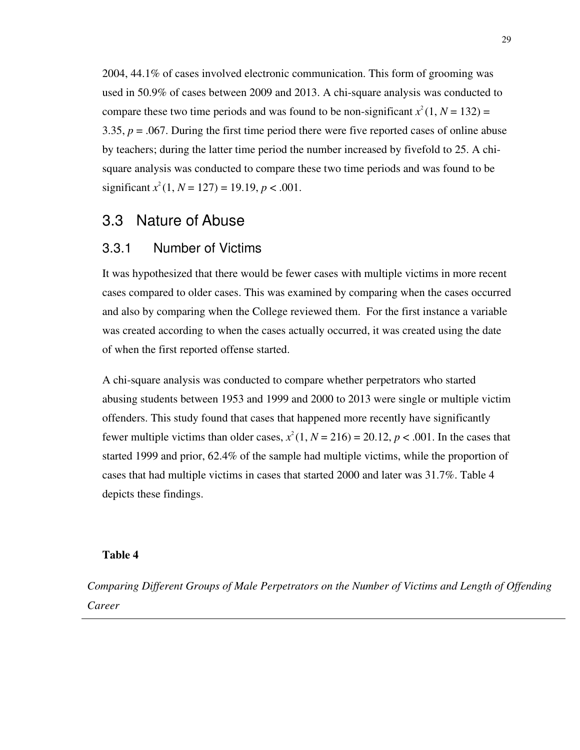2004, 44.1% of cases involved electronic communication. This form of grooming was used in 50.9% of cases between 2009 and 2013. A chi-square analysis was conducted to compare these two time periods and was found to be non-significant  $x^2(1, N = 132) =$ 3.35, *p* = .067. During the first time period there were five reported cases of online abuse by teachers; during the latter time period the number increased by fivefold to 25. A chisquare analysis was conducted to compare these two time periods and was found to be significant  $x^2(1, N = 127) = 19.19, p < .001$ .

## 3.3 Nature of Abuse

#### 3.3.1 Number of Victims

It was hypothesized that there would be fewer cases with multiple victims in more recent cases compared to older cases. This was examined by comparing when the cases occurred and also by comparing when the College reviewed them. For the first instance a variable was created according to when the cases actually occurred, it was created using the date of when the first reported offense started.

A chi-square analysis was conducted to compare whether perpetrators who started abusing students between 1953 and 1999 and 2000 to 2013 were single or multiple victim offenders. This study found that cases that happened more recently have significantly fewer multiple victims than older cases,  $x^2(1, N = 216) = 20.12$ ,  $p < .001$ . In the cases that started 1999 and prior, 62.4% of the sample had multiple victims, while the proportion of cases that had multiple victims in cases that started 2000 and later was 31.7%. Table 4 depicts these findings.

#### **Table 4**

*Comparing Different Groups of Male Perpetrators on the Number of Victims and Length of Offending Career*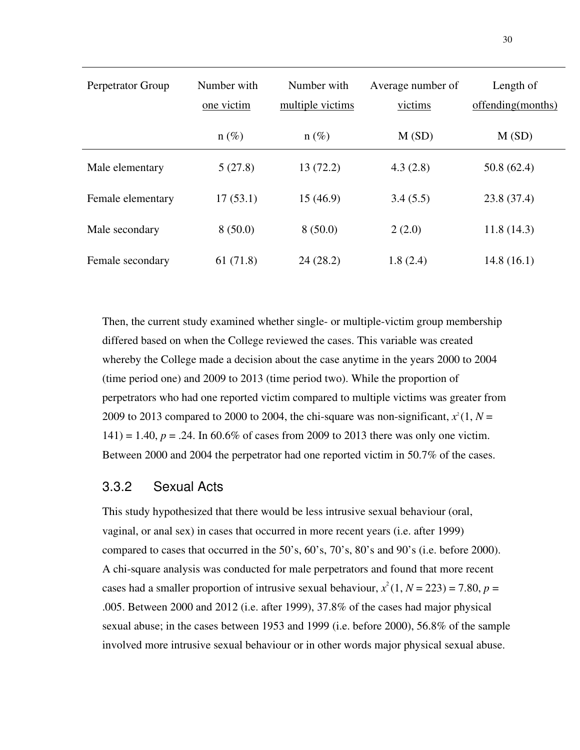| Perpetrator Group | Number with<br>one victim | Number with<br>multiple victims | Average number of<br>victims | Length of<br>offending(months) |
|-------------------|---------------------------|---------------------------------|------------------------------|--------------------------------|
|                   | $n(\%)$                   | $n(\%)$                         | M(SD)                        | M(SD)                          |
| Male elementary   | 5(27.8)                   | 13(72.2)                        | 4.3(2.8)                     | 50.8(62.4)                     |
| Female elementary | 17(53.1)                  | 15(46.9)                        | 3.4(5.5)                     | 23.8 (37.4)                    |
| Male secondary    | 8(50.0)                   | 8(50.0)                         | 2(2.0)                       | 11.8(14.3)                     |
| Female secondary  | 61(71.8)                  | 24(28.2)                        | 1.8(2.4)                     | 14.8(16.1)                     |

Then, the current study examined whether single- or multiple-victim group membership differed based on when the College reviewed the cases. This variable was created whereby the College made a decision about the case anytime in the years 2000 to 2004 (time period one) and 2009 to 2013 (time period two). While the proportion of perpetrators who had one reported victim compared to multiple victims was greater from 2009 to 2013 compared to 2000 to 2004, the chi-square was non-significant,  $x^2(1, N =$ 141) = 1.40,  $p = 0.24$ . In 60.6% of cases from 2009 to 2013 there was only one victim. Between 2000 and 2004 the perpetrator had one reported victim in 50.7% of the cases.

## 3.3.2 Sexual Acts

This study hypothesized that there would be less intrusive sexual behaviour (oral, vaginal, or anal sex) in cases that occurred in more recent years (i.e. after 1999) compared to cases that occurred in the 50's, 60's, 70's, 80's and 90's (i.e. before 2000). A chi-square analysis was conducted for male perpetrators and found that more recent cases had a smaller proportion of intrusive sexual behaviour,  $x^2(1, N = 223) = 7.80$ ,  $p =$ .005. Between 2000 and 2012 (i.e. after 1999), 37.8% of the cases had major physical sexual abuse; in the cases between 1953 and 1999 (i.e. before 2000), 56.8% of the sample involved more intrusive sexual behaviour or in other words major physical sexual abuse.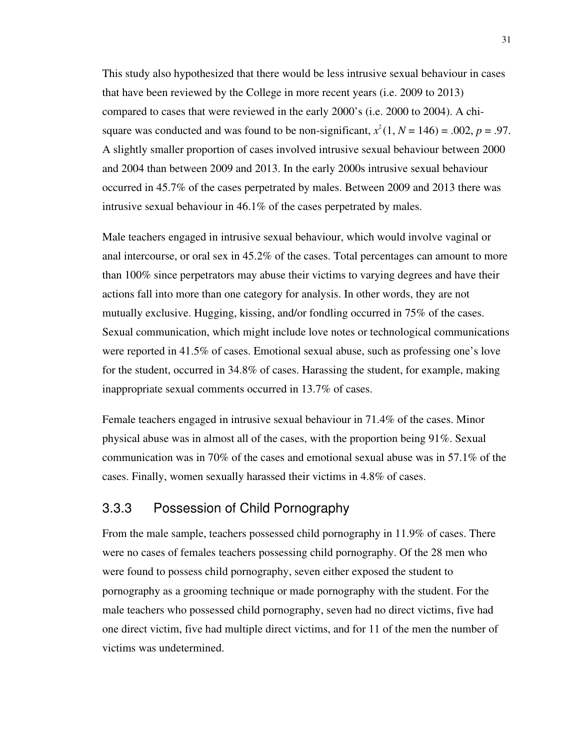This study also hypothesized that there would be less intrusive sexual behaviour in cases that have been reviewed by the College in more recent years (i.e. 2009 to 2013) compared to cases that were reviewed in the early 2000's (i.e. 2000 to 2004). A chisquare was conducted and was found to be non-significant,  $x^2(1, N = 146) = .002$ ,  $p = .97$ . A slightly smaller proportion of cases involved intrusive sexual behaviour between 2000 and 2004 than between 2009 and 2013. In the early 2000s intrusive sexual behaviour occurred in 45.7% of the cases perpetrated by males. Between 2009 and 2013 there was intrusive sexual behaviour in 46.1% of the cases perpetrated by males.

Male teachers engaged in intrusive sexual behaviour, which would involve vaginal or anal intercourse, or oral sex in 45.2% of the cases. Total percentages can amount to more than 100% since perpetrators may abuse their victims to varying degrees and have their actions fall into more than one category for analysis. In other words, they are not mutually exclusive. Hugging, kissing, and/or fondling occurred in 75% of the cases. Sexual communication, which might include love notes or technological communications were reported in 41.5% of cases. Emotional sexual abuse, such as professing one's love for the student, occurred in 34.8% of cases. Harassing the student, for example, making inappropriate sexual comments occurred in 13.7% of cases.

Female teachers engaged in intrusive sexual behaviour in 71.4% of the cases. Minor physical abuse was in almost all of the cases, with the proportion being 91%. Sexual communication was in 70% of the cases and emotional sexual abuse was in 57.1% of the cases. Finally, women sexually harassed their victims in 4.8% of cases.

## 3.3.3 Possession of Child Pornography

From the male sample, teachers possessed child pornography in 11.9% of cases. There were no cases of females teachers possessing child pornography. Of the 28 men who were found to possess child pornography, seven either exposed the student to pornography as a grooming technique or made pornography with the student. For the male teachers who possessed child pornography, seven had no direct victims, five had one direct victim, five had multiple direct victims, and for 11 of the men the number of victims was undetermined.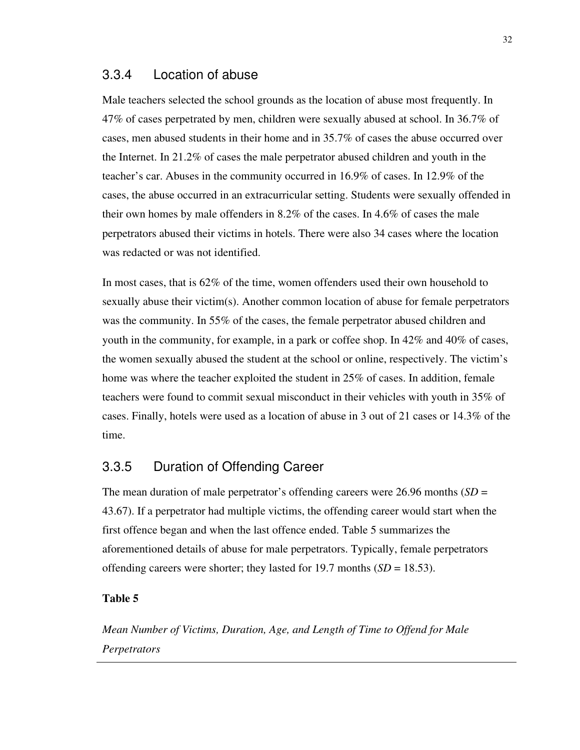#### 3.3.4 Location of abuse

Male teachers selected the school grounds as the location of abuse most frequently. In 47% of cases perpetrated by men, children were sexually abused at school. In 36.7% of cases, men abused students in their home and in 35.7% of cases the abuse occurred over the Internet. In 21.2% of cases the male perpetrator abused children and youth in the teacher's car. Abuses in the community occurred in 16.9% of cases. In 12.9% of the cases, the abuse occurred in an extracurricular setting. Students were sexually offended in their own homes by male offenders in 8.2% of the cases. In 4.6% of cases the male perpetrators abused their victims in hotels. There were also 34 cases where the location was redacted or was not identified.

In most cases, that is 62% of the time, women offenders used their own household to sexually abuse their victim(s). Another common location of abuse for female perpetrators was the community. In 55% of the cases, the female perpetrator abused children and youth in the community, for example, in a park or coffee shop. In 42% and 40% of cases, the women sexually abused the student at the school or online, respectively. The victim's home was where the teacher exploited the student in 25% of cases. In addition, female teachers were found to commit sexual misconduct in their vehicles with youth in 35% of cases. Finally, hotels were used as a location of abuse in 3 out of 21 cases or 14.3% of the time.

## 3.3.5 Duration of Offending Career

The mean duration of male perpetrator's offending careers were 26.96 months (*SD* = 43.67). If a perpetrator had multiple victims, the offending career would start when the first offence began and when the last offence ended. Table 5 summarizes the aforementioned details of abuse for male perpetrators. Typically, female perpetrators offending careers were shorter; they lasted for 19.7 months (*SD* = 18.53).

#### **Table 5**

*Mean Number of Victims, Duration, Age, and Length of Time to Offend for Male Perpetrators*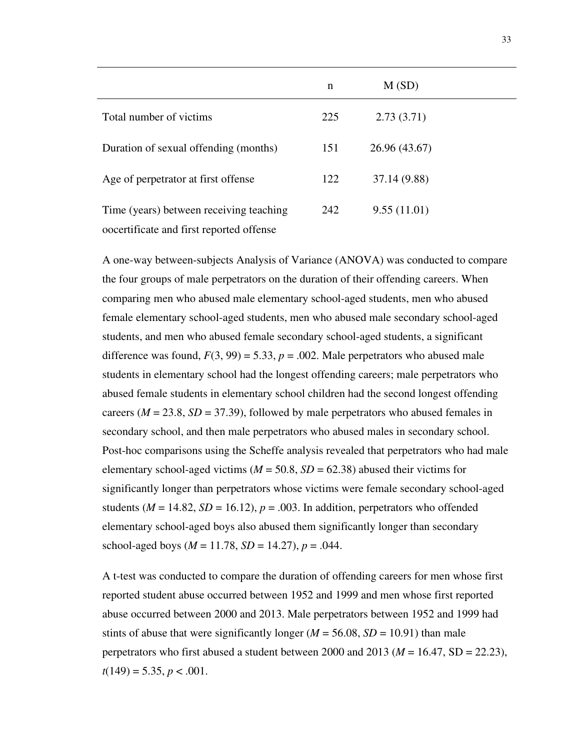|                                                                              | n   | M(SD)         |  |
|------------------------------------------------------------------------------|-----|---------------|--|
| Total number of victims                                                      | 225 | 2.73(3.71)    |  |
| Duration of sexual offending (months)                                        | 151 | 26.96 (43.67) |  |
| Age of perpetrator at first offense                                          | 122 | 37.14 (9.88)  |  |
| Time (years) between receiving teaching<br>oppose of first reported of fense | 242 | 9.55(11.01)   |  |

A one-way between-subjects Analysis of Variance (ANOVA) was conducted to compare the four groups of male perpetrators on the duration of their offending careers. When comparing men who abused male elementary school-aged students, men who abused female elementary school-aged students, men who abused male secondary school-aged students, and men who abused female secondary school-aged students, a significant difference was found,  $F(3, 99) = 5.33$ ,  $p = .002$ . Male perpetrators who abused male students in elementary school had the longest offending careers; male perpetrators who abused female students in elementary school children had the second longest offending careers  $(M = 23.8, SD = 37.39)$ , followed by male perpetrators who abused females in secondary school, and then male perpetrators who abused males in secondary school. Post-hoc comparisons using the Scheffe analysis revealed that perpetrators who had male elementary school-aged victims ( $M = 50.8$ ,  $SD = 62.38$ ) abused their victims for significantly longer than perpetrators whose victims were female secondary school-aged students ( $M = 14.82$ ,  $SD = 16.12$ ),  $p = .003$ . In addition, perpetrators who offended elementary school-aged boys also abused them significantly longer than secondary school-aged boys ( $M = 11.78$ ,  $SD = 14.27$ ),  $p = .044$ .

A t-test was conducted to compare the duration of offending careers for men whose first reported student abuse occurred between 1952 and 1999 and men whose first reported abuse occurred between 2000 and 2013. Male perpetrators between 1952 and 1999 had stints of abuse that were significantly longer  $(M = 56.08, SD = 10.91)$  than male perpetrators who first abused a student between 2000 and 2013 ( $M = 16.47$ , SD = 22.23),  $t(149) = 5.35, p < .001.$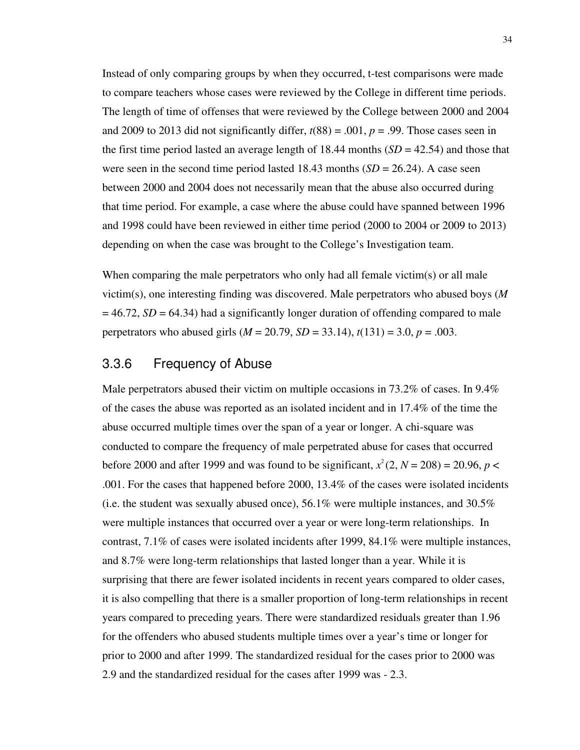Instead of only comparing groups by when they occurred, t-test comparisons were made to compare teachers whose cases were reviewed by the College in different time periods. The length of time of offenses that were reviewed by the College between 2000 and 2004 and 2009 to 2013 did not significantly differ,  $t(88) = .001$ ,  $p = .99$ . Those cases seen in the first time period lasted an average length of 18.44 months  $(SD = 42.54)$  and those that were seen in the second time period lasted 18.43 months  $(SD = 26.24)$ . A case seen between 2000 and 2004 does not necessarily mean that the abuse also occurred during that time period. For example, a case where the abuse could have spanned between 1996 and 1998 could have been reviewed in either time period (2000 to 2004 or 2009 to 2013) depending on when the case was brought to the College's Investigation team.

When comparing the male perpetrators who only had all female victim(s) or all male victim(s), one interesting finding was discovered. Male perpetrators who abused boys (*M*  $= 46.72$ , *SD* = 64.34) had a significantly longer duration of offending compared to male perpetrators who abused girls (*M* = 20.79, *SD* = 33.14), *t*(131) = 3.0, *p* = .003.

#### 3.3.6 Frequency of Abuse

Male perpetrators abused their victim on multiple occasions in 73.2% of cases. In 9.4% of the cases the abuse was reported as an isolated incident and in 17.4% of the time the abuse occurred multiple times over the span of a year or longer. A chi-square was conducted to compare the frequency of male perpetrated abuse for cases that occurred before 2000 and after 1999 and was found to be significant,  $x^2(2, N = 208) = 20.96$ ,  $p <$ .001. For the cases that happened before 2000, 13.4% of the cases were isolated incidents (i.e. the student was sexually abused once),  $56.1\%$  were multiple instances, and  $30.5\%$ were multiple instances that occurred over a year or were long-term relationships. In contrast, 7.1% of cases were isolated incidents after 1999, 84.1% were multiple instances, and 8.7% were long-term relationships that lasted longer than a year. While it is surprising that there are fewer isolated incidents in recent years compared to older cases, it is also compelling that there is a smaller proportion of long-term relationships in recent years compared to preceding years. There were standardized residuals greater than 1.96 for the offenders who abused students multiple times over a year's time or longer for prior to 2000 and after 1999. The standardized residual for the cases prior to 2000 was 2.9 and the standardized residual for the cases after 1999 was - 2.3.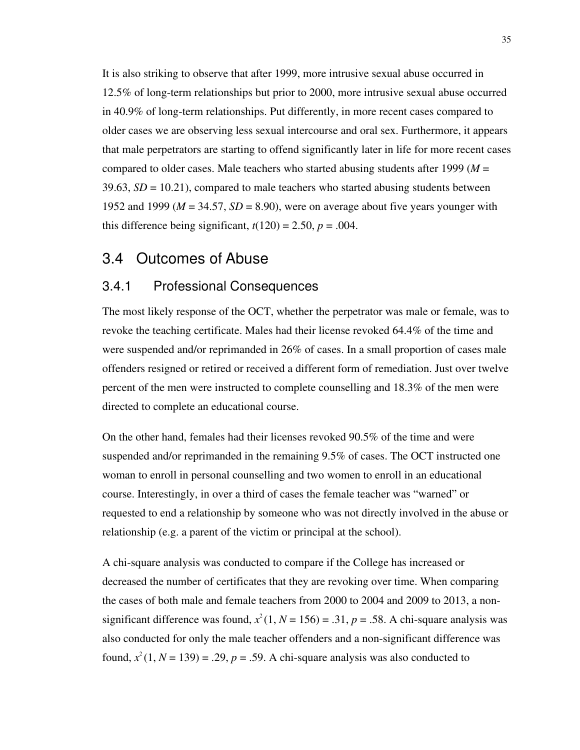It is also striking to observe that after 1999, more intrusive sexual abuse occurred in 12.5% of long-term relationships but prior to 2000, more intrusive sexual abuse occurred in 40.9% of long-term relationships. Put differently, in more recent cases compared to older cases we are observing less sexual intercourse and oral sex. Furthermore, it appears that male perpetrators are starting to offend significantly later in life for more recent cases compared to older cases. Male teachers who started abusing students after 1999 (*M* =  $39.63$ ,  $SD = 10.21$ ), compared to male teachers who started abusing students between 1952 and 1999 ( $M = 34.57$ ,  $SD = 8.90$ ), were on average about five years younger with this difference being significant,  $t(120) = 2.50$ ,  $p = .004$ .

## 3.4 Outcomes of Abuse

#### 3.4.1 Professional Consequences

The most likely response of the OCT, whether the perpetrator was male or female, was to revoke the teaching certificate. Males had their license revoked 64.4% of the time and were suspended and/or reprimanded in 26% of cases. In a small proportion of cases male offenders resigned or retired or received a different form of remediation. Just over twelve percent of the men were instructed to complete counselling and 18.3% of the men were directed to complete an educational course.

On the other hand, females had their licenses revoked 90.5% of the time and were suspended and/or reprimanded in the remaining 9.5% of cases. The OCT instructed one woman to enroll in personal counselling and two women to enroll in an educational course. Interestingly, in over a third of cases the female teacher was "warned" or requested to end a relationship by someone who was not directly involved in the abuse or relationship (e.g. a parent of the victim or principal at the school).

A chi-square analysis was conducted to compare if the College has increased or decreased the number of certificates that they are revoking over time. When comparing the cases of both male and female teachers from 2000 to 2004 and 2009 to 2013, a nonsignificant difference was found,  $x^2(1, N = 156) = .31$ ,  $p = .58$ . A chi-square analysis was also conducted for only the male teacher offenders and a non-significant difference was found,  $x^2(1, N = 139) = .29$ ,  $p = .59$ . A chi-square analysis was also conducted to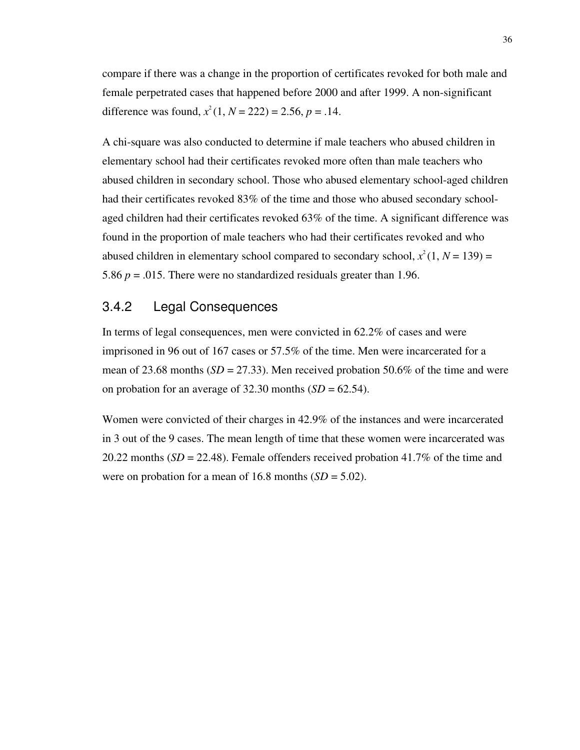compare if there was a change in the proportion of certificates revoked for both male and female perpetrated cases that happened before 2000 and after 1999. A non-significant difference was found,  $x^2(1, N = 222) = 2.56$ ,  $p = .14$ .

A chi-square was also conducted to determine if male teachers who abused children in elementary school had their certificates revoked more often than male teachers who abused children in secondary school. Those who abused elementary school-aged children had their certificates revoked 83% of the time and those who abused secondary schoolaged children had their certificates revoked 63% of the time. A significant difference was found in the proportion of male teachers who had their certificates revoked and who abused children in elementary school compared to secondary school,  $x^2(1, N = 139) =$ 5.86  $p = 0.015$ . There were no standardized residuals greater than 1.96.

### 3.4.2 Legal Consequences

In terms of legal consequences, men were convicted in 62.2% of cases and were imprisoned in 96 out of 167 cases or 57.5% of the time. Men were incarcerated for a mean of 23.68 months  $(SD = 27.33)$ . Men received probation 50.6% of the time and were on probation for an average of  $32.30$  months  $(SD = 62.54)$ .

Women were convicted of their charges in 42.9% of the instances and were incarcerated in 3 out of the 9 cases. The mean length of time that these women were incarcerated was 20.22 months (*SD* = 22.48). Female offenders received probation 41.7% of the time and were on probation for a mean of  $16.8$  months  $(SD = 5.02)$ .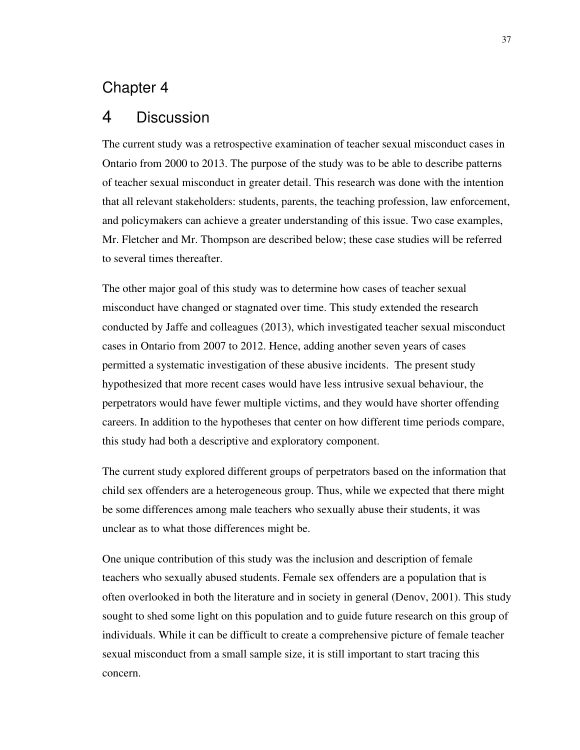# Chapter 4

# 4 Discussion

The current study was a retrospective examination of teacher sexual misconduct cases in Ontario from 2000 to 2013. The purpose of the study was to be able to describe patterns of teacher sexual misconduct in greater detail. This research was done with the intention that all relevant stakeholders: students, parents, the teaching profession, law enforcement, and policymakers can achieve a greater understanding of this issue. Two case examples, Mr. Fletcher and Mr. Thompson are described below; these case studies will be referred to several times thereafter.

The other major goal of this study was to determine how cases of teacher sexual misconduct have changed or stagnated over time. This study extended the research conducted by Jaffe and colleagues (2013), which investigated teacher sexual misconduct cases in Ontario from 2007 to 2012. Hence, adding another seven years of cases permitted a systematic investigation of these abusive incidents. The present study hypothesized that more recent cases would have less intrusive sexual behaviour, the perpetrators would have fewer multiple victims, and they would have shorter offending careers. In addition to the hypotheses that center on how different time periods compare, this study had both a descriptive and exploratory component.

The current study explored different groups of perpetrators based on the information that child sex offenders are a heterogeneous group. Thus, while we expected that there might be some differences among male teachers who sexually abuse their students, it was unclear as to what those differences might be.

One unique contribution of this study was the inclusion and description of female teachers who sexually abused students. Female sex offenders are a population that is often overlooked in both the literature and in society in general (Denov, 2001). This study sought to shed some light on this population and to guide future research on this group of individuals. While it can be difficult to create a comprehensive picture of female teacher sexual misconduct from a small sample size, it is still important to start tracing this concern.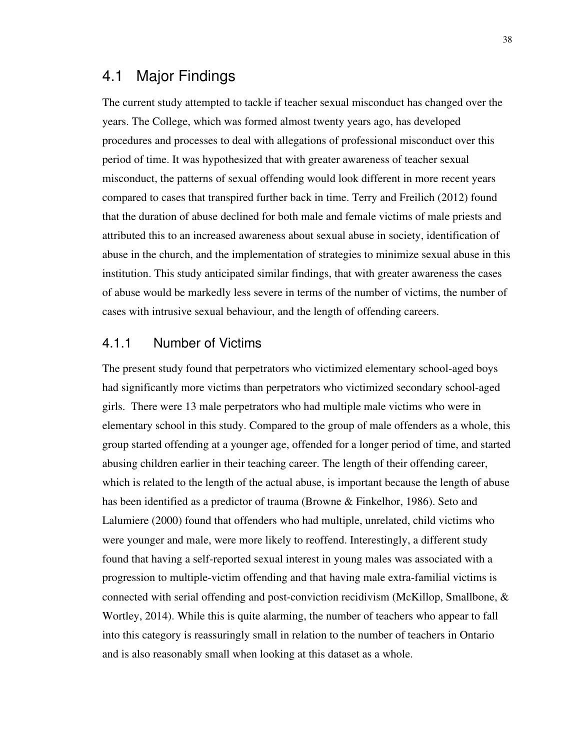# 4.1 Major Findings

The current study attempted to tackle if teacher sexual misconduct has changed over the years. The College, which was formed almost twenty years ago, has developed procedures and processes to deal with allegations of professional misconduct over this period of time. It was hypothesized that with greater awareness of teacher sexual misconduct, the patterns of sexual offending would look different in more recent years compared to cases that transpired further back in time. Terry and Freilich (2012) found that the duration of abuse declined for both male and female victims of male priests and attributed this to an increased awareness about sexual abuse in society, identification of abuse in the church, and the implementation of strategies to minimize sexual abuse in this institution. This study anticipated similar findings, that with greater awareness the cases of abuse would be markedly less severe in terms of the number of victims, the number of cases with intrusive sexual behaviour, and the length of offending careers.

### 4.1.1 Number of Victims

The present study found that perpetrators who victimized elementary school-aged boys had significantly more victims than perpetrators who victimized secondary school-aged girls. There were 13 male perpetrators who had multiple male victims who were in elementary school in this study. Compared to the group of male offenders as a whole, this group started offending at a younger age, offended for a longer period of time, and started abusing children earlier in their teaching career. The length of their offending career, which is related to the length of the actual abuse, is important because the length of abuse has been identified as a predictor of trauma (Browne & Finkelhor, 1986). Seto and Lalumiere (2000) found that offenders who had multiple, unrelated, child victims who were younger and male, were more likely to reoffend. Interestingly, a different study found that having a self-reported sexual interest in young males was associated with a progression to multiple-victim offending and that having male extra-familial victims is connected with serial offending and post-conviction recidivism (McKillop, Smallbone,  $\&$ Wortley, 2014). While this is quite alarming, the number of teachers who appear to fall into this category is reassuringly small in relation to the number of teachers in Ontario and is also reasonably small when looking at this dataset as a whole.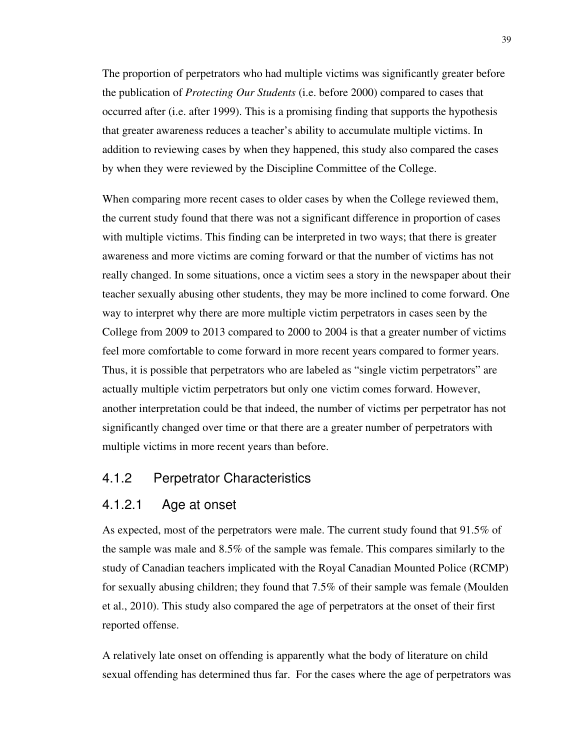The proportion of perpetrators who had multiple victims was significantly greater before the publication of *Protecting Our Students* (i.e. before 2000) compared to cases that occurred after (i.e. after 1999). This is a promising finding that supports the hypothesis that greater awareness reduces a teacher's ability to accumulate multiple victims. In addition to reviewing cases by when they happened, this study also compared the cases by when they were reviewed by the Discipline Committee of the College.

When comparing more recent cases to older cases by when the College reviewed them, the current study found that there was not a significant difference in proportion of cases with multiple victims. This finding can be interpreted in two ways; that there is greater awareness and more victims are coming forward or that the number of victims has not really changed. In some situations, once a victim sees a story in the newspaper about their teacher sexually abusing other students, they may be more inclined to come forward. One way to interpret why there are more multiple victim perpetrators in cases seen by the College from 2009 to 2013 compared to 2000 to 2004 is that a greater number of victims feel more comfortable to come forward in more recent years compared to former years. Thus, it is possible that perpetrators who are labeled as "single victim perpetrators" are actually multiple victim perpetrators but only one victim comes forward. However, another interpretation could be that indeed, the number of victims per perpetrator has not significantly changed over time or that there are a greater number of perpetrators with multiple victims in more recent years than before.

### 4.1.2 Perpetrator Characteristics

#### 4.1.2.1 Age at onset

As expected, most of the perpetrators were male. The current study found that 91.5% of the sample was male and 8.5% of the sample was female. This compares similarly to the study of Canadian teachers implicated with the Royal Canadian Mounted Police (RCMP) for sexually abusing children; they found that 7.5% of their sample was female (Moulden et al., 2010). This study also compared the age of perpetrators at the onset of their first reported offense.

A relatively late onset on offending is apparently what the body of literature on child sexual offending has determined thus far. For the cases where the age of perpetrators was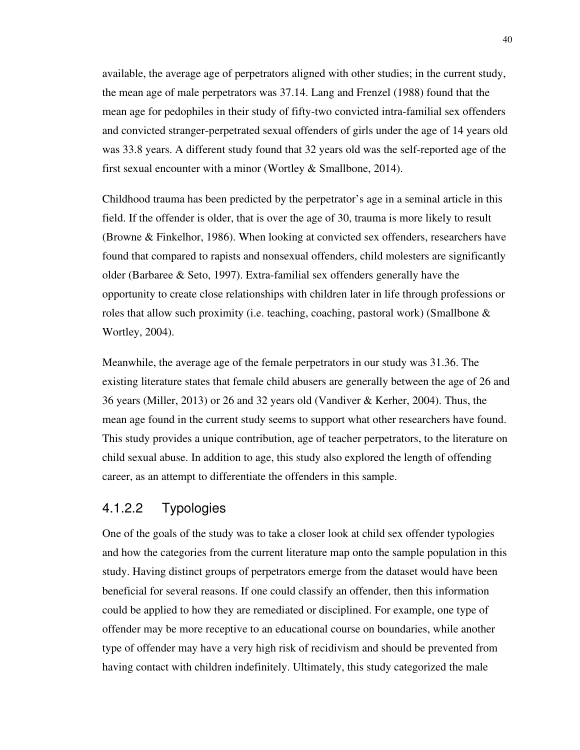available, the average age of perpetrators aligned with other studies; in the current study, the mean age of male perpetrators was 37.14. Lang and Frenzel (1988) found that the mean age for pedophiles in their study of fifty-two convicted intra-familial sex offenders and convicted stranger-perpetrated sexual offenders of girls under the age of 14 years old was 33.8 years. A different study found that 32 years old was the self-reported age of the first sexual encounter with a minor (Wortley & Smallbone, 2014).

Childhood trauma has been predicted by the perpetrator's age in a seminal article in this field. If the offender is older, that is over the age of 30, trauma is more likely to result (Browne & Finkelhor, 1986). When looking at convicted sex offenders, researchers have found that compared to rapists and nonsexual offenders, child molesters are significantly older (Barbaree & Seto, 1997). Extra-familial sex offenders generally have the opportunity to create close relationships with children later in life through professions or roles that allow such proximity (i.e. teaching, coaching, pastoral work) (Smallbone  $\&$ Wortley, 2004).

Meanwhile, the average age of the female perpetrators in our study was 31.36. The existing literature states that female child abusers are generally between the age of 26 and 36 years (Miller, 2013) or 26 and 32 years old (Vandiver & Kerher, 2004). Thus, the mean age found in the current study seems to support what other researchers have found. This study provides a unique contribution, age of teacher perpetrators, to the literature on child sexual abuse. In addition to age, this study also explored the length of offending career, as an attempt to differentiate the offenders in this sample.

## 4.1.2.2 Typologies

One of the goals of the study was to take a closer look at child sex offender typologies and how the categories from the current literature map onto the sample population in this study. Having distinct groups of perpetrators emerge from the dataset would have been beneficial for several reasons. If one could classify an offender, then this information could be applied to how they are remediated or disciplined. For example, one type of offender may be more receptive to an educational course on boundaries, while another type of offender may have a very high risk of recidivism and should be prevented from having contact with children indefinitely. Ultimately, this study categorized the male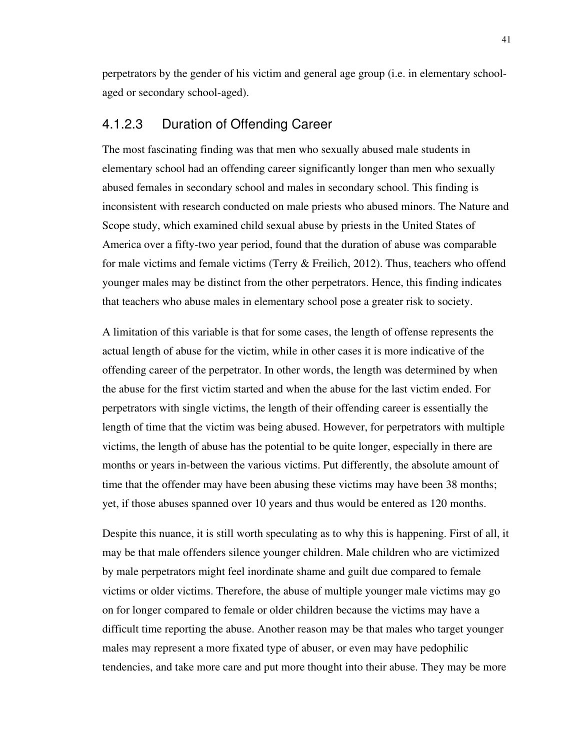perpetrators by the gender of his victim and general age group (i.e. in elementary schoolaged or secondary school-aged).

### 4.1.2.3 Duration of Offending Career

The most fascinating finding was that men who sexually abused male students in elementary school had an offending career significantly longer than men who sexually abused females in secondary school and males in secondary school. This finding is inconsistent with research conducted on male priests who abused minors. The Nature and Scope study, which examined child sexual abuse by priests in the United States of America over a fifty-two year period, found that the duration of abuse was comparable for male victims and female victims (Terry & Freilich, 2012). Thus, teachers who offend younger males may be distinct from the other perpetrators. Hence, this finding indicates that teachers who abuse males in elementary school pose a greater risk to society.

A limitation of this variable is that for some cases, the length of offense represents the actual length of abuse for the victim, while in other cases it is more indicative of the offending career of the perpetrator. In other words, the length was determined by when the abuse for the first victim started and when the abuse for the last victim ended. For perpetrators with single victims, the length of their offending career is essentially the length of time that the victim was being abused. However, for perpetrators with multiple victims, the length of abuse has the potential to be quite longer, especially in there are months or years in-between the various victims. Put differently, the absolute amount of time that the offender may have been abusing these victims may have been 38 months; yet, if those abuses spanned over 10 years and thus would be entered as 120 months.

Despite this nuance, it is still worth speculating as to why this is happening. First of all, it may be that male offenders silence younger children. Male children who are victimized by male perpetrators might feel inordinate shame and guilt due compared to female victims or older victims. Therefore, the abuse of multiple younger male victims may go on for longer compared to female or older children because the victims may have a difficult time reporting the abuse. Another reason may be that males who target younger males may represent a more fixated type of abuser, or even may have pedophilic tendencies, and take more care and put more thought into their abuse. They may be more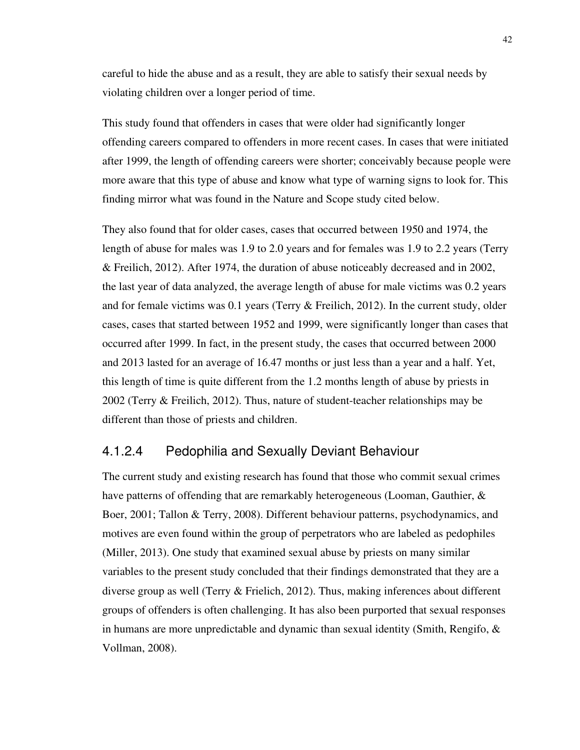careful to hide the abuse and as a result, they are able to satisfy their sexual needs by violating children over a longer period of time.

This study found that offenders in cases that were older had significantly longer offending careers compared to offenders in more recent cases. In cases that were initiated after 1999, the length of offending careers were shorter; conceivably because people were more aware that this type of abuse and know what type of warning signs to look for. This finding mirror what was found in the Nature and Scope study cited below.

They also found that for older cases, cases that occurred between 1950 and 1974, the length of abuse for males was 1.9 to 2.0 years and for females was 1.9 to 2.2 years (Terry & Freilich, 2012). After 1974, the duration of abuse noticeably decreased and in 2002, the last year of data analyzed, the average length of abuse for male victims was 0.2 years and for female victims was 0.1 years (Terry & Freilich, 2012). In the current study, older cases, cases that started between 1952 and 1999, were significantly longer than cases that occurred after 1999. In fact, in the present study, the cases that occurred between 2000 and 2013 lasted for an average of 16.47 months or just less than a year and a half. Yet, this length of time is quite different from the 1.2 months length of abuse by priests in 2002 (Terry & Freilich, 2012). Thus, nature of student-teacher relationships may be different than those of priests and children.

## 4.1.2.4 Pedophilia and Sexually Deviant Behaviour

The current study and existing research has found that those who commit sexual crimes have patterns of offending that are remarkably heterogeneous (Looman, Gauthier, & Boer, 2001; Tallon & Terry, 2008). Different behaviour patterns, psychodynamics, and motives are even found within the group of perpetrators who are labeled as pedophiles (Miller, 2013). One study that examined sexual abuse by priests on many similar variables to the present study concluded that their findings demonstrated that they are a diverse group as well (Terry  $\&$  Frielich, 2012). Thus, making inferences about different groups of offenders is often challenging. It has also been purported that sexual responses in humans are more unpredictable and dynamic than sexual identity (Smith, Rengifo, & Vollman, 2008).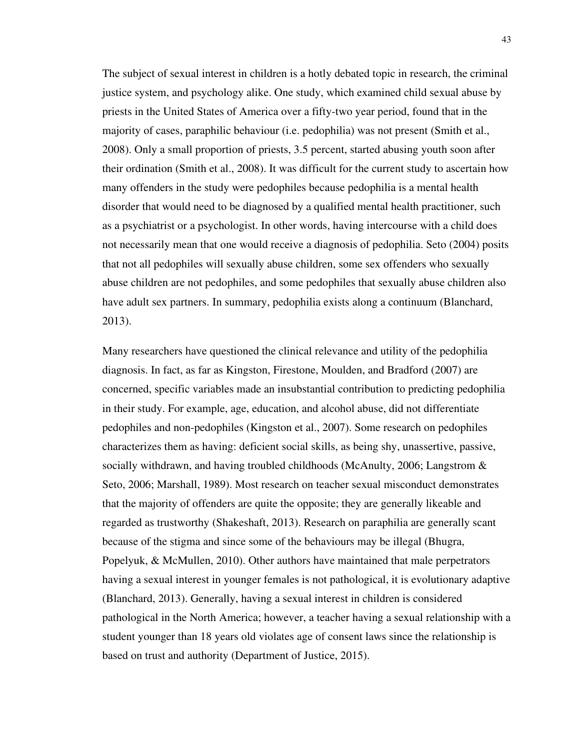The subject of sexual interest in children is a hotly debated topic in research, the criminal justice system, and psychology alike. One study, which examined child sexual abuse by priests in the United States of America over a fifty-two year period, found that in the majority of cases, paraphilic behaviour (i.e. pedophilia) was not present (Smith et al., 2008). Only a small proportion of priests, 3.5 percent, started abusing youth soon after their ordination (Smith et al., 2008). It was difficult for the current study to ascertain how many offenders in the study were pedophiles because pedophilia is a mental health disorder that would need to be diagnosed by a qualified mental health practitioner, such as a psychiatrist or a psychologist. In other words, having intercourse with a child does not necessarily mean that one would receive a diagnosis of pedophilia. Seto (2004) posits that not all pedophiles will sexually abuse children, some sex offenders who sexually abuse children are not pedophiles, and some pedophiles that sexually abuse children also have adult sex partners. In summary, pedophilia exists along a continuum (Blanchard, 2013).

Many researchers have questioned the clinical relevance and utility of the pedophilia diagnosis. In fact, as far as Kingston, Firestone, Moulden, and Bradford (2007) are concerned, specific variables made an insubstantial contribution to predicting pedophilia in their study. For example, age, education, and alcohol abuse, did not differentiate pedophiles and non-pedophiles (Kingston et al., 2007). Some research on pedophiles characterizes them as having: deficient social skills, as being shy, unassertive, passive, socially withdrawn, and having troubled childhoods (McAnulty, 2006; Langstrom & Seto, 2006; Marshall, 1989). Most research on teacher sexual misconduct demonstrates that the majority of offenders are quite the opposite; they are generally likeable and regarded as trustworthy (Shakeshaft, 2013). Research on paraphilia are generally scant because of the stigma and since some of the behaviours may be illegal (Bhugra, Popelyuk, & McMullen, 2010). Other authors have maintained that male perpetrators having a sexual interest in younger females is not pathological, it is evolutionary adaptive (Blanchard, 2013). Generally, having a sexual interest in children is considered pathological in the North America; however, a teacher having a sexual relationship with a student younger than 18 years old violates age of consent laws since the relationship is based on trust and authority (Department of Justice, 2015).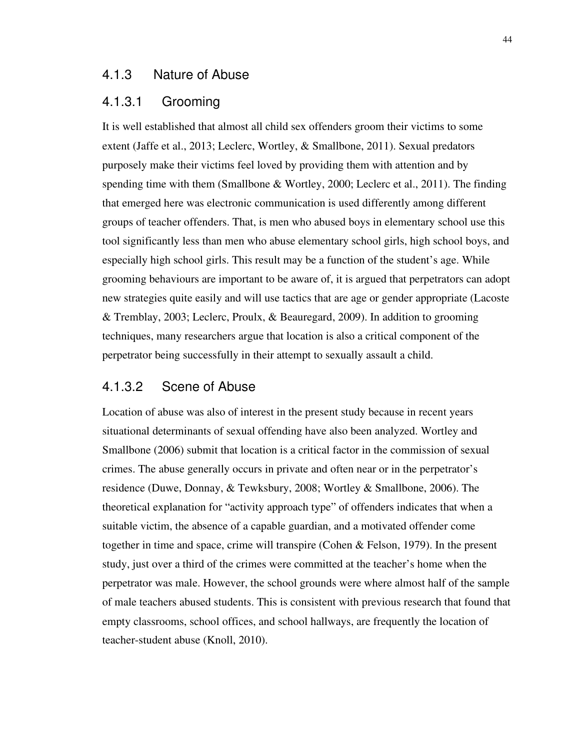#### 4.1.3 Nature of Abuse

#### 4.1.3.1 Grooming

It is well established that almost all child sex offenders groom their victims to some extent (Jaffe et al., 2013; Leclerc, Wortley, & Smallbone, 2011). Sexual predators purposely make their victims feel loved by providing them with attention and by spending time with them (Smallbone & Wortley, 2000; Leclerc et al., 2011). The finding that emerged here was electronic communication is used differently among different groups of teacher offenders. That, is men who abused boys in elementary school use this tool significantly less than men who abuse elementary school girls, high school boys, and especially high school girls. This result may be a function of the student's age. While grooming behaviours are important to be aware of, it is argued that perpetrators can adopt new strategies quite easily and will use tactics that are age or gender appropriate (Lacoste & Tremblay, 2003; Leclerc, Proulx, & Beauregard, 2009). In addition to grooming techniques, many researchers argue that location is also a critical component of the perpetrator being successfully in their attempt to sexually assault a child.

### 4.1.3.2 Scene of Abuse

Location of abuse was also of interest in the present study because in recent years situational determinants of sexual offending have also been analyzed. Wortley and Smallbone (2006) submit that location is a critical factor in the commission of sexual crimes. The abuse generally occurs in private and often near or in the perpetrator's residence (Duwe, Donnay, & Tewksbury, 2008; Wortley & Smallbone, 2006). The theoretical explanation for "activity approach type" of offenders indicates that when a suitable victim, the absence of a capable guardian, and a motivated offender come together in time and space, crime will transpire (Cohen & Felson, 1979). In the present study, just over a third of the crimes were committed at the teacher's home when the perpetrator was male. However, the school grounds were where almost half of the sample of male teachers abused students. This is consistent with previous research that found that empty classrooms, school offices, and school hallways, are frequently the location of teacher-student abuse (Knoll, 2010).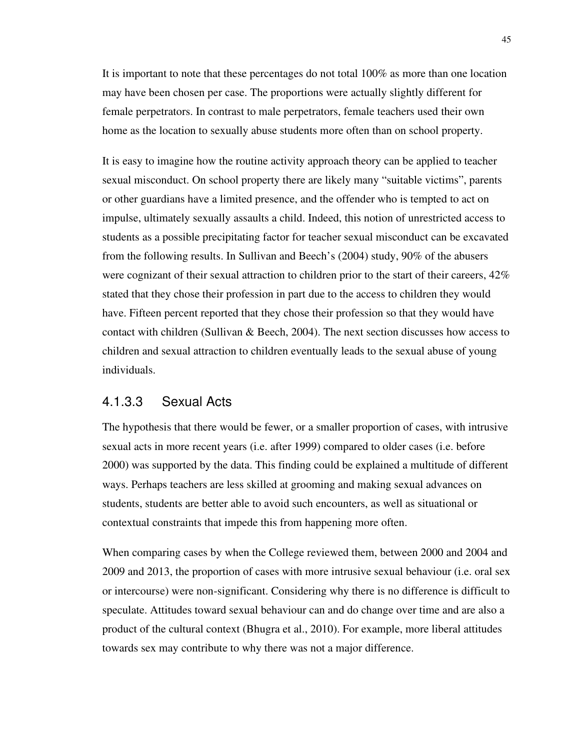It is important to note that these percentages do not total 100% as more than one location may have been chosen per case. The proportions were actually slightly different for female perpetrators. In contrast to male perpetrators, female teachers used their own home as the location to sexually abuse students more often than on school property.

It is easy to imagine how the routine activity approach theory can be applied to teacher sexual misconduct. On school property there are likely many "suitable victims", parents or other guardians have a limited presence, and the offender who is tempted to act on impulse, ultimately sexually assaults a child. Indeed, this notion of unrestricted access to students as a possible precipitating factor for teacher sexual misconduct can be excavated from the following results. In Sullivan and Beech's (2004) study, 90% of the abusers were cognizant of their sexual attraction to children prior to the start of their careers, 42% stated that they chose their profession in part due to the access to children they would have. Fifteen percent reported that they chose their profession so that they would have contact with children (Sullivan  $&$  Beech, 2004). The next section discusses how access to children and sexual attraction to children eventually leads to the sexual abuse of young individuals.

### 4.1.3.3 Sexual Acts

The hypothesis that there would be fewer, or a smaller proportion of cases, with intrusive sexual acts in more recent years (i.e. after 1999) compared to older cases (i.e. before 2000) was supported by the data. This finding could be explained a multitude of different ways. Perhaps teachers are less skilled at grooming and making sexual advances on students, students are better able to avoid such encounters, as well as situational or contextual constraints that impede this from happening more often.

When comparing cases by when the College reviewed them, between 2000 and 2004 and 2009 and 2013, the proportion of cases with more intrusive sexual behaviour (i.e. oral sex or intercourse) were non-significant. Considering why there is no difference is difficult to speculate. Attitudes toward sexual behaviour can and do change over time and are also a product of the cultural context (Bhugra et al., 2010). For example, more liberal attitudes towards sex may contribute to why there was not a major difference.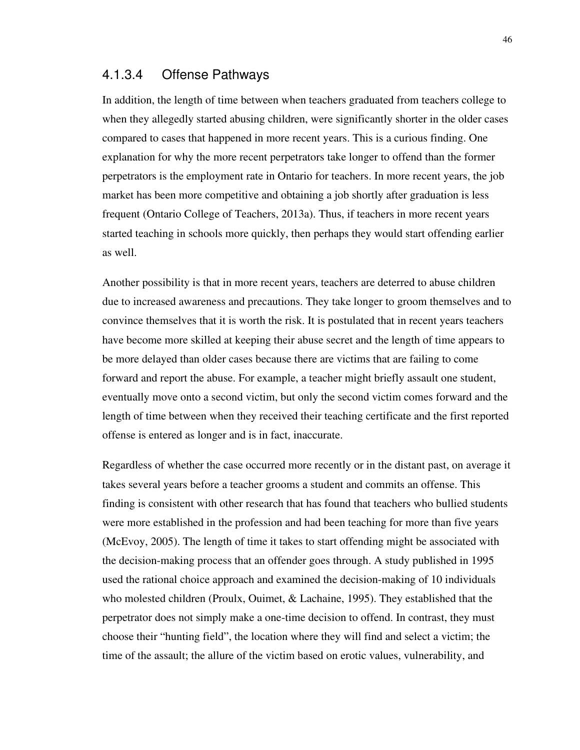### 4.1.3.4 Offense Pathways

In addition, the length of time between when teachers graduated from teachers college to when they allegedly started abusing children, were significantly shorter in the older cases compared to cases that happened in more recent years. This is a curious finding. One explanation for why the more recent perpetrators take longer to offend than the former perpetrators is the employment rate in Ontario for teachers. In more recent years, the job market has been more competitive and obtaining a job shortly after graduation is less frequent (Ontario College of Teachers, 2013a). Thus, if teachers in more recent years started teaching in schools more quickly, then perhaps they would start offending earlier as well.

Another possibility is that in more recent years, teachers are deterred to abuse children due to increased awareness and precautions. They take longer to groom themselves and to convince themselves that it is worth the risk. It is postulated that in recent years teachers have become more skilled at keeping their abuse secret and the length of time appears to be more delayed than older cases because there are victims that are failing to come forward and report the abuse. For example, a teacher might briefly assault one student, eventually move onto a second victim, but only the second victim comes forward and the length of time between when they received their teaching certificate and the first reported offense is entered as longer and is in fact, inaccurate.

Regardless of whether the case occurred more recently or in the distant past, on average it takes several years before a teacher grooms a student and commits an offense. This finding is consistent with other research that has found that teachers who bullied students were more established in the profession and had been teaching for more than five years (McEvoy, 2005). The length of time it takes to start offending might be associated with the decision-making process that an offender goes through. A study published in 1995 used the rational choice approach and examined the decision-making of 10 individuals who molested children (Proulx, Ouimet, & Lachaine, 1995). They established that the perpetrator does not simply make a one-time decision to offend. In contrast, they must choose their "hunting field", the location where they will find and select a victim; the time of the assault; the allure of the victim based on erotic values, vulnerability, and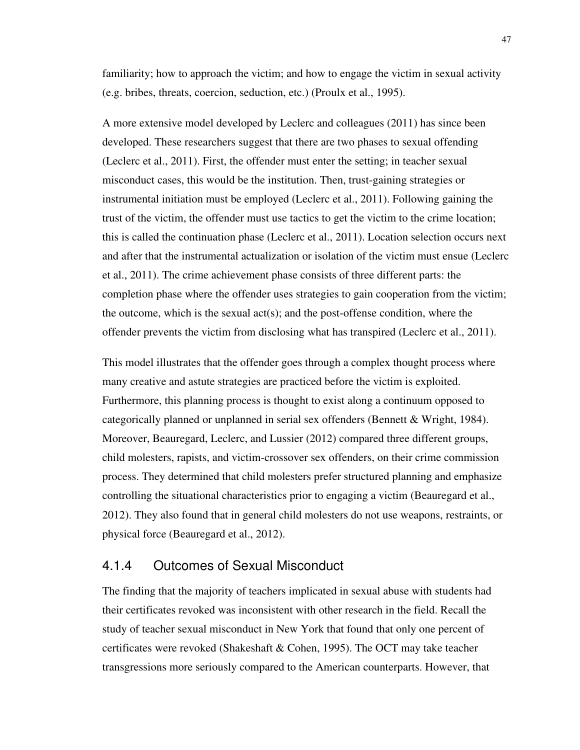familiarity; how to approach the victim; and how to engage the victim in sexual activity (e.g. bribes, threats, coercion, seduction, etc.) (Proulx et al., 1995).

A more extensive model developed by Leclerc and colleagues (2011) has since been developed. These researchers suggest that there are two phases to sexual offending (Leclerc et al., 2011). First, the offender must enter the setting; in teacher sexual misconduct cases, this would be the institution. Then, trust-gaining strategies or instrumental initiation must be employed (Leclerc et al., 2011). Following gaining the trust of the victim, the offender must use tactics to get the victim to the crime location; this is called the continuation phase (Leclerc et al., 2011). Location selection occurs next and after that the instrumental actualization or isolation of the victim must ensue (Leclerc et al., 2011). The crime achievement phase consists of three different parts: the completion phase where the offender uses strategies to gain cooperation from the victim; the outcome, which is the sexual act(s); and the post-offense condition, where the offender prevents the victim from disclosing what has transpired (Leclerc et al., 2011).

This model illustrates that the offender goes through a complex thought process where many creative and astute strategies are practiced before the victim is exploited. Furthermore, this planning process is thought to exist along a continuum opposed to categorically planned or unplanned in serial sex offenders (Bennett & Wright, 1984). Moreover, Beauregard, Leclerc, and Lussier (2012) compared three different groups, child molesters, rapists, and victim-crossover sex offenders, on their crime commission process. They determined that child molesters prefer structured planning and emphasize controlling the situational characteristics prior to engaging a victim (Beauregard et al., 2012). They also found that in general child molesters do not use weapons, restraints, or physical force (Beauregard et al., 2012).

### 4.1.4 Outcomes of Sexual Misconduct

The finding that the majority of teachers implicated in sexual abuse with students had their certificates revoked was inconsistent with other research in the field. Recall the study of teacher sexual misconduct in New York that found that only one percent of certificates were revoked (Shakeshaft & Cohen, 1995). The OCT may take teacher transgressions more seriously compared to the American counterparts. However, that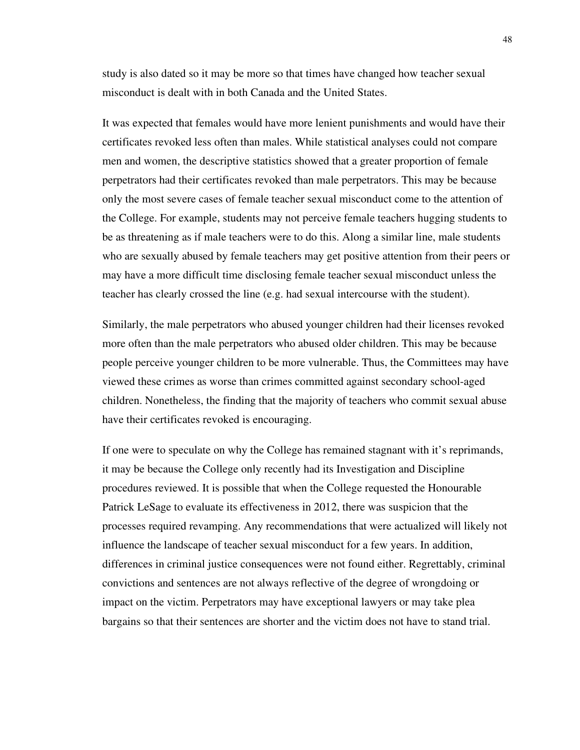study is also dated so it may be more so that times have changed how teacher sexual misconduct is dealt with in both Canada and the United States.

It was expected that females would have more lenient punishments and would have their certificates revoked less often than males. While statistical analyses could not compare men and women, the descriptive statistics showed that a greater proportion of female perpetrators had their certificates revoked than male perpetrators. This may be because only the most severe cases of female teacher sexual misconduct come to the attention of the College. For example, students may not perceive female teachers hugging students to be as threatening as if male teachers were to do this. Along a similar line, male students who are sexually abused by female teachers may get positive attention from their peers or may have a more difficult time disclosing female teacher sexual misconduct unless the teacher has clearly crossed the line (e.g. had sexual intercourse with the student).

Similarly, the male perpetrators who abused younger children had their licenses revoked more often than the male perpetrators who abused older children. This may be because people perceive younger children to be more vulnerable. Thus, the Committees may have viewed these crimes as worse than crimes committed against secondary school-aged children. Nonetheless, the finding that the majority of teachers who commit sexual abuse have their certificates revoked is encouraging.

If one were to speculate on why the College has remained stagnant with it's reprimands, it may be because the College only recently had its Investigation and Discipline procedures reviewed. It is possible that when the College requested the Honourable Patrick LeSage to evaluate its effectiveness in 2012, there was suspicion that the processes required revamping. Any recommendations that were actualized will likely not influence the landscape of teacher sexual misconduct for a few years. In addition, differences in criminal justice consequences were not found either. Regrettably, criminal convictions and sentences are not always reflective of the degree of wrongdoing or impact on the victim. Perpetrators may have exceptional lawyers or may take plea bargains so that their sentences are shorter and the victim does not have to stand trial.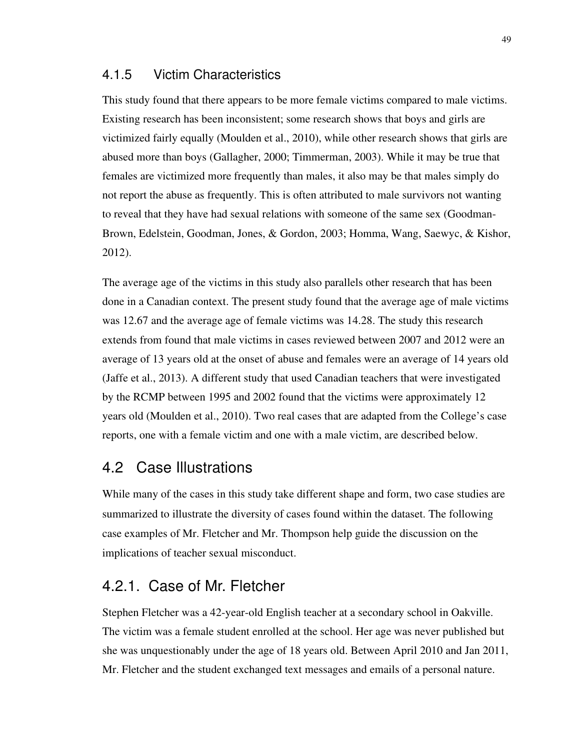### 4.1.5 Victim Characteristics

This study found that there appears to be more female victims compared to male victims. Existing research has been inconsistent; some research shows that boys and girls are victimized fairly equally (Moulden et al., 2010), while other research shows that girls are abused more than boys (Gallagher, 2000; Timmerman, 2003). While it may be true that females are victimized more frequently than males, it also may be that males simply do not report the abuse as frequently. This is often attributed to male survivors not wanting to reveal that they have had sexual relations with someone of the same sex (Goodman-Brown, Edelstein, Goodman, Jones, & Gordon, 2003; Homma, Wang, Saewyc, & Kishor, 2012).

The average age of the victims in this study also parallels other research that has been done in a Canadian context. The present study found that the average age of male victims was 12.67 and the average age of female victims was 14.28. The study this research extends from found that male victims in cases reviewed between 2007 and 2012 were an average of 13 years old at the onset of abuse and females were an average of 14 years old (Jaffe et al., 2013). A different study that used Canadian teachers that were investigated by the RCMP between 1995 and 2002 found that the victims were approximately 12 years old (Moulden et al., 2010). Two real cases that are adapted from the College's case reports, one with a female victim and one with a male victim, are described below.

## 4.2 Case Illustrations

While many of the cases in this study take different shape and form, two case studies are summarized to illustrate the diversity of cases found within the dataset. The following case examples of Mr. Fletcher and Mr. Thompson help guide the discussion on the implications of teacher sexual misconduct.

## 4.2.1. Case of Mr. Fletcher

Stephen Fletcher was a 42-year-old English teacher at a secondary school in Oakville. The victim was a female student enrolled at the school. Her age was never published but she was unquestionably under the age of 18 years old. Between April 2010 and Jan 2011, Mr. Fletcher and the student exchanged text messages and emails of a personal nature.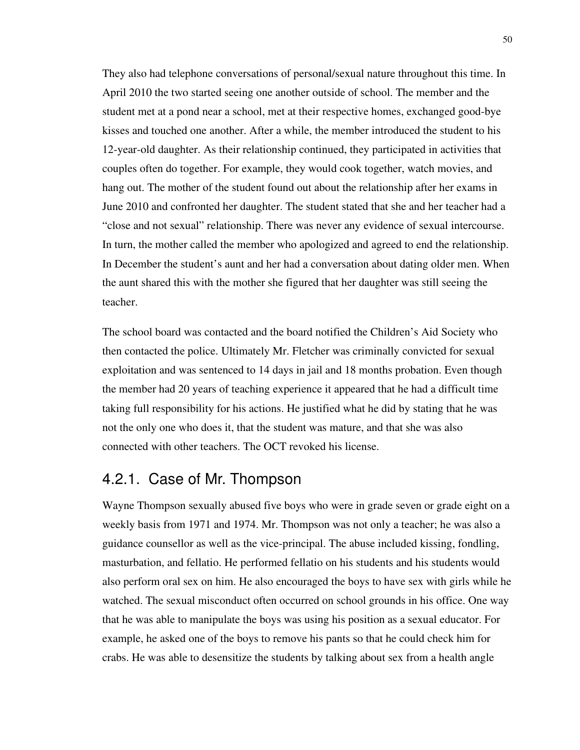They also had telephone conversations of personal/sexual nature throughout this time. In April 2010 the two started seeing one another outside of school. The member and the student met at a pond near a school, met at their respective homes, exchanged good-bye kisses and touched one another. After a while, the member introduced the student to his 12-year-old daughter. As their relationship continued, they participated in activities that couples often do together. For example, they would cook together, watch movies, and hang out. The mother of the student found out about the relationship after her exams in June 2010 and confronted her daughter. The student stated that she and her teacher had a "close and not sexual" relationship. There was never any evidence of sexual intercourse. In turn, the mother called the member who apologized and agreed to end the relationship. In December the student's aunt and her had a conversation about dating older men. When the aunt shared this with the mother she figured that her daughter was still seeing the teacher.

The school board was contacted and the board notified the Children's Aid Society who then contacted the police. Ultimately Mr. Fletcher was criminally convicted for sexual exploitation and was sentenced to 14 days in jail and 18 months probation. Even though the member had 20 years of teaching experience it appeared that he had a difficult time taking full responsibility for his actions. He justified what he did by stating that he was not the only one who does it, that the student was mature, and that she was also connected with other teachers. The OCT revoked his license.

## 4.2.1. Case of Mr. Thompson

Wayne Thompson sexually abused five boys who were in grade seven or grade eight on a weekly basis from 1971 and 1974. Mr. Thompson was not only a teacher; he was also a guidance counsellor as well as the vice-principal. The abuse included kissing, fondling, masturbation, and fellatio. He performed fellatio on his students and his students would also perform oral sex on him. He also encouraged the boys to have sex with girls while he watched. The sexual misconduct often occurred on school grounds in his office. One way that he was able to manipulate the boys was using his position as a sexual educator. For example, he asked one of the boys to remove his pants so that he could check him for crabs. He was able to desensitize the students by talking about sex from a health angle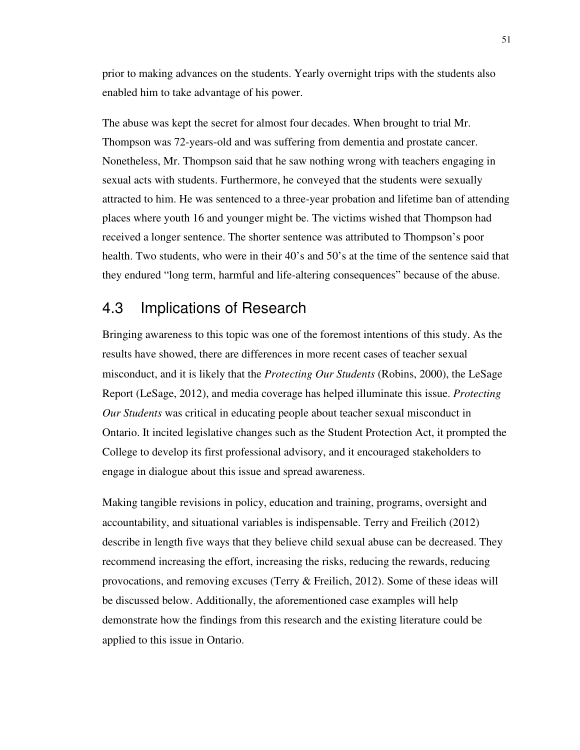prior to making advances on the students. Yearly overnight trips with the students also enabled him to take advantage of his power.

The abuse was kept the secret for almost four decades. When brought to trial Mr. Thompson was 72-years-old and was suffering from dementia and prostate cancer. Nonetheless, Mr. Thompson said that he saw nothing wrong with teachers engaging in sexual acts with students. Furthermore, he conveyed that the students were sexually attracted to him. He was sentenced to a three-year probation and lifetime ban of attending places where youth 16 and younger might be. The victims wished that Thompson had received a longer sentence. The shorter sentence was attributed to Thompson's poor health. Two students, who were in their 40's and 50's at the time of the sentence said that they endured "long term, harmful and life-altering consequences" because of the abuse.

# 4.3 Implications of Research

Bringing awareness to this topic was one of the foremost intentions of this study. As the results have showed, there are differences in more recent cases of teacher sexual misconduct, and it is likely that the *Protecting Our Students* (Robins, 2000), the LeSage Report (LeSage, 2012), and media coverage has helped illuminate this issue. *Protecting Our Students* was critical in educating people about teacher sexual misconduct in Ontario. It incited legislative changes such as the Student Protection Act, it prompted the College to develop its first professional advisory, and it encouraged stakeholders to engage in dialogue about this issue and spread awareness.

Making tangible revisions in policy, education and training, programs, oversight and accountability, and situational variables is indispensable. Terry and Freilich (2012) describe in length five ways that they believe child sexual abuse can be decreased. They recommend increasing the effort, increasing the risks, reducing the rewards, reducing provocations, and removing excuses (Terry & Freilich, 2012). Some of these ideas will be discussed below. Additionally, the aforementioned case examples will help demonstrate how the findings from this research and the existing literature could be applied to this issue in Ontario.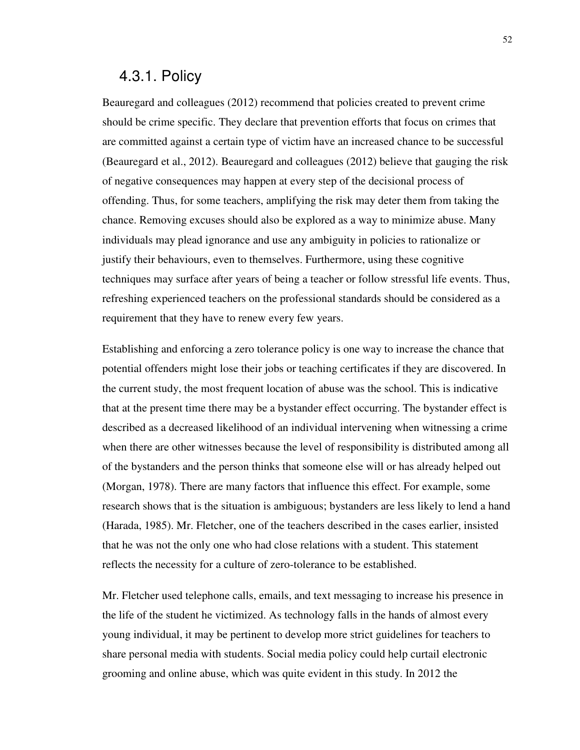## 4.3.1. Policy

Beauregard and colleagues (2012) recommend that policies created to prevent crime should be crime specific. They declare that prevention efforts that focus on crimes that are committed against a certain type of victim have an increased chance to be successful (Beauregard et al., 2012). Beauregard and colleagues (2012) believe that gauging the risk of negative consequences may happen at every step of the decisional process of offending. Thus, for some teachers, amplifying the risk may deter them from taking the chance. Removing excuses should also be explored as a way to minimize abuse. Many individuals may plead ignorance and use any ambiguity in policies to rationalize or justify their behaviours, even to themselves. Furthermore, using these cognitive techniques may surface after years of being a teacher or follow stressful life events. Thus, refreshing experienced teachers on the professional standards should be considered as a requirement that they have to renew every few years.

Establishing and enforcing a zero tolerance policy is one way to increase the chance that potential offenders might lose their jobs or teaching certificates if they are discovered. In the current study, the most frequent location of abuse was the school. This is indicative that at the present time there may be a bystander effect occurring. The bystander effect is described as a decreased likelihood of an individual intervening when witnessing a crime when there are other witnesses because the level of responsibility is distributed among all of the bystanders and the person thinks that someone else will or has already helped out (Morgan, 1978). There are many factors that influence this effect. For example, some research shows that is the situation is ambiguous; bystanders are less likely to lend a hand (Harada, 1985). Mr. Fletcher, one of the teachers described in the cases earlier, insisted that he was not the only one who had close relations with a student. This statement reflects the necessity for a culture of zero-tolerance to be established.

Mr. Fletcher used telephone calls, emails, and text messaging to increase his presence in the life of the student he victimized. As technology falls in the hands of almost every young individual, it may be pertinent to develop more strict guidelines for teachers to share personal media with students. Social media policy could help curtail electronic grooming and online abuse, which was quite evident in this study. In 2012 the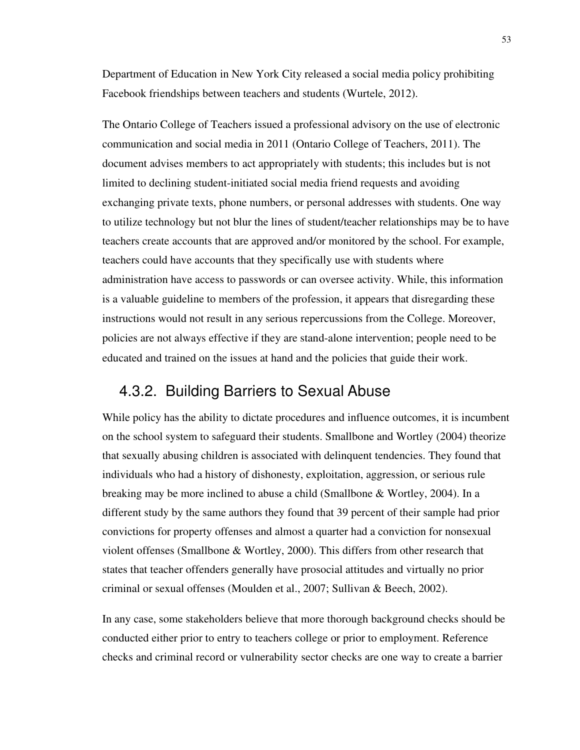Department of Education in New York City released a social media policy prohibiting Facebook friendships between teachers and students (Wurtele, 2012).

The Ontario College of Teachers issued a professional advisory on the use of electronic communication and social media in 2011 (Ontario College of Teachers, 2011). The document advises members to act appropriately with students; this includes but is not limited to declining student-initiated social media friend requests and avoiding exchanging private texts, phone numbers, or personal addresses with students. One way to utilize technology but not blur the lines of student/teacher relationships may be to have teachers create accounts that are approved and/or monitored by the school. For example, teachers could have accounts that they specifically use with students where administration have access to passwords or can oversee activity. While, this information is a valuable guideline to members of the profession, it appears that disregarding these instructions would not result in any serious repercussions from the College. Moreover, policies are not always effective if they are stand-alone intervention; people need to be educated and trained on the issues at hand and the policies that guide their work.

## 4.3.2. Building Barriers to Sexual Abuse

While policy has the ability to dictate procedures and influence outcomes, it is incumbent on the school system to safeguard their students. Smallbone and Wortley (2004) theorize that sexually abusing children is associated with delinquent tendencies. They found that individuals who had a history of dishonesty, exploitation, aggression, or serious rule breaking may be more inclined to abuse a child (Smallbone & Wortley, 2004). In a different study by the same authors they found that 39 percent of their sample had prior convictions for property offenses and almost a quarter had a conviction for nonsexual violent offenses (Smallbone & Wortley, 2000). This differs from other research that states that teacher offenders generally have prosocial attitudes and virtually no prior criminal or sexual offenses (Moulden et al., 2007; Sullivan & Beech, 2002).

In any case, some stakeholders believe that more thorough background checks should be conducted either prior to entry to teachers college or prior to employment. Reference checks and criminal record or vulnerability sector checks are one way to create a barrier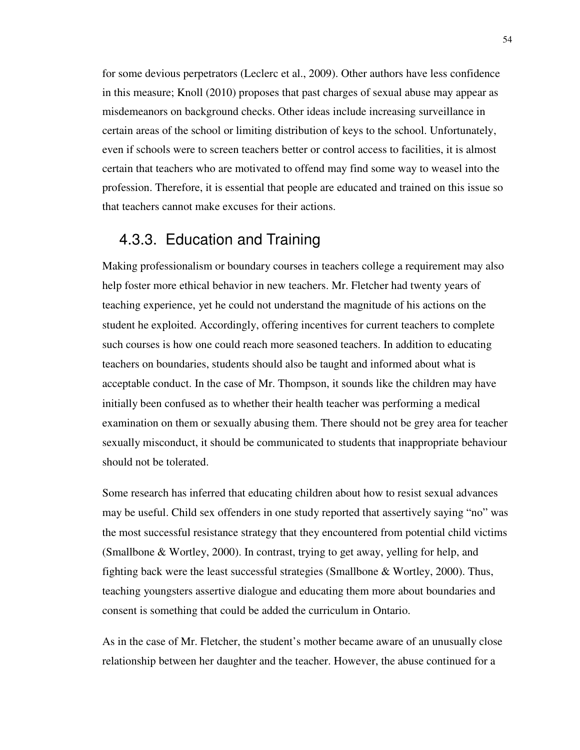for some devious perpetrators (Leclerc et al., 2009). Other authors have less confidence in this measure; Knoll (2010) proposes that past charges of sexual abuse may appear as misdemeanors on background checks. Other ideas include increasing surveillance in certain areas of the school or limiting distribution of keys to the school. Unfortunately, even if schools were to screen teachers better or control access to facilities, it is almost certain that teachers who are motivated to offend may find some way to weasel into the profession. Therefore, it is essential that people are educated and trained on this issue so that teachers cannot make excuses for their actions.

## 4.3.3. Education and Training

Making professionalism or boundary courses in teachers college a requirement may also help foster more ethical behavior in new teachers. Mr. Fletcher had twenty years of teaching experience, yet he could not understand the magnitude of his actions on the student he exploited. Accordingly, offering incentives for current teachers to complete such courses is how one could reach more seasoned teachers. In addition to educating teachers on boundaries, students should also be taught and informed about what is acceptable conduct. In the case of Mr. Thompson, it sounds like the children may have initially been confused as to whether their health teacher was performing a medical examination on them or sexually abusing them. There should not be grey area for teacher sexually misconduct, it should be communicated to students that inappropriate behaviour should not be tolerated.

Some research has inferred that educating children about how to resist sexual advances may be useful. Child sex offenders in one study reported that assertively saying "no" was the most successful resistance strategy that they encountered from potential child victims (Smallbone & Wortley, 2000). In contrast, trying to get away, yelling for help, and fighting back were the least successful strategies (Smallbone & Wortley, 2000). Thus, teaching youngsters assertive dialogue and educating them more about boundaries and consent is something that could be added the curriculum in Ontario.

As in the case of Mr. Fletcher, the student's mother became aware of an unusually close relationship between her daughter and the teacher. However, the abuse continued for a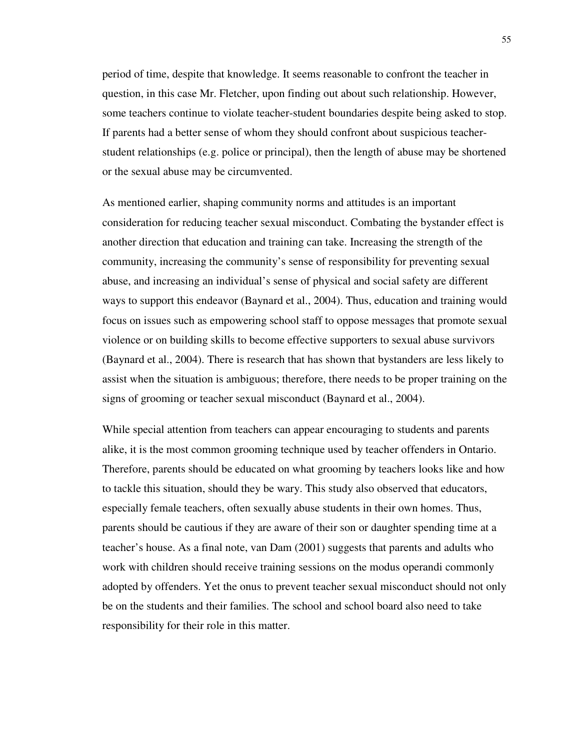period of time, despite that knowledge. It seems reasonable to confront the teacher in question, in this case Mr. Fletcher, upon finding out about such relationship. However, some teachers continue to violate teacher-student boundaries despite being asked to stop. If parents had a better sense of whom they should confront about suspicious teacherstudent relationships (e.g. police or principal), then the length of abuse may be shortened or the sexual abuse may be circumvented.

As mentioned earlier, shaping community norms and attitudes is an important consideration for reducing teacher sexual misconduct. Combating the bystander effect is another direction that education and training can take. Increasing the strength of the community, increasing the community's sense of responsibility for preventing sexual abuse, and increasing an individual's sense of physical and social safety are different ways to support this endeavor (Baynard et al., 2004). Thus, education and training would focus on issues such as empowering school staff to oppose messages that promote sexual violence or on building skills to become effective supporters to sexual abuse survivors (Baynard et al., 2004). There is research that has shown that bystanders are less likely to assist when the situation is ambiguous; therefore, there needs to be proper training on the signs of grooming or teacher sexual misconduct (Baynard et al., 2004).

While special attention from teachers can appear encouraging to students and parents alike, it is the most common grooming technique used by teacher offenders in Ontario. Therefore, parents should be educated on what grooming by teachers looks like and how to tackle this situation, should they be wary. This study also observed that educators, especially female teachers, often sexually abuse students in their own homes. Thus, parents should be cautious if they are aware of their son or daughter spending time at a teacher's house. As a final note, van Dam (2001) suggests that parents and adults who work with children should receive training sessions on the modus operandi commonly adopted by offenders. Yet the onus to prevent teacher sexual misconduct should not only be on the students and their families. The school and school board also need to take responsibility for their role in this matter.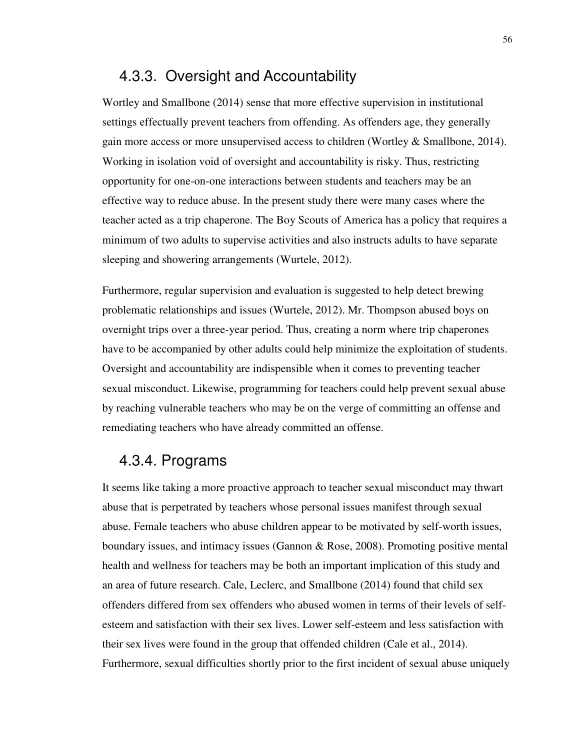## 4.3.3. Oversight and Accountability

Wortley and Smallbone (2014) sense that more effective supervision in institutional settings effectually prevent teachers from offending. As offenders age, they generally gain more access or more unsupervised access to children (Wortley  $\&$  Smallbone, 2014). Working in isolation void of oversight and accountability is risky. Thus, restricting opportunity for one-on-one interactions between students and teachers may be an effective way to reduce abuse. In the present study there were many cases where the teacher acted as a trip chaperone. The Boy Scouts of America has a policy that requires a minimum of two adults to supervise activities and also instructs adults to have separate sleeping and showering arrangements (Wurtele, 2012).

Furthermore, regular supervision and evaluation is suggested to help detect brewing problematic relationships and issues (Wurtele, 2012). Mr. Thompson abused boys on overnight trips over a three-year period. Thus, creating a norm where trip chaperones have to be accompanied by other adults could help minimize the exploitation of students. Oversight and accountability are indispensible when it comes to preventing teacher sexual misconduct. Likewise, programming for teachers could help prevent sexual abuse by reaching vulnerable teachers who may be on the verge of committing an offense and remediating teachers who have already committed an offense.

## 4.3.4. Programs

It seems like taking a more proactive approach to teacher sexual misconduct may thwart abuse that is perpetrated by teachers whose personal issues manifest through sexual abuse. Female teachers who abuse children appear to be motivated by self-worth issues, boundary issues, and intimacy issues (Gannon & Rose, 2008). Promoting positive mental health and wellness for teachers may be both an important implication of this study and an area of future research. Cale, Leclerc, and Smallbone (2014) found that child sex offenders differed from sex offenders who abused women in terms of their levels of selfesteem and satisfaction with their sex lives. Lower self-esteem and less satisfaction with their sex lives were found in the group that offended children (Cale et al., 2014). Furthermore, sexual difficulties shortly prior to the first incident of sexual abuse uniquely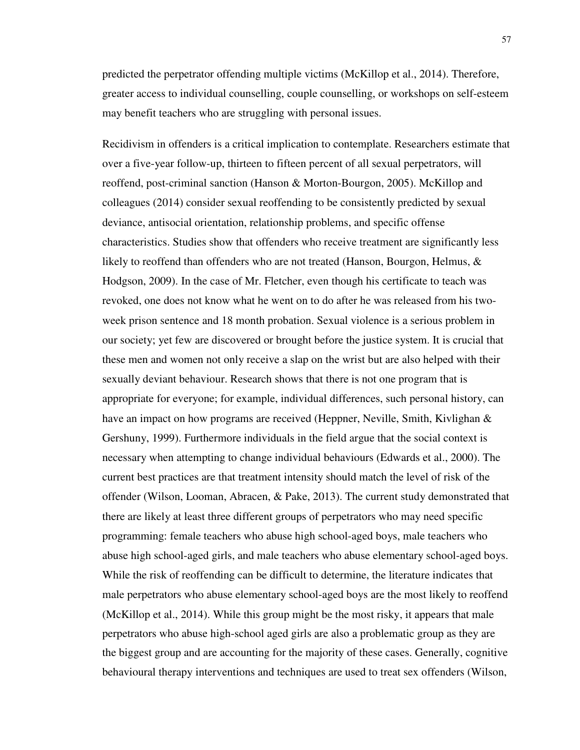predicted the perpetrator offending multiple victims (McKillop et al., 2014). Therefore, greater access to individual counselling, couple counselling, or workshops on self-esteem may benefit teachers who are struggling with personal issues.

Recidivism in offenders is a critical implication to contemplate. Researchers estimate that over a five-year follow-up, thirteen to fifteen percent of all sexual perpetrators, will reoffend, post-criminal sanction (Hanson & Morton-Bourgon, 2005). McKillop and colleagues (2014) consider sexual reoffending to be consistently predicted by sexual deviance, antisocial orientation, relationship problems, and specific offense characteristics. Studies show that offenders who receive treatment are significantly less likely to reoffend than offenders who are not treated (Hanson, Bourgon, Helmus, & Hodgson, 2009). In the case of Mr. Fletcher, even though his certificate to teach was revoked, one does not know what he went on to do after he was released from his twoweek prison sentence and 18 month probation. Sexual violence is a serious problem in our society; yet few are discovered or brought before the justice system. It is crucial that these men and women not only receive a slap on the wrist but are also helped with their sexually deviant behaviour. Research shows that there is not one program that is appropriate for everyone; for example, individual differences, such personal history, can have an impact on how programs are received (Heppner, Neville, Smith, Kivlighan & Gershuny, 1999). Furthermore individuals in the field argue that the social context is necessary when attempting to change individual behaviours (Edwards et al., 2000). The current best practices are that treatment intensity should match the level of risk of the offender (Wilson, Looman, Abracen, & Pake, 2013). The current study demonstrated that there are likely at least three different groups of perpetrators who may need specific programming: female teachers who abuse high school-aged boys, male teachers who abuse high school-aged girls, and male teachers who abuse elementary school-aged boys. While the risk of reoffending can be difficult to determine, the literature indicates that male perpetrators who abuse elementary school-aged boys are the most likely to reoffend (McKillop et al., 2014). While this group might be the most risky, it appears that male perpetrators who abuse high-school aged girls are also a problematic group as they are the biggest group and are accounting for the majority of these cases. Generally, cognitive behavioural therapy interventions and techniques are used to treat sex offenders (Wilson,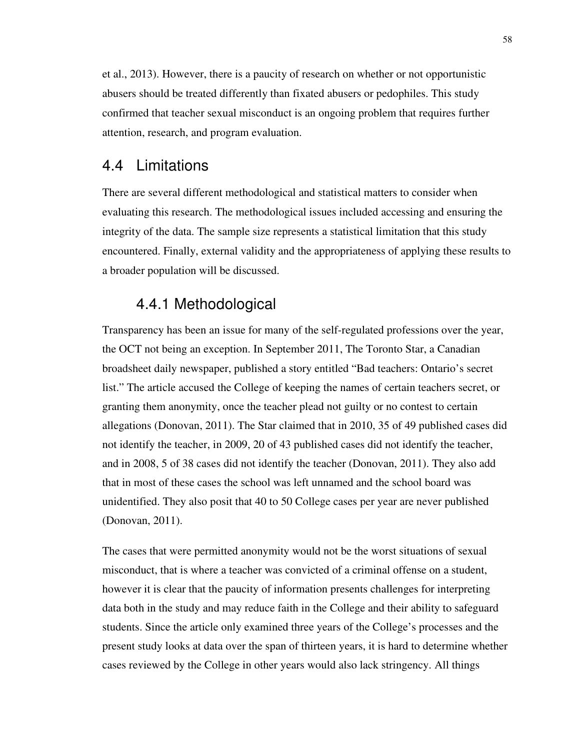et al., 2013). However, there is a paucity of research on whether or not opportunistic abusers should be treated differently than fixated abusers or pedophiles. This study confirmed that teacher sexual misconduct is an ongoing problem that requires further attention, research, and program evaluation.

## 4.4 Limitations

There are several different methodological and statistical matters to consider when evaluating this research. The methodological issues included accessing and ensuring the integrity of the data. The sample size represents a statistical limitation that this study encountered. Finally, external validity and the appropriateness of applying these results to a broader population will be discussed.

## 4.4.1 Methodological

Transparency has been an issue for many of the self-regulated professions over the year, the OCT not being an exception. In September 2011, The Toronto Star, a Canadian broadsheet daily newspaper, published a story entitled "Bad teachers: Ontario's secret list." The article accused the College of keeping the names of certain teachers secret, or granting them anonymity, once the teacher plead not guilty or no contest to certain allegations (Donovan, 2011). The Star claimed that in 2010, 35 of 49 published cases did not identify the teacher, in 2009, 20 of 43 published cases did not identify the teacher, and in 2008, 5 of 38 cases did not identify the teacher (Donovan, 2011). They also add that in most of these cases the school was left unnamed and the school board was unidentified. They also posit that 40 to 50 College cases per year are never published (Donovan, 2011).

The cases that were permitted anonymity would not be the worst situations of sexual misconduct, that is where a teacher was convicted of a criminal offense on a student, however it is clear that the paucity of information presents challenges for interpreting data both in the study and may reduce faith in the College and their ability to safeguard students. Since the article only examined three years of the College's processes and the present study looks at data over the span of thirteen years, it is hard to determine whether cases reviewed by the College in other years would also lack stringency. All things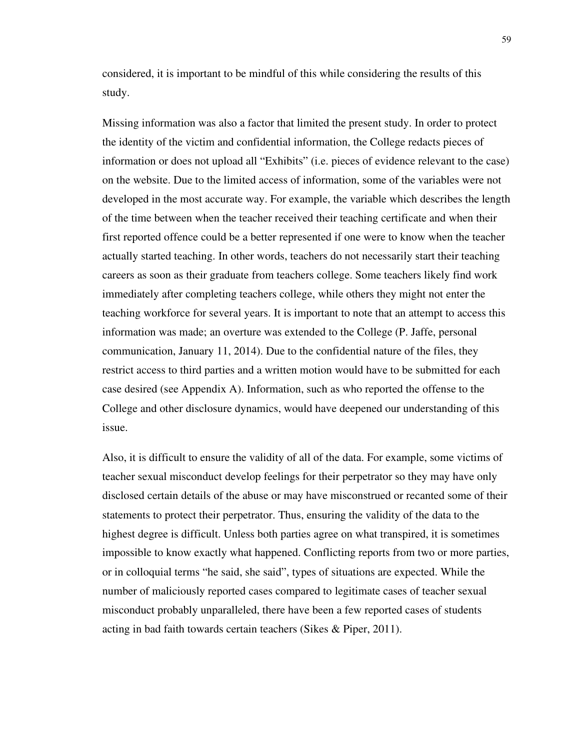considered, it is important to be mindful of this while considering the results of this study.

Missing information was also a factor that limited the present study. In order to protect the identity of the victim and confidential information, the College redacts pieces of information or does not upload all "Exhibits" (i.e. pieces of evidence relevant to the case) on the website. Due to the limited access of information, some of the variables were not developed in the most accurate way. For example, the variable which describes the length of the time between when the teacher received their teaching certificate and when their first reported offence could be a better represented if one were to know when the teacher actually started teaching. In other words, teachers do not necessarily start their teaching careers as soon as their graduate from teachers college. Some teachers likely find work immediately after completing teachers college, while others they might not enter the teaching workforce for several years. It is important to note that an attempt to access this information was made; an overture was extended to the College (P. Jaffe, personal communication, January 11, 2014). Due to the confidential nature of the files, they restrict access to third parties and a written motion would have to be submitted for each case desired (see Appendix A). Information, such as who reported the offense to the College and other disclosure dynamics, would have deepened our understanding of this issue.

Also, it is difficult to ensure the validity of all of the data. For example, some victims of teacher sexual misconduct develop feelings for their perpetrator so they may have only disclosed certain details of the abuse or may have misconstrued or recanted some of their statements to protect their perpetrator. Thus, ensuring the validity of the data to the highest degree is difficult. Unless both parties agree on what transpired, it is sometimes impossible to know exactly what happened. Conflicting reports from two or more parties, or in colloquial terms "he said, she said", types of situations are expected. While the number of maliciously reported cases compared to legitimate cases of teacher sexual misconduct probably unparalleled, there have been a few reported cases of students acting in bad faith towards certain teachers (Sikes & Piper, 2011).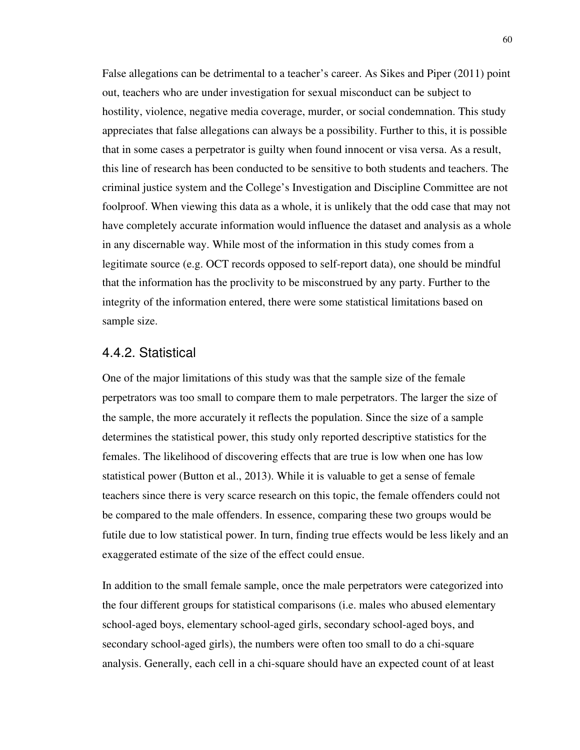False allegations can be detrimental to a teacher's career. As Sikes and Piper (2011) point out, teachers who are under investigation for sexual misconduct can be subject to hostility, violence, negative media coverage, murder, or social condemnation. This study appreciates that false allegations can always be a possibility. Further to this, it is possible that in some cases a perpetrator is guilty when found innocent or visa versa. As a result, this line of research has been conducted to be sensitive to both students and teachers. The criminal justice system and the College's Investigation and Discipline Committee are not foolproof. When viewing this data as a whole, it is unlikely that the odd case that may not have completely accurate information would influence the dataset and analysis as a whole in any discernable way. While most of the information in this study comes from a legitimate source (e.g. OCT records opposed to self-report data), one should be mindful that the information has the proclivity to be misconstrued by any party. Further to the integrity of the information entered, there were some statistical limitations based on sample size.

#### 4.4.2. Statistical

One of the major limitations of this study was that the sample size of the female perpetrators was too small to compare them to male perpetrators. The larger the size of the sample, the more accurately it reflects the population. Since the size of a sample determines the statistical power, this study only reported descriptive statistics for the females. The likelihood of discovering effects that are true is low when one has low statistical power (Button et al., 2013). While it is valuable to get a sense of female teachers since there is very scarce research on this topic, the female offenders could not be compared to the male offenders. In essence, comparing these two groups would be futile due to low statistical power. In turn, finding true effects would be less likely and an exaggerated estimate of the size of the effect could ensue.

In addition to the small female sample, once the male perpetrators were categorized into the four different groups for statistical comparisons (i.e. males who abused elementary school-aged boys, elementary school-aged girls, secondary school-aged boys, and secondary school-aged girls), the numbers were often too small to do a chi-square analysis. Generally, each cell in a chi-square should have an expected count of at least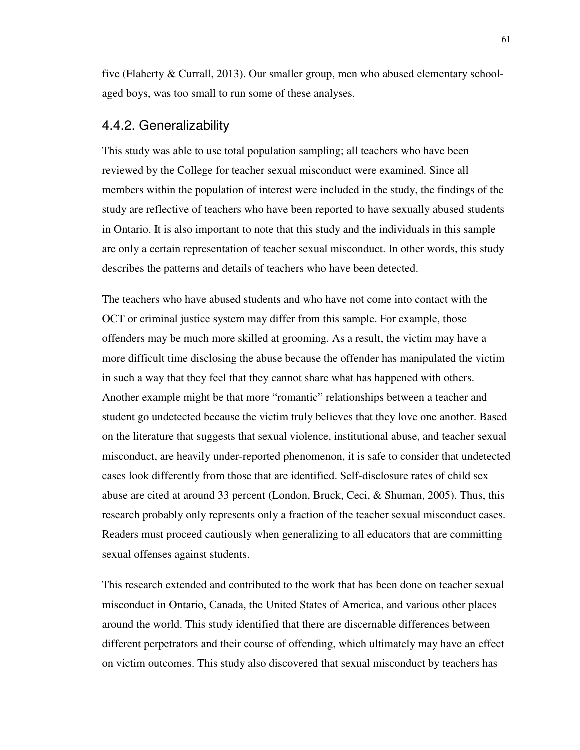five (Flaherty & Currall, 2013). Our smaller group, men who abused elementary schoolaged boys, was too small to run some of these analyses.

### 4.4.2. Generalizability

This study was able to use total population sampling; all teachers who have been reviewed by the College for teacher sexual misconduct were examined. Since all members within the population of interest were included in the study, the findings of the study are reflective of teachers who have been reported to have sexually abused students in Ontario. It is also important to note that this study and the individuals in this sample are only a certain representation of teacher sexual misconduct. In other words, this study describes the patterns and details of teachers who have been detected.

The teachers who have abused students and who have not come into contact with the OCT or criminal justice system may differ from this sample. For example, those offenders may be much more skilled at grooming. As a result, the victim may have a more difficult time disclosing the abuse because the offender has manipulated the victim in such a way that they feel that they cannot share what has happened with others. Another example might be that more "romantic" relationships between a teacher and student go undetected because the victim truly believes that they love one another. Based on the literature that suggests that sexual violence, institutional abuse, and teacher sexual misconduct, are heavily under-reported phenomenon, it is safe to consider that undetected cases look differently from those that are identified. Self-disclosure rates of child sex abuse are cited at around 33 percent (London, Bruck, Ceci, & Shuman, 2005). Thus, this research probably only represents only a fraction of the teacher sexual misconduct cases. Readers must proceed cautiously when generalizing to all educators that are committing sexual offenses against students.

This research extended and contributed to the work that has been done on teacher sexual misconduct in Ontario, Canada, the United States of America, and various other places around the world. This study identified that there are discernable differences between different perpetrators and their course of offending, which ultimately may have an effect on victim outcomes. This study also discovered that sexual misconduct by teachers has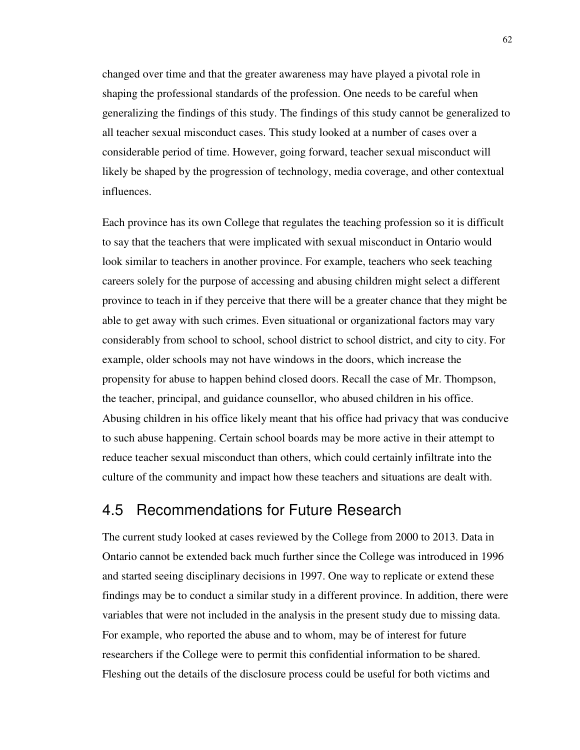changed over time and that the greater awareness may have played a pivotal role in shaping the professional standards of the profession. One needs to be careful when generalizing the findings of this study. The findings of this study cannot be generalized to all teacher sexual misconduct cases. This study looked at a number of cases over a considerable period of time. However, going forward, teacher sexual misconduct will likely be shaped by the progression of technology, media coverage, and other contextual influences.

Each province has its own College that regulates the teaching profession so it is difficult to say that the teachers that were implicated with sexual misconduct in Ontario would look similar to teachers in another province. For example, teachers who seek teaching careers solely for the purpose of accessing and abusing children might select a different province to teach in if they perceive that there will be a greater chance that they might be able to get away with such crimes. Even situational or organizational factors may vary considerably from school to school, school district to school district, and city to city. For example, older schools may not have windows in the doors, which increase the propensity for abuse to happen behind closed doors. Recall the case of Mr. Thompson, the teacher, principal, and guidance counsellor, who abused children in his office. Abusing children in his office likely meant that his office had privacy that was conducive to such abuse happening. Certain school boards may be more active in their attempt to reduce teacher sexual misconduct than others, which could certainly infiltrate into the culture of the community and impact how these teachers and situations are dealt with.

## 4.5 Recommendations for Future Research

The current study looked at cases reviewed by the College from 2000 to 2013. Data in Ontario cannot be extended back much further since the College was introduced in 1996 and started seeing disciplinary decisions in 1997. One way to replicate or extend these findings may be to conduct a similar study in a different province. In addition, there were variables that were not included in the analysis in the present study due to missing data. For example, who reported the abuse and to whom, may be of interest for future researchers if the College were to permit this confidential information to be shared. Fleshing out the details of the disclosure process could be useful for both victims and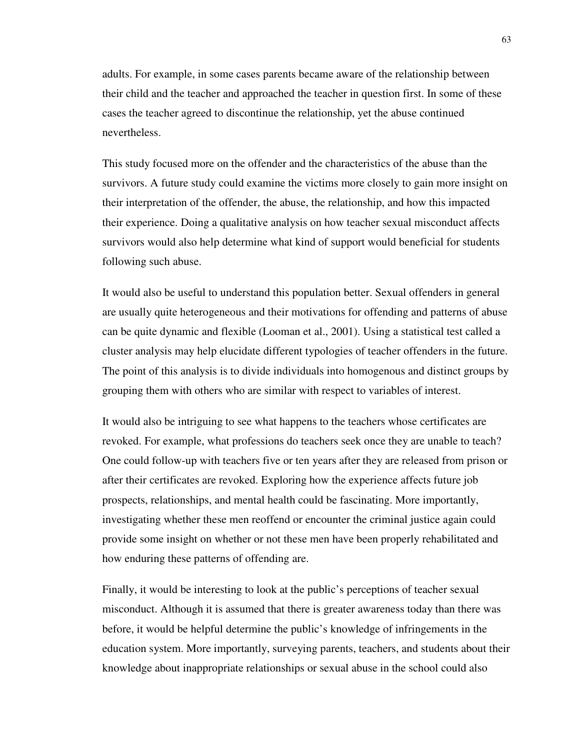adults. For example, in some cases parents became aware of the relationship between their child and the teacher and approached the teacher in question first. In some of these cases the teacher agreed to discontinue the relationship, yet the abuse continued nevertheless.

This study focused more on the offender and the characteristics of the abuse than the survivors. A future study could examine the victims more closely to gain more insight on their interpretation of the offender, the abuse, the relationship, and how this impacted their experience. Doing a qualitative analysis on how teacher sexual misconduct affects survivors would also help determine what kind of support would beneficial for students following such abuse.

It would also be useful to understand this population better. Sexual offenders in general are usually quite heterogeneous and their motivations for offending and patterns of abuse can be quite dynamic and flexible (Looman et al., 2001). Using a statistical test called a cluster analysis may help elucidate different typologies of teacher offenders in the future. The point of this analysis is to divide individuals into homogenous and distinct groups by grouping them with others who are similar with respect to variables of interest.

It would also be intriguing to see what happens to the teachers whose certificates are revoked. For example, what professions do teachers seek once they are unable to teach? One could follow-up with teachers five or ten years after they are released from prison or after their certificates are revoked. Exploring how the experience affects future job prospects, relationships, and mental health could be fascinating. More importantly, investigating whether these men reoffend or encounter the criminal justice again could provide some insight on whether or not these men have been properly rehabilitated and how enduring these patterns of offending are.

Finally, it would be interesting to look at the public's perceptions of teacher sexual misconduct. Although it is assumed that there is greater awareness today than there was before, it would be helpful determine the public's knowledge of infringements in the education system. More importantly, surveying parents, teachers, and students about their knowledge about inappropriate relationships or sexual abuse in the school could also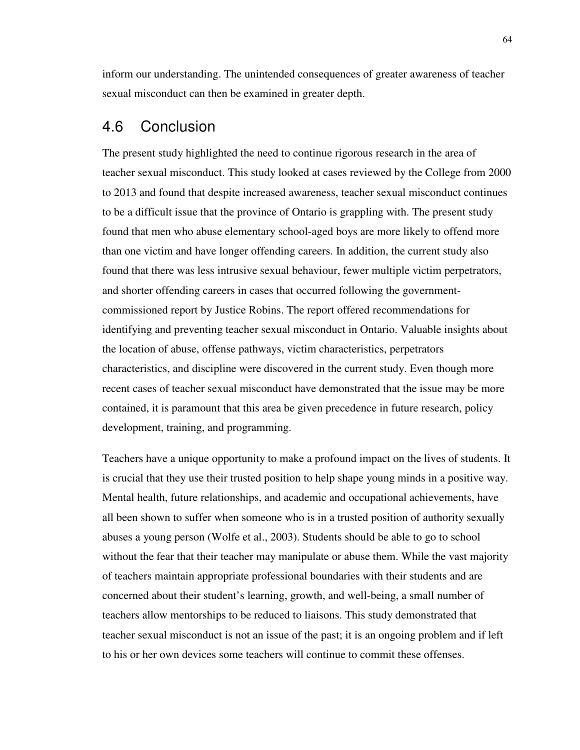inform our understanding. The unintended consequences of greater awareness of teacher sexual misconduct can then be examined in greater depth.

### 4.6 Conclusion

The present study highlighted the need to continue rigorous research in the area of teacher sexual misconduct. This study looked at cases reviewed by the College from 2000 to 2013 and found that despite increased awareness, teacher sexual misconduct continues to be a difficult issue that the province of Ontario is grappling with. The present study found that men who abuse elementary school-aged boys are more likely to offend more than one victim and have longer offending careers. In addition, the current study also found that there was less intrusive sexual behaviour, fewer multiple victim perpetrators, and shorter offending careers in cases that occurred following the governmentcommissioned report by Justice Robins. The report offered recommendations for identifying and preventing teacher sexual misconduct in Ontario. Valuable insights about the location of abuse, offense pathways, victim characteristics, perpetrators characteristics, and discipline were discovered in the current study. Even though more recent cases of teacher sexual misconduct have demonstrated that the issue may be more contained, it is paramount that this area be given precedence in future research, policy development, training, and programming.

Teachers have a unique opportunity to make a profound impact on the lives of students. It is crucial that they use their trusted position to help shape young minds in a positive way. Mental health, future relationships, and academic and occupational achievements, have all been shown to suffer when someone who is in a trusted position of authority sexually abuses a young person (Wolfe et al., 2003). Students should be able to go to school without the fear that their teacher may manipulate or abuse them. While the vast majority of teachers maintain appropriate professional boundaries with their students and are concerned about their student's learning, growth, and well-being, a small number of teachers allow mentorships to be reduced to liaisons. This study demonstrated that teacher sexual misconduct is not an issue of the past; it is an ongoing problem and if left to his or her own devices some teachers will continue to commit these offenses.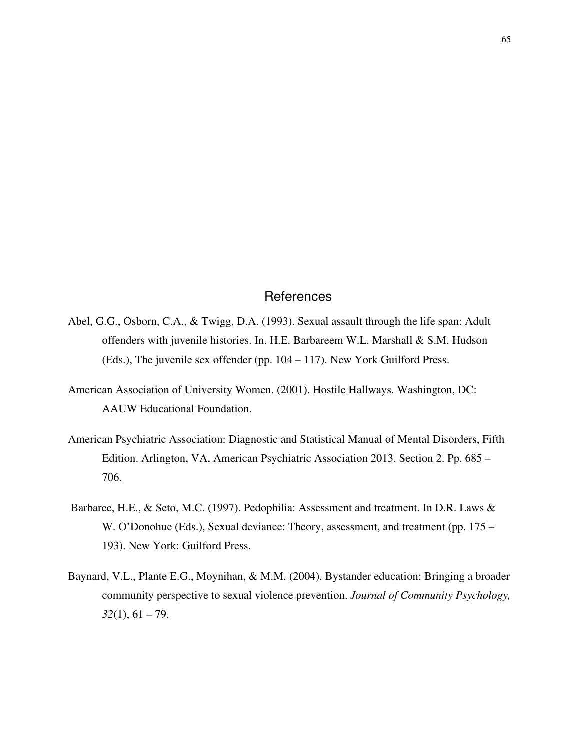#### References

- Abel, G.G., Osborn, C.A., & Twigg, D.A. (1993). Sexual assault through the life span: Adult offenders with juvenile histories. In. H.E. Barbareem W.L. Marshall & S.M. Hudson (Eds.), The juvenile sex offender (pp. 104 – 117). New York Guilford Press.
- American Association of University Women. (2001). Hostile Hallways. Washington, DC: AAUW Educational Foundation.
- American Psychiatric Association: Diagnostic and Statistical Manual of Mental Disorders, Fifth Edition. Arlington, VA, American Psychiatric Association 2013. Section 2. Pp. 685 – 706.
- Barbaree, H.E., & Seto, M.C. (1997). Pedophilia: Assessment and treatment. In D.R. Laws & W. O'Donohue (Eds.), Sexual deviance: Theory, assessment, and treatment (pp. 175 – 193). New York: Guilford Press.
- Baynard, V.L., Plante E.G., Moynihan, & M.M. (2004). Bystander education: Bringing a broader community perspective to sexual violence prevention. *Journal of Community Psychology, 32*(1), 61 – 79.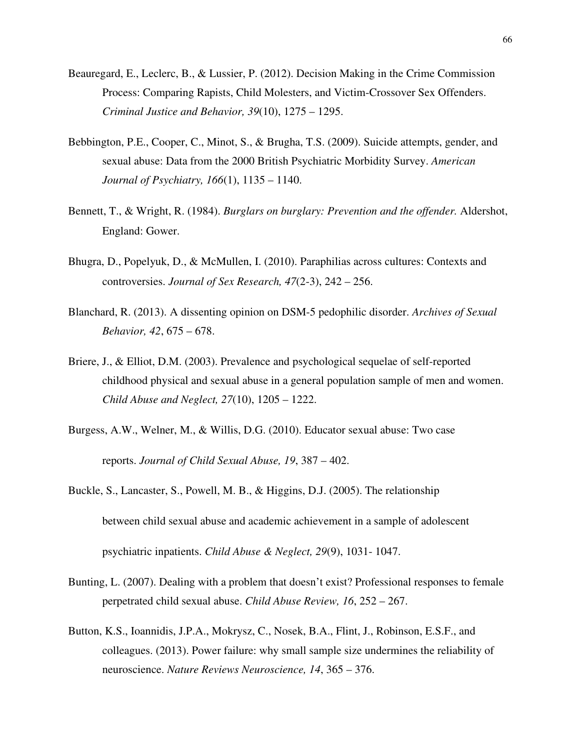- Beauregard, E., Leclerc, B., & Lussier, P. (2012). Decision Making in the Crime Commission Process: Comparing Rapists, Child Molesters, and Victim-Crossover Sex Offenders. *Criminal Justice and Behavior, 39*(10), 1275 – 1295.
- Bebbington, P.E., Cooper, C., Minot, S., & Brugha, T.S. (2009). Suicide attempts, gender, and sexual abuse: Data from the 2000 British Psychiatric Morbidity Survey. *American Journal of Psychiatry, 166*(1), 1135 – 1140.
- Bennett, T., & Wright, R. (1984). *Burglars on burglary: Prevention and the offender.* Aldershot, England: Gower.
- Bhugra, D., Popelyuk, D., & McMullen, I. (2010). Paraphilias across cultures: Contexts and controversies. *Journal of Sex Research, 47*(2-3), 242 – 256.
- Blanchard, R. (2013). A dissenting opinion on DSM-5 pedophilic disorder. *Archives of Sexual Behavior, 42*, 675 – 678.
- Briere, J., & Elliot, D.M. (2003). Prevalence and psychological sequelae of self-reported childhood physical and sexual abuse in a general population sample of men and women. *Child Abuse and Neglect, 27*(10), 1205 – 1222.
- Burgess, A.W., Welner, M., & Willis, D.G. (2010). Educator sexual abuse: Two case reports. *Journal of Child Sexual Abuse, 19*, 387 – 402.
- Buckle, S., Lancaster, S., Powell, M. B., & Higgins, D.J. (2005). The relationship between child sexual abuse and academic achievement in a sample of adolescent psychiatric inpatients. *Child Abuse & Neglect, 29*(9), 1031- 1047.
- Bunting, L. (2007). Dealing with a problem that doesn't exist? Professional responses to female perpetrated child sexual abuse. *Child Abuse Review, 16*, 252 – 267.
- Button, K.S., Ioannidis, J.P.A., Mokrysz, C., Nosek, B.A., Flint, J., Robinson, E.S.F., and colleagues. (2013). Power failure: why small sample size undermines the reliability of neuroscience. *Nature Reviews Neuroscience, 14*, 365 – 376.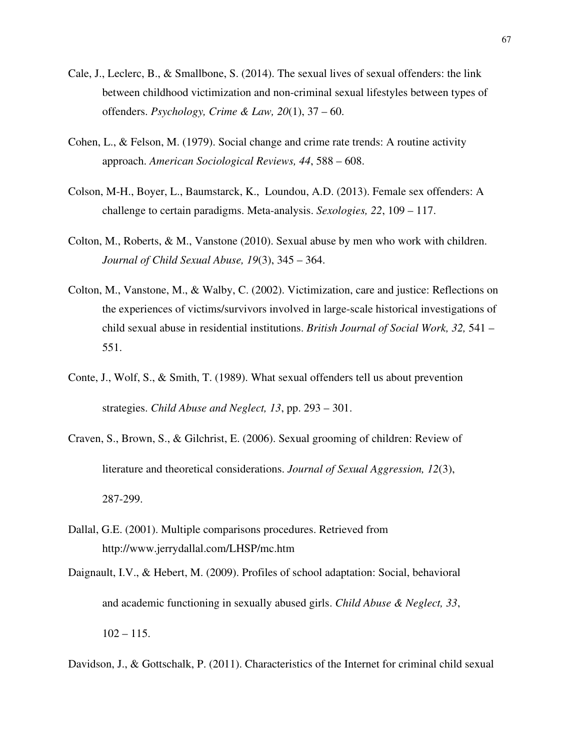- Cale, J., Leclerc, B., & Smallbone, S. (2014). The sexual lives of sexual offenders: the link between childhood victimization and non-criminal sexual lifestyles between types of offenders. *Psychology, Crime & Law, 20*(1), 37 – 60.
- Cohen, L., & Felson, M. (1979). Social change and crime rate trends: A routine activity approach. *American Sociological Reviews, 44*, 588 – 608.
- Colson, M-H., Boyer, L., Baumstarck, K., Loundou, A.D. (2013). Female sex offenders: A challenge to certain paradigms. Meta-analysis. *Sexologies, 22*, 109 – 117.
- Colton, M., Roberts, & M., Vanstone (2010). Sexual abuse by men who work with children. *Journal of Child Sexual Abuse, 19*(3), 345 – 364.
- Colton, M., Vanstone, M., & Walby, C. (2002). Victimization, care and justice: Reflections on the experiences of victims/survivors involved in large-scale historical investigations of child sexual abuse in residential institutions. *British Journal of Social Work, 32,* 541 – 551.
- Conte, J., Wolf, S., & Smith, T. (1989). What sexual offenders tell us about prevention strategies. *Child Abuse and Neglect, 13*, pp. 293 – 301.
- Craven, S., Brown, S., & Gilchrist, E. (2006). Sexual grooming of children: Review of literature and theoretical considerations. *Journal of Sexual Aggression, 12*(3), 287-299.
- Dallal, G.E. (2001). Multiple comparisons procedures. Retrieved from http://www.jerrydallal.com/LHSP/mc.htm
- Daignault, I.V., & Hebert, M. (2009). Profiles of school adaptation: Social, behavioral and academic functioning in sexually abused girls. *Child Abuse & Neglect, 33*,  $102 - 115$ .
- Davidson, J., & Gottschalk, P. (2011). Characteristics of the Internet for criminal child sexual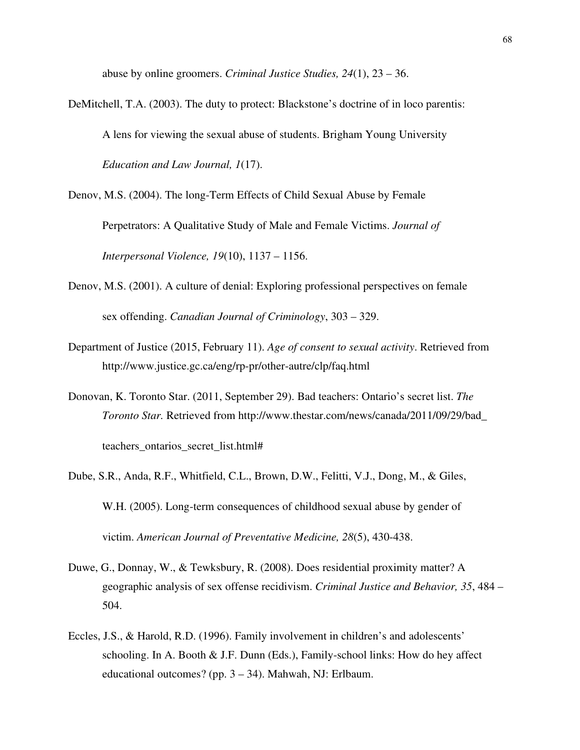abuse by online groomers. *Criminal Justice Studies, 24*(1), 23 – 36.

DeMitchell, T.A. (2003). The duty to protect: Blackstone's doctrine of in loco parentis: A lens for viewing the sexual abuse of students. Brigham Young University *Education and Law Journal, 1*(17).

Denov, M.S. (2004). The long-Term Effects of Child Sexual Abuse by Female Perpetrators: A Qualitative Study of Male and Female Victims. *Journal of Interpersonal Violence, 19*(10), 1137 – 1156.

- Denov, M.S. (2001). A culture of denial: Exploring professional perspectives on female sex offending. *Canadian Journal of Criminology*, 303 – 329.
- Department of Justice (2015, February 11). *Age of consent to sexual activity*. Retrieved from http://www.justice.gc.ca/eng/rp-pr/other-autre/clp/faq.html
- Donovan, K. Toronto Star. (2011, September 29). Bad teachers: Ontario's secret list. *The Toronto Star.* Retrieved from http://www.thestar.com/news/canada/2011/09/29/bad\_ teachers\_ontarios\_secret\_list.html#
- Dube, S.R., Anda, R.F., Whitfield, C.L., Brown, D.W., Felitti, V.J., Dong, M., & Giles, W.H. (2005). Long-term consequences of childhood sexual abuse by gender of victim. *American Journal of Preventative Medicine, 28*(5), 430-438.
- Duwe, G., Donnay, W., & Tewksbury, R. (2008). Does residential proximity matter? A geographic analysis of sex offense recidivism. *Criminal Justice and Behavior, 35*, 484 – 504.
- Eccles, J.S., & Harold, R.D. (1996). Family involvement in children's and adolescents' schooling. In A. Booth & J.F. Dunn (Eds.), Family-school links: How do hey affect educational outcomes? (pp. 3 – 34). Mahwah, NJ: Erlbaum.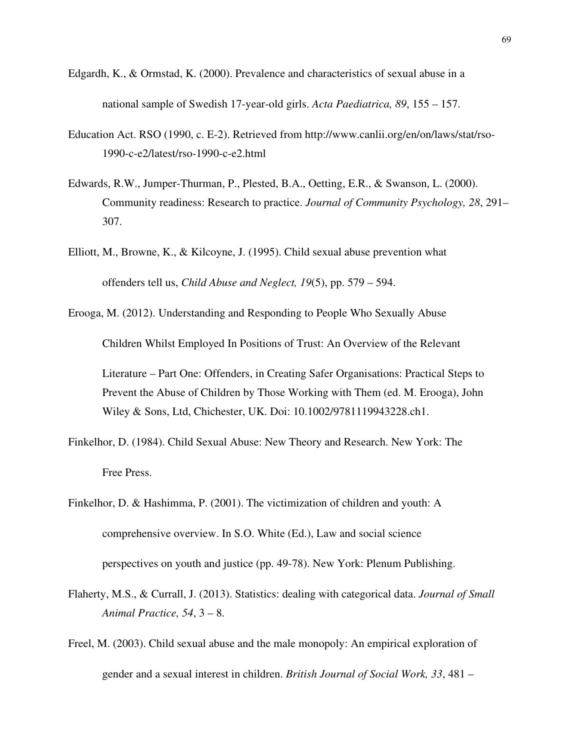- Edgardh, K., & Ormstad, K. (2000). Prevalence and characteristics of sexual abuse in a national sample of Swedish 17-year-old girls. *Acta Paediatrica, 89*, 155 – 157.
- Education Act. RSO (1990, c. E-2). Retrieved from http://www.canlii.org/en/on/laws/stat/rso-1990-c-e2/latest/rso-1990-c-e2.html
- Edwards, R.W., Jumper-Thurman, P., Plested, B.A., Oetting, E.R., & Swanson, L. (2000). Community readiness: Research to practice. *Journal of Community Psychology, 28*, 291– 307.
- Elliott, M., Browne, K., & Kilcoyne, J. (1995). Child sexual abuse prevention what offenders tell us, *Child Abuse and Neglect, 19*(5), pp. 579 – 594.

Erooga, M. (2012). Understanding and Responding to People Who Sexually Abuse

Children Whilst Employed In Positions of Trust: An Overview of the Relevant

Literature – Part One: Offenders, in Creating Safer Organisations: Practical Steps to Prevent the Abuse of Children by Those Working with Them (ed. M. Erooga), John Wiley & Sons, Ltd, Chichester, UK. Doi: 10.1002/9781119943228.ch1.

Finkelhor, D. (1984). Child Sexual Abuse: New Theory and Research. New York: The Free Press.

Finkelhor, D. & Hashimma, P. (2001). The victimization of children and youth: A comprehensive overview. In S.O. White (Ed.), Law and social science perspectives on youth and justice (pp. 49-78). New York: Plenum Publishing.

- Flaherty, M.S., & Currall, J. (2013). Statistics: dealing with categorical data. *Journal of Small Animal Practice, 54*, 3 – 8.
- Freel, M. (2003). Child sexual abuse and the male monopoly: An empirical exploration of gender and a sexual interest in children. *British Journal of Social Work, 33*, 481 –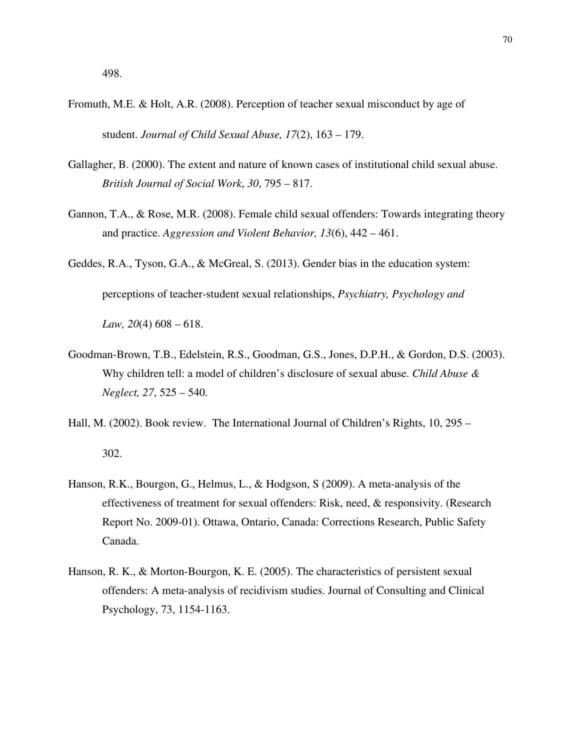- Fromuth, M.E. & Holt, A.R. (2008). Perception of teacher sexual misconduct by age of student. *Journal of Child Sexual Abuse, 17*(2), 163 – 179.
- Gallagher, B. (2000). The extent and nature of known cases of institutional child sexual abuse. *British Journal of Social Work*, *30*, 795 – 817.
- Gannon, T.A., & Rose, M.R. (2008). Female child sexual offenders: Towards integrating theory and practice. *Aggression and Violent Behavior, 13*(6), 442 – 461.
- Geddes, R.A., Tyson, G.A., & McGreal, S. (2013). Gender bias in the education system: perceptions of teacher-student sexual relationships, *Psychiatry, Psychology and Law, 20*(4) 608 – 618.
- Goodman-Brown, T.B., Edelstein, R.S., Goodman, G.S., Jones, D.P.H., & Gordon, D.S. (2003). Why children tell: a model of children's disclosure of sexual abuse. *Child Abuse & Neglect, 27*, 525 – 540.
- Hall, M. (2002). Book review. The International Journal of Children's Rights, 10, 295 302.
- Hanson, R.K., Bourgon, G., Helmus, L., & Hodgson, S (2009). A meta-analysis of the effectiveness of treatment for sexual offenders: Risk, need, & responsivity. (Research Report No. 2009-01). Ottawa, Ontario, Canada: Corrections Research, Public Safety Canada.
- Hanson, R. K., & Morton-Bourgon, K. E. (2005). The characteristics of persistent sexual offenders: A meta-analysis of recidivism studies. Journal of Consulting and Clinical Psychology, 73, 1154-1163.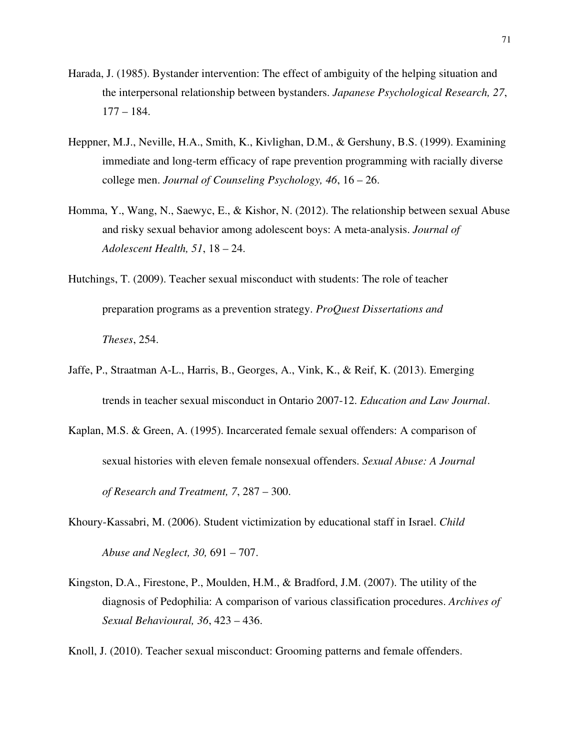- Harada, J. (1985). Bystander intervention: The effect of ambiguity of the helping situation and the interpersonal relationship between bystanders. *Japanese Psychological Research, 27*, 177 – 184.
- Heppner, M.J., Neville, H.A., Smith, K., Kivlighan, D.M., & Gershuny, B.S. (1999). Examining immediate and long-term efficacy of rape prevention programming with racially diverse college men. *Journal of Counseling Psychology, 46*, 16 – 26.
- Homma, Y., Wang, N., Saewyc, E., & Kishor, N. (2012). The relationship between sexual Abuse and risky sexual behavior among adolescent boys: A meta-analysis. *Journal of Adolescent Health, 51*, 18 – 24.
- Hutchings, T. (2009). Teacher sexual misconduct with students: The role of teacher preparation programs as a prevention strategy. *ProQuest Dissertations and Theses*, 254.
- Jaffe, P., Straatman A-L., Harris, B., Georges, A., Vink, K., & Reif, K. (2013). Emerging trends in teacher sexual misconduct in Ontario 2007-12. *Education and Law Journal*.
- Kaplan, M.S. & Green, A. (1995). Incarcerated female sexual offenders: A comparison of sexual histories with eleven female nonsexual offenders. *Sexual Abuse: A Journal of Research and Treatment, 7*, 287 – 300.
- Khoury-Kassabri, M. (2006). Student victimization by educational staff in Israel. *Child Abuse and Neglect, 30,* 691 – 707.
- Kingston, D.A., Firestone, P., Moulden, H.M., & Bradford, J.M. (2007). The utility of the diagnosis of Pedophilia: A comparison of various classification procedures. *Archives of Sexual Behavioural, 36*, 423 – 436.

Knoll, J. (2010). Teacher sexual misconduct: Grooming patterns and female offenders.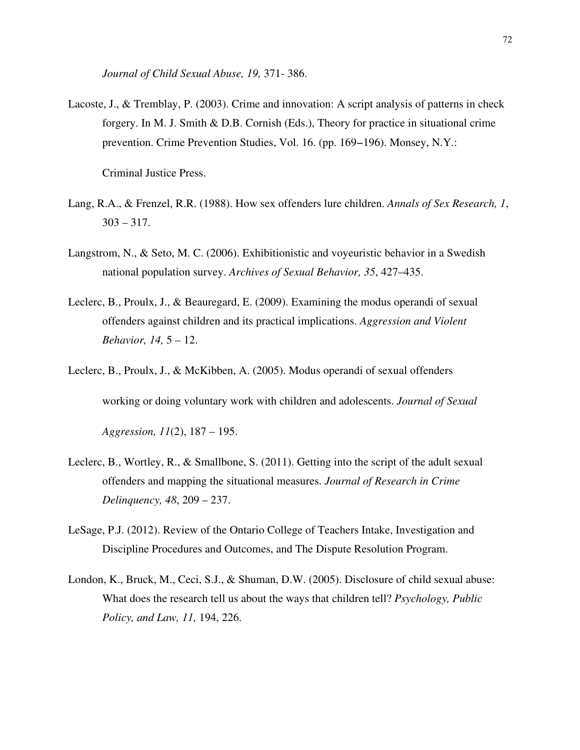*Journal of Child Sexual Abuse, 19,* 371- 386.

Lacoste, J., & Tremblay, P. (2003). Crime and innovation: A script analysis of patterns in check forgery. In M. J. Smith & D.B. Cornish (Eds.), Theory for practice in situational crime prevention. Crime Prevention Studies, Vol. 16. (pp. 169−196). Monsey, N.Y.:

Criminal Justice Press.

- Lang, R.A., & Frenzel, R.R. (1988). How sex offenders lure children. *Annals of Sex Research, 1*,  $303 - 317.$
- Langstrom, N., & Seto, M. C. (2006). Exhibitionistic and voyeuristic behavior in a Swedish national population survey. *Archives of Sexual Behavior, 35*, 427–435.
- Leclerc, B., Proulx, J., & Beauregard, E. (2009). Examining the modus operandi of sexual offenders against children and its practical implications. *Aggression and Violent Behavior, 14,* 5 – 12.
- Leclerc, B., Proulx, J., & McKibben, A. (2005). Modus operandi of sexual offenders working or doing voluntary work with children and adolescents. *Journal of Sexual*

*Aggression, 11*(2), 187 – 195.

- Leclerc, B., Wortley, R., & Smallbone, S. (2011). Getting into the script of the adult sexual offenders and mapping the situational measures. *Journal of Research in Crime Delinquency, 48*, 209 – 237.
- LeSage, P.J. (2012). Review of the Ontario College of Teachers Intake, Investigation and Discipline Procedures and Outcomes, and The Dispute Resolution Program.
- London, K., Bruck, M., Ceci, S.J., & Shuman, D.W. (2005). Disclosure of child sexual abuse: What does the research tell us about the ways that children tell? *Psychology, Public Policy, and Law, 11,* 194, 226.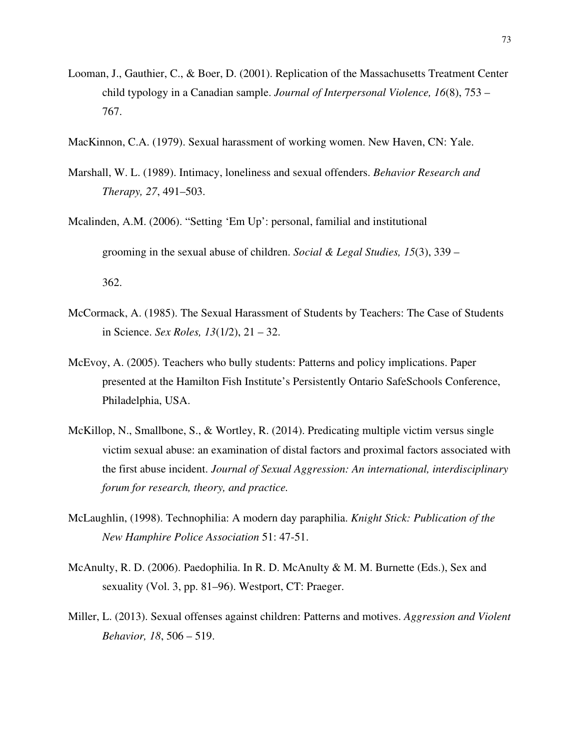- Looman, J., Gauthier, C., & Boer, D. (2001). Replication of the Massachusetts Treatment Center child typology in a Canadian sample. *Journal of Interpersonal Violence, 16*(8), 753 – 767.
- MacKinnon, C.A. (1979). Sexual harassment of working women. New Haven, CN: Yale.
- Marshall, W. L. (1989). Intimacy, loneliness and sexual offenders. *Behavior Research and Therapy, 27*, 491–503.
- Mcalinden, A.M. (2006). "Setting 'Em Up': personal, familial and institutional grooming in the sexual abuse of children. *Social & Legal Studies, 15*(3), 339 – 362.
- McCormack, A. (1985). The Sexual Harassment of Students by Teachers: The Case of Students in Science. *Sex Roles, 13*(1/2), 21 – 32.
- McEvoy, A. (2005). Teachers who bully students: Patterns and policy implications. Paper presented at the Hamilton Fish Institute's Persistently Ontario SafeSchools Conference, Philadelphia, USA.
- McKillop, N., Smallbone, S., & Wortley, R. (2014). Predicating multiple victim versus single victim sexual abuse: an examination of distal factors and proximal factors associated with the first abuse incident. *Journal of Sexual Aggression: An international, interdisciplinary forum for research, theory, and practice.*
- McLaughlin, (1998). Technophilia: A modern day paraphilia. *Knight Stick: Publication of the New Hamphire Police Association* 51: 47-51.
- McAnulty, R. D. (2006). Paedophilia. In R. D. McAnulty & M. M. Burnette (Eds.), Sex and sexuality (Vol. 3, pp. 81–96). Westport, CT: Praeger.
- Miller, L. (2013). Sexual offenses against children: Patterns and motives. *Aggression and Violent Behavior, 18*, 506 – 519.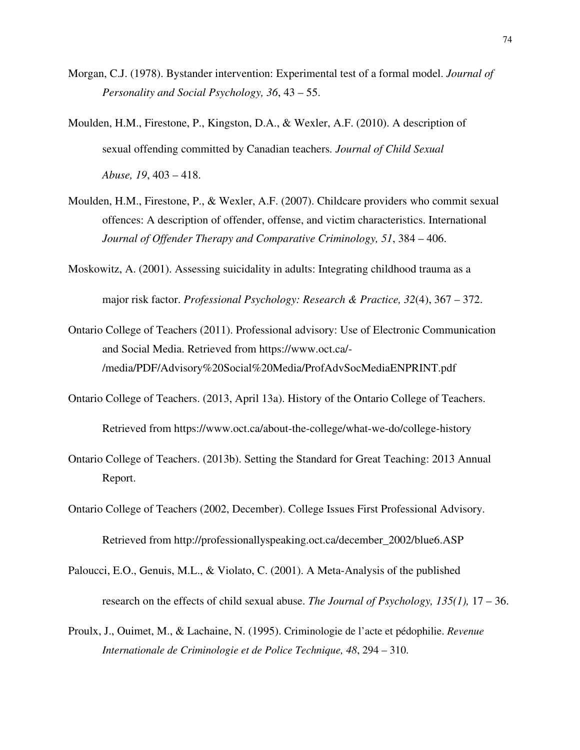- Morgan, C.J. (1978). Bystander intervention: Experimental test of a formal model. *Journal of Personality and Social Psychology, 36*, 43 – 55.
- Moulden, H.M., Firestone, P., Kingston, D.A., & Wexler, A.F. (2010). A description of sexual offending committed by Canadian teachers*. Journal of Child Sexual Abuse, 19*, 403 – 418.
- Moulden, H.M., Firestone, P., & Wexler, A.F. (2007). Childcare providers who commit sexual offences: A description of offender, offense, and victim characteristics. International *Journal of Offender Therapy and Comparative Criminology, 51*, 384 – 406.
- Moskowitz, A. (2001). Assessing suicidality in adults: Integrating childhood trauma as a major risk factor. *Professional Psychology: Research & Practice, 32*(4), 367 – 372.
- Ontario College of Teachers (2011). Professional advisory: Use of Electronic Communication and Social Media. Retrieved from https://www.oct.ca/- /media/PDF/Advisory%20Social%20Media/ProfAdvSocMediaENPRINT.pdf
- Ontario College of Teachers. (2013, April 13a). History of the Ontario College of Teachers.

Retrieved from https://www.oct.ca/about-the-college/what-we-do/college-history

- Ontario College of Teachers. (2013b). Setting the Standard for Great Teaching: 2013 Annual Report.
- Ontario College of Teachers (2002, December). College Issues First Professional Advisory. Retrieved from http://professionallyspeaking.oct.ca/december\_2002/blue6.ASP
- Paloucci, E.O., Genuis, M.L., & Violato, C. (2001). A Meta-Analysis of the published research on the effects of child sexual abuse. *The Journal of Psychology, 135(1),* 17 – 36.
- Proulx, J., Ouimet, M., & Lachaine, N. (1995). Criminologie de l'acte et pédophilie. *Revenue Internationale de Criminologie et de Police Technique, 48*, 294 – 310.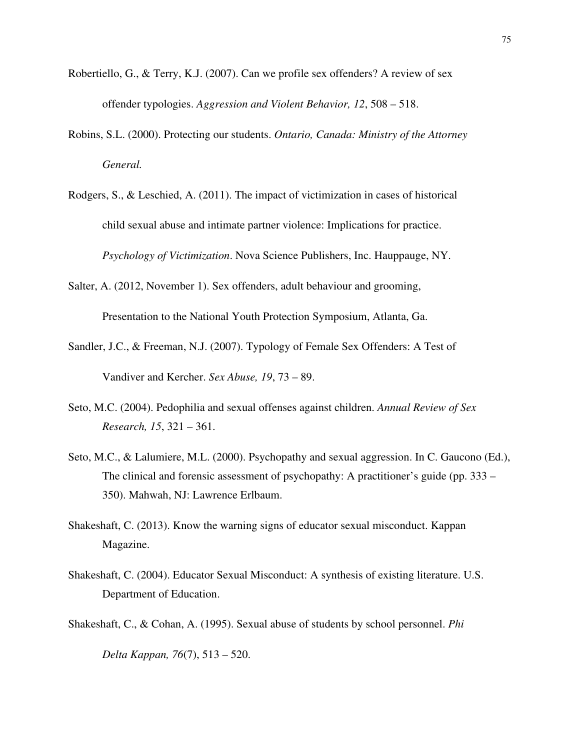- Robertiello, G., & Terry, K.J. (2007). Can we profile sex offenders? A review of sex offender typologies. *Aggression and Violent Behavior, 12*, 508 – 518.
- Robins, S.L. (2000). Protecting our students. *Ontario, Canada: Ministry of the Attorney General.*
- Rodgers, S., & Leschied, A. (2011). The impact of victimization in cases of historical child sexual abuse and intimate partner violence: Implications for practice. *Psychology of Victimization*. Nova Science Publishers, Inc. Hauppauge, NY.
- Salter, A. (2012, November 1). Sex offenders, adult behaviour and grooming,

Presentation to the National Youth Protection Symposium, Atlanta, Ga.

- Sandler, J.C., & Freeman, N.J. (2007). Typology of Female Sex Offenders: A Test of Vandiver and Kercher. *Sex Abuse, 19*, 73 – 89.
- Seto, M.C. (2004). Pedophilia and sexual offenses against children. *Annual Review of Sex Research, 15*, 321 – 361.
- Seto, M.C., & Lalumiere, M.L. (2000). Psychopathy and sexual aggression. In C. Gaucono (Ed.), The clinical and forensic assessment of psychopathy: A practitioner's guide (pp. 333 – 350). Mahwah, NJ: Lawrence Erlbaum.
- Shakeshaft, C. (2013). Know the warning signs of educator sexual misconduct. Kappan Magazine.
- Shakeshaft, C. (2004). Educator Sexual Misconduct: A synthesis of existing literature. U.S. Department of Education.
- Shakeshaft, C., & Cohan, A. (1995). Sexual abuse of students by school personnel. *Phi*

*Delta Kappan, 76*(7), 513 – 520.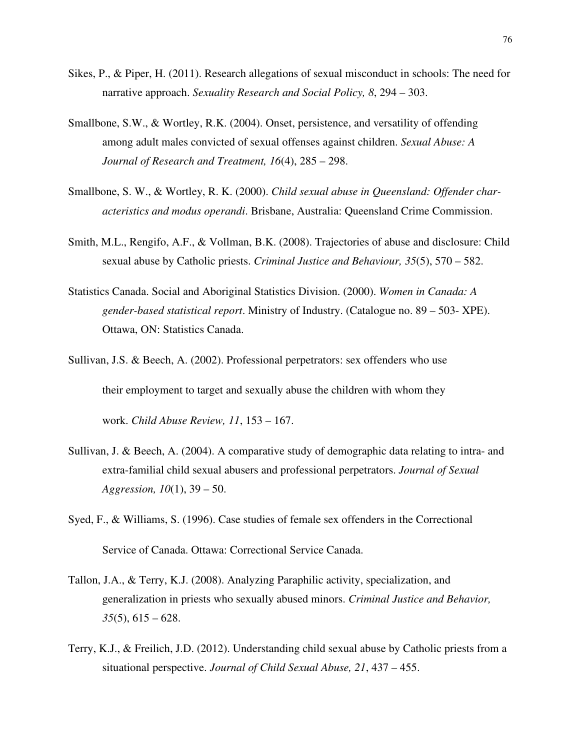- Sikes, P., & Piper, H. (2011). Research allegations of sexual misconduct in schools: The need for narrative approach. *Sexuality Research and Social Policy, 8*, 294 – 303.
- Smallbone, S.W., & Wortley, R.K. (2004). Onset, persistence, and versatility of offending among adult males convicted of sexual offenses against children. *Sexual Abuse: A Journal of Research and Treatment, 16*(4), 285 – 298.
- Smallbone, S. W., & Wortley, R. K. (2000). *Child sexual abuse in Queensland: Offender characteristics and modus operandi*. Brisbane, Australia: Queensland Crime Commission.
- Smith, M.L., Rengifo, A.F., & Vollman, B.K. (2008). Trajectories of abuse and disclosure: Child sexual abuse by Catholic priests. *Criminal Justice and Behaviour, 35*(5), 570 – 582.
- Statistics Canada. Social and Aboriginal Statistics Division. (2000). *Women in Canada: A gender-based statistical report*. Ministry of Industry. (Catalogue no. 89 – 503- XPE). Ottawa, ON: Statistics Canada.
- Sullivan, J.S. & Beech, A. (2002). Professional perpetrators: sex offenders who use their employment to target and sexually abuse the children with whom they work. *Child Abuse Review, 11*, 153 – 167.
- Sullivan, J. & Beech, A. (2004). A comparative study of demographic data relating to intra- and extra-familial child sexual abusers and professional perpetrators. *Journal of Sexual Aggression, 10*(1), 39 – 50.
- Syed, F., & Williams, S. (1996). Case studies of female sex offenders in the Correctional Service of Canada. Ottawa: Correctional Service Canada.
- Tallon, J.A., & Terry, K.J. (2008). Analyzing Paraphilic activity, specialization, and generalization in priests who sexually abused minors. *Criminal Justice and Behavior, 35*(5), 615 – 628.
- Terry, K.J., & Freilich, J.D. (2012). Understanding child sexual abuse by Catholic priests from a situational perspective. *Journal of Child Sexual Abuse, 21*, 437 – 455.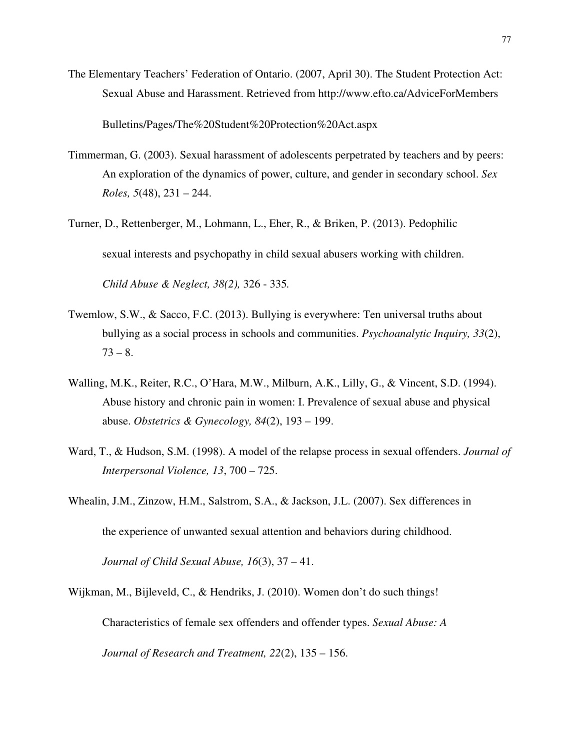The Elementary Teachers' Federation of Ontario. (2007, April 30). The Student Protection Act: Sexual Abuse and Harassment. Retrieved from http://www.efto.ca/AdviceForMembers Bulletins/Pages/The%20Student%20Protection%20Act.aspx

- Timmerman, G. (2003). Sexual harassment of adolescents perpetrated by teachers and by peers: An exploration of the dynamics of power, culture, and gender in secondary school. *Sex Roles, 5*(48), 231 – 244.
- Turner, D., Rettenberger, M., Lohmann, L., Eher, R., & Briken, P. (2013). Pedophilic sexual interests and psychopathy in child sexual abusers working with children. *Child Abuse & Neglect, 38(2),* 326 - 335*.*
- Twemlow, S.W., & Sacco, F.C. (2013). Bullying is everywhere: Ten universal truths about bullying as a social process in schools and communities. *Psychoanalytic Inquiry, 33*(2),  $73 - 8.$
- Walling, M.K., Reiter, R.C., O'Hara, M.W., Milburn, A.K., Lilly, G., & Vincent, S.D. (1994). Abuse history and chronic pain in women: I. Prevalence of sexual abuse and physical abuse. *Obstetrics & Gynecology, 84*(2), 193 – 199.
- Ward, T., & Hudson, S.M. (1998). A model of the relapse process in sexual offenders. *Journal of Interpersonal Violence, 13*, 700 – 725.
- Whealin, J.M., Zinzow, H.M., Salstrom, S.A., & Jackson, J.L. (2007). Sex differences in the experience of unwanted sexual attention and behaviors during childhood. *Journal of Child Sexual Abuse, 16*(3), 37 – 41.

Wijkman, M., Bijleveld, C., & Hendriks, J. (2010). Women don't do such things! Characteristics of female sex offenders and offender types. *Sexual Abuse: A Journal of Research and Treatment, 22*(2), 135 – 156.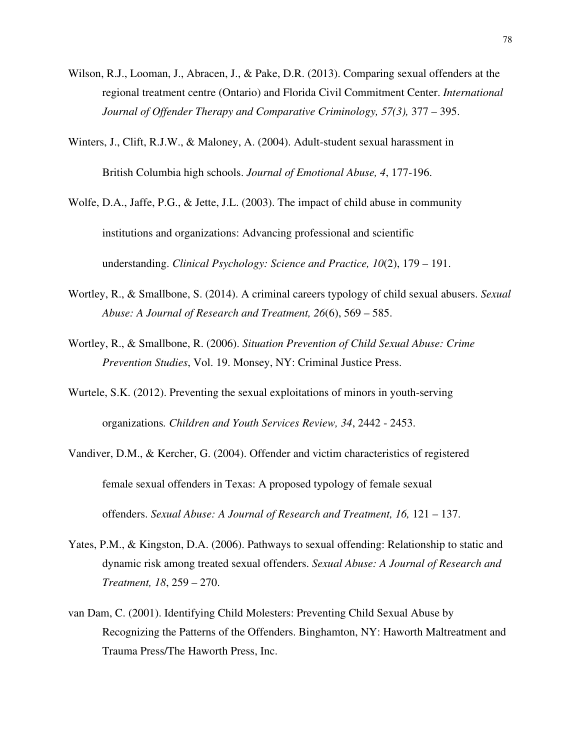Wilson, R.J., Looman, J., Abracen, J., & Pake, D.R. (2013). Comparing sexual offenders at the regional treatment centre (Ontario) and Florida Civil Commitment Center. *International Journal of Offender Therapy and Comparative Criminology, 57(3),* 377 – 395.

Winters, J., Clift, R.J.W., & Maloney, A. (2004). Adult-student sexual harassment in British Columbia high schools. *Journal of Emotional Abuse, 4*, 177-196.

Wolfe, D.A., Jaffe, P.G., & Jette, J.L. (2003). The impact of child abuse in community institutions and organizations: Advancing professional and scientific understanding. *Clinical Psychology: Science and Practice, 10*(2), 179 – 191.

- Wortley, R., & Smallbone, S. (2014). A criminal careers typology of child sexual abusers. *Sexual Abuse: A Journal of Research and Treatment, 26*(6), 569 – 585.
- Wortley, R., & Smallbone, R. (2006). *Situation Prevention of Child Sexual Abuse: Crime Prevention Studies*, Vol. 19. Monsey, NY: Criminal Justice Press.
- Wurtele, S.K. (2012). Preventing the sexual exploitations of minors in youth-serving organizations*. Children and Youth Services Review, 34*, 2442 - 2453.
- Vandiver, D.M., & Kercher, G. (2004). Offender and victim characteristics of registered female sexual offenders in Texas: A proposed typology of female sexual offenders. *Sexual Abuse: A Journal of Research and Treatment, 16,* 121 – 137.
- Yates, P.M., & Kingston, D.A. (2006). Pathways to sexual offending: Relationship to static and dynamic risk among treated sexual offenders. *Sexual Abuse: A Journal of Research and Treatment, 18*, 259 – 270.
- van Dam, C. (2001). Identifying Child Molesters: Preventing Child Sexual Abuse by Recognizing the Patterns of the Offenders. Binghamton, NY: Haworth Maltreatment and Trauma Press/The Haworth Press, Inc.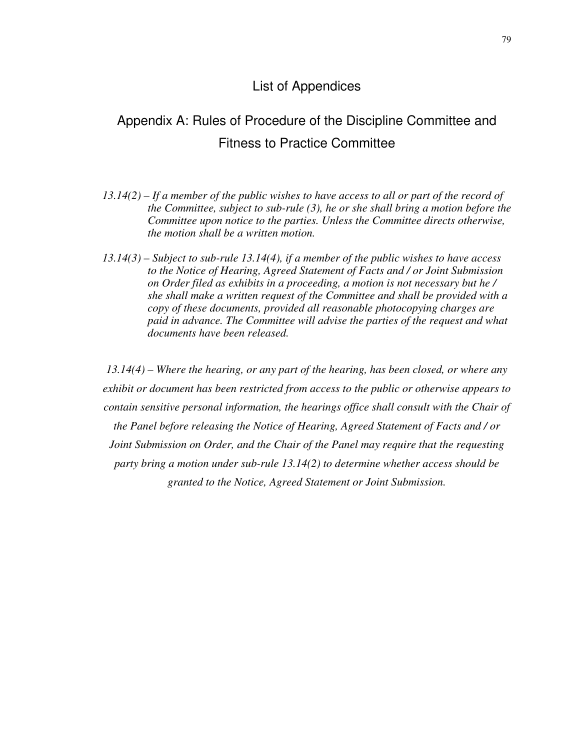### List of Appendices

### Appendix A: Rules of Procedure of the Discipline Committee and Fitness to Practice Committee

- *13.14(2) If a member of the public wishes to have access to all or part of the record of the Committee, subject to sub-rule (3), he or she shall bring a motion before the Committee upon notice to the parties. Unless the Committee directs otherwise, the motion shall be a written motion.*
- *13.14(3) Subject to sub-rule 13.14(4), if a member of the public wishes to have access to the Notice of Hearing, Agreed Statement of Facts and / or Joint Submission on Order filed as exhibits in a proceeding, a motion is not necessary but he / she shall make a written request of the Committee and shall be provided with a copy of these documents, provided all reasonable photocopying charges are paid in advance. The Committee will advise the parties of the request and what documents have been released.*

*13.14(4) – Where the hearing, or any part of the hearing, has been closed, or where any exhibit or document has been restricted from access to the public or otherwise appears to contain sensitive personal information, the hearings office shall consult with the Chair of the Panel before releasing the Notice of Hearing, Agreed Statement of Facts and / or Joint Submission on Order, and the Chair of the Panel may require that the requesting party bring a motion under sub-rule 13.14(2) to determine whether access should be granted to the Notice, Agreed Statement or Joint Submission.*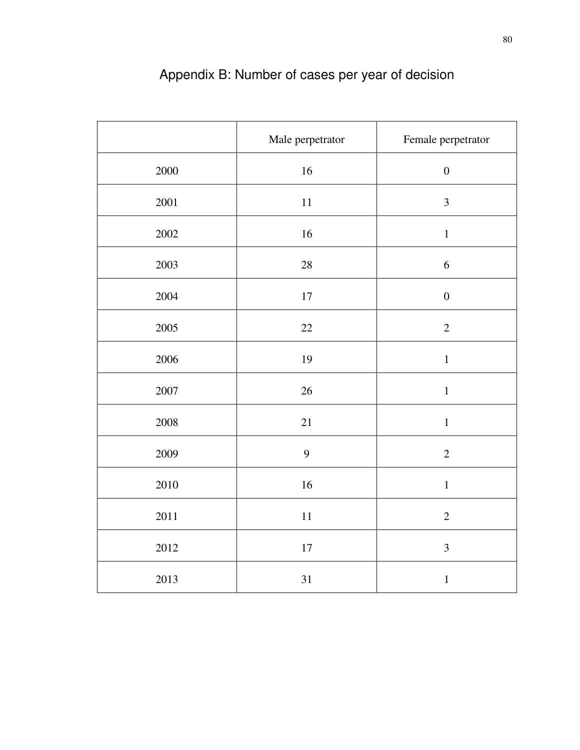|          | Male perpetrator | Female perpetrator |
|----------|------------------|--------------------|
| 2000     | 16               | $\boldsymbol{0}$   |
| $2001\,$ | 11               | $\mathfrak{Z}$     |
| 2002     | 16               | $\,1\,$            |
| 2003     | $28\,$           | 6                  |
| 2004     | $17\,$           | $\boldsymbol{0}$   |
| $2005\,$ | $22\,$           | $\overline{2}$     |
| 2006     | 19               | $\,1$              |
| $2007\,$ | 26               | $\mathbf 1$        |
| 2008     | 21               | $\,1$              |
| 2009     | 9                | $\overline{2}$     |
| 2010     | 16               | $\,1$              |
| 2011     | $11\,$           | $\sqrt{2}$         |
| 2012     | $17\,$           | $\mathfrak{Z}$     |
| 2013     | $31\,$           | $\mathbf 1$        |

# Appendix B: Number of cases per year of decision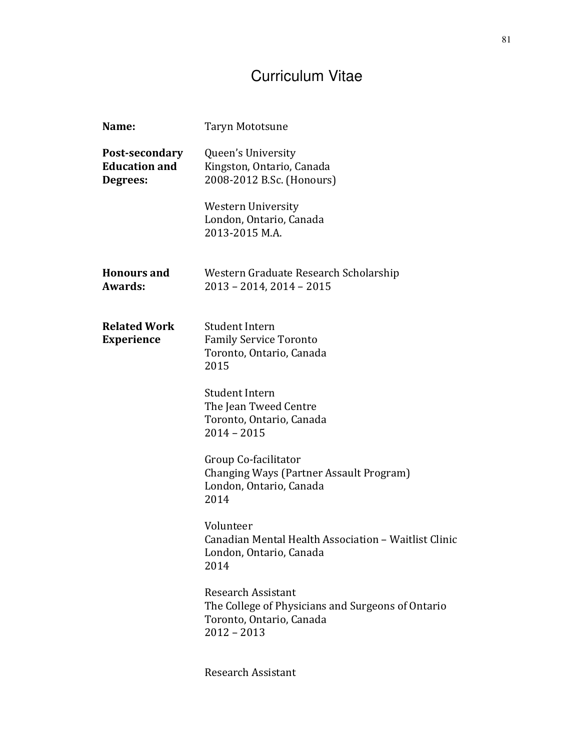## Curriculum Vitae

| Name:                                              | Taryn Mototsune                                                                                                             |
|----------------------------------------------------|-----------------------------------------------------------------------------------------------------------------------------|
| Post-secondary<br><b>Education and</b><br>Degrees: | Queen's University<br>Kingston, Ontario, Canada<br>2008-2012 B.Sc. (Honours)                                                |
|                                                    | <b>Western University</b><br>London, Ontario, Canada<br>2013-2015 M.A.                                                      |
| <b>Honours and</b><br>Awards:                      | Western Graduate Research Scholarship<br>2013 - 2014, 2014 - 2015                                                           |
| <b>Related Work</b><br><b>Experience</b>           | Student Intern<br><b>Family Service Toronto</b><br>Toronto, Ontario, Canada<br>2015                                         |
|                                                    | <b>Student Intern</b><br>The Jean Tweed Centre<br>Toronto, Ontario, Canada<br>$2014 - 2015$                                 |
|                                                    | Group Co-facilitator<br>Changing Ways (Partner Assault Program)<br>London, Ontario, Canada<br>2014                          |
|                                                    | Volunteer<br>Canadian Mental Health Association - Waitlist Clinic<br>London, Ontario, Canada<br>2014                        |
|                                                    | <b>Research Assistant</b><br>The College of Physicians and Surgeons of Ontario<br>Toronto, Ontario, Canada<br>$2012 - 2013$ |
|                                                    | <b>Research Assistant</b>                                                                                                   |